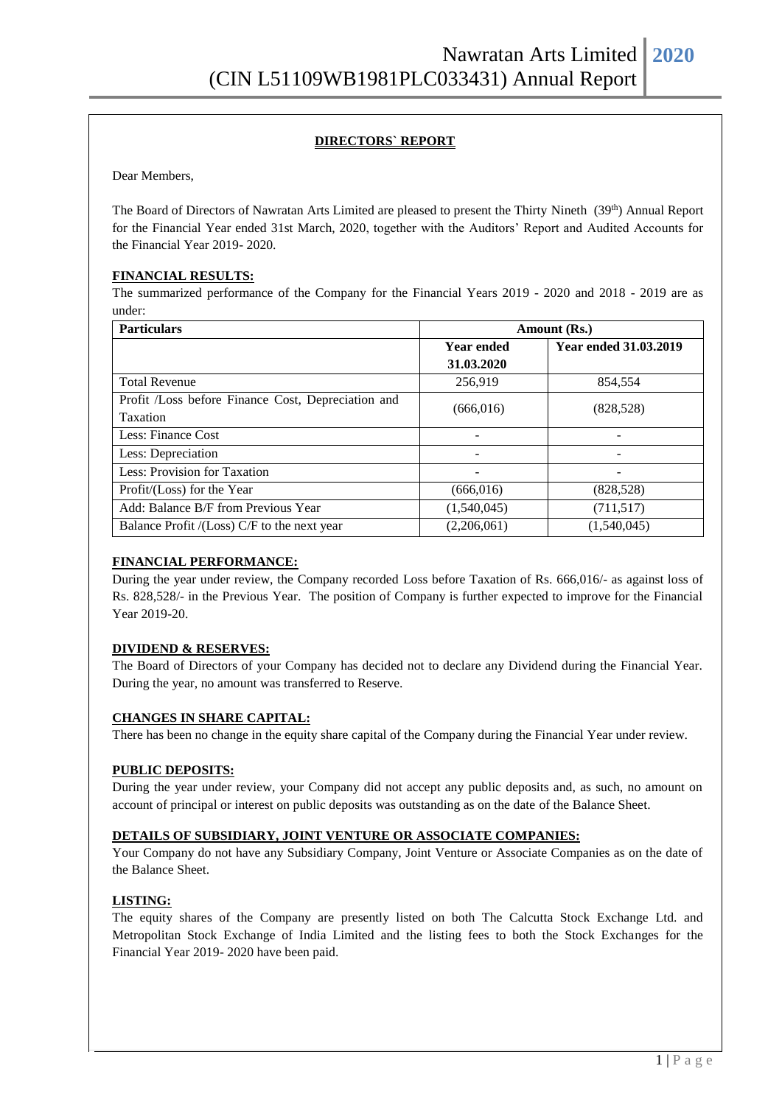# **DIRECTORS` REPORT**

Dear Members,

The Board of Directors of Nawratan Arts Limited are pleased to present the Thirty Nineth (39<sup>th</sup>) Annual Report for the Financial Year ended 31st March, 2020, together with the Auditors' Report and Audited Accounts for the Financial Year 2019- 2020.

# **FINANCIAL RESULTS:**

The summarized performance of the Company for the Financial Years 2019 - 2020 and 2018 - 2019 are as under:

| <b>Particulars</b>                                 | Amount (Rs.)      |                              |  |  |  |
|----------------------------------------------------|-------------------|------------------------------|--|--|--|
|                                                    | <b>Year ended</b> | <b>Year ended 31.03.2019</b> |  |  |  |
|                                                    | 31.03.2020        |                              |  |  |  |
| <b>Total Revenue</b>                               | 256,919           | 854,554                      |  |  |  |
| Profit /Loss before Finance Cost, Depreciation and | (666, 016)        | (828, 528)                   |  |  |  |
| <b>Taxation</b>                                    |                   |                              |  |  |  |
| Less: Finance Cost                                 |                   |                              |  |  |  |
| Less: Depreciation                                 |                   |                              |  |  |  |
| Less: Provision for Taxation                       |                   |                              |  |  |  |
| Profit/(Loss) for the Year                         | (666, 016)        | (828, 528)                   |  |  |  |
| Add: Balance B/F from Previous Year                | (1,540,045)       | (711, 517)                   |  |  |  |
| Balance Profit /(Loss) C/F to the next year        | (2,206,061)       | (1,540,045)                  |  |  |  |

# **FINANCIAL PERFORMANCE:**

During the year under review, the Company recorded Loss before Taxation of Rs. 666,016/- as against loss of Rs. 828,528/- in the Previous Year. The position of Company is further expected to improve for the Financial Year 2019-20.

# **DIVIDEND & RESERVES:**

The Board of Directors of your Company has decided not to declare any Dividend during the Financial Year. During the year, no amount was transferred to Reserve.

# **CHANGES IN SHARE CAPITAL:**

There has been no change in the equity share capital of the Company during the Financial Year under review.

# **PUBLIC DEPOSITS:**

During the year under review, your Company did not accept any public deposits and, as such, no amount on account of principal or interest on public deposits was outstanding as on the date of the Balance Sheet.

# **DETAILS OF SUBSIDIARY, JOINT VENTURE OR ASSOCIATE COMPANIES:**

Your Company do not have any Subsidiary Company, Joint Venture or Associate Companies as on the date of the Balance Sheet.

# **LISTING:**

The equity shares of the Company are presently listed on both The Calcutta Stock Exchange Ltd. and Metropolitan Stock Exchange of India Limited and the listing fees to both the Stock Exchanges for the Financial Year 2019- 2020 have been paid.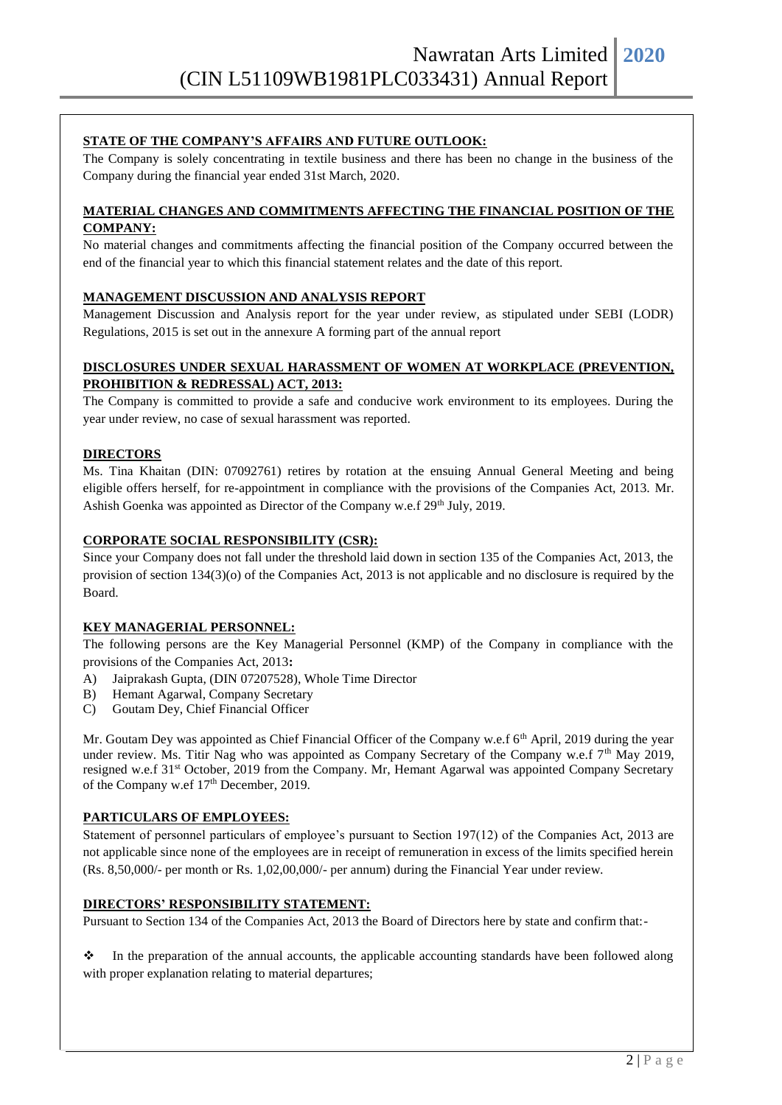# **STATE OF THE COMPANY'S AFFAIRS AND FUTURE OUTLOOK:**

The Company is solely concentrating in textile business and there has been no change in the business of the Company during the financial year ended 31st March, 2020.

# **MATERIAL CHANGES AND COMMITMENTS AFFECTING THE FINANCIAL POSITION OF THE COMPANY:**

No material changes and commitments affecting the financial position of the Company occurred between the end of the financial year to which this financial statement relates and the date of this report.

# **MANAGEMENT DISCUSSION AND ANALYSIS REPORT**

Management Discussion and Analysis report for the year under review, as stipulated under SEBI (LODR) Regulations, 2015 is set out in the annexure A forming part of the annual report

# **DISCLOSURES UNDER SEXUAL HARASSMENT OF WOMEN AT WORKPLACE (PREVENTION, PROHIBITION & REDRESSAL) ACT, 2013:**

The Company is committed to provide a safe and conducive work environment to its employees. During the year under review, no case of sexual harassment was reported.

# **DIRECTORS**

Ms. Tina Khaitan (DIN: 07092761) retires by rotation at the ensuing Annual General Meeting and being eligible offers herself, for re-appointment in compliance with the provisions of the Companies Act, 2013. Mr. Ashish Goenka was appointed as Director of the Company w.e.f 29<sup>th</sup> July, 2019.

# **CORPORATE SOCIAL RESPONSIBILITY (CSR):**

Since your Company does not fall under the threshold laid down in section 135 of the Companies Act, 2013, the provision of section 134(3)(o) of the Companies Act, 2013 is not applicable and no disclosure is required by the Board.

# **KEY MANAGERIAL PERSONNEL:**

The following persons are the Key Managerial Personnel (KMP) of the Company in compliance with the provisions of the Companies Act, 2013**:**

- A) Jaiprakash Gupta, (DIN 07207528), Whole Time Director
- B) Hemant Agarwal, Company Secretary
- C) Goutam Dey, Chief Financial Officer

Mr. Goutam Dey was appointed as Chief Financial Officer of the Company w.e.f 6<sup>th</sup> April, 2019 during the year under review. Ms. Titir Nag who was appointed as Company Secretary of the Company w.e.f  $7<sup>th</sup>$  May 2019, resigned w.e.f 31st October, 2019 from the Company. Mr, Hemant Agarwal was appointed Company Secretary of the Company w.ef  $17<sup>th</sup>$  December, 2019.

### **PARTICULARS OF EMPLOYEES:**

Statement of personnel particulars of employee's pursuant to Section 197(12) of the Companies Act, 2013 are not applicable since none of the employees are in receipt of remuneration in excess of the limits specified herein (Rs. 8,50,000/- per month or Rs. 1,02,00,000/- per annum) during the Financial Year under review.

### **DIRECTORS' RESPONSIBILITY STATEMENT:**

Pursuant to Section 134 of the Companies Act, 2013 the Board of Directors here by state and confirm that:-

 $\bullet$  In the preparation of the annual accounts, the applicable accounting standards have been followed along with proper explanation relating to material departures;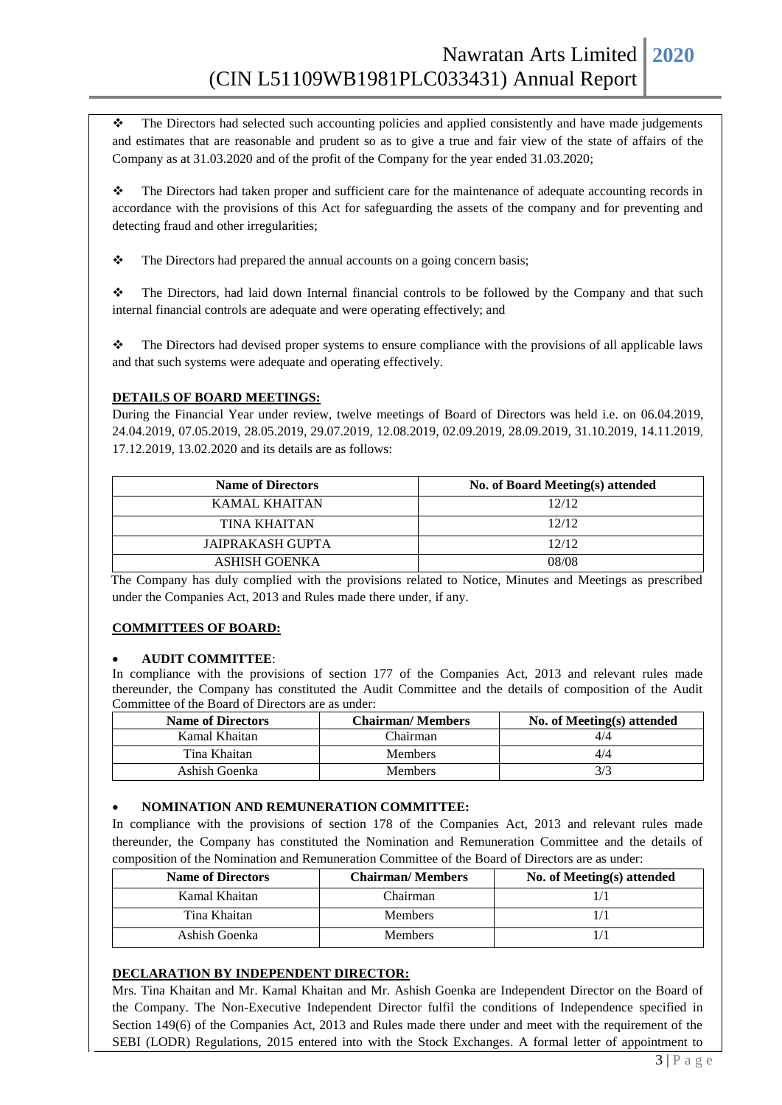The Directors had selected such accounting policies and applied consistently and have made judgements and estimates that are reasonable and prudent so as to give a true and fair view of the state of affairs of the Company as at 31.03.2020 and of the profit of the Company for the year ended 31.03.2020;

 The Directors had taken proper and sufficient care for the maintenance of adequate accounting records in accordance with the provisions of this Act for safeguarding the assets of the company and for preventing and detecting fraud and other irregularities;

• The Directors had prepared the annual accounts on a going concern basis;

\* The Directors, had laid down Internal financial controls to be followed by the Company and that such internal financial controls are adequate and were operating effectively; and

 The Directors had devised proper systems to ensure compliance with the provisions of all applicable laws and that such systems were adequate and operating effectively.

# **DETAILS OF BOARD MEETINGS:**

During the Financial Year under review, twelve meetings of Board of Directors was held i.e. on 06.04.2019, 24.04.2019, 07.05.2019, 28.05.2019, 29.07.2019, 12.08.2019, 02.09.2019, 28.09.2019, 31.10.2019, 14.11.2019, 17.12.2019, 13.02.2020 and its details are as follows:

| <b>Name of Directors</b> | No. of Board Meeting(s) attended |
|--------------------------|----------------------------------|
| KAMAL KHAITAN            | 12/12                            |
| TINA KHAITAN             | 12/12                            |
| JAIPRAKASH GUPTA         | 12/12                            |
| ASHISH GOENKA            | 08/08                            |

 The Company has duly complied with the provisions related to Notice, Minutes and Meetings as prescribed under the Companies Act, 2013 and Rules made there under, if any.

# **COMMITTEES OF BOARD:**

### **AUDIT COMMITTEE**:

In compliance with the provisions of section 177 of the Companies Act, 2013 and relevant rules made thereunder, the Company has constituted the Audit Committee and the details of composition of the Audit Committee of the Board of Directors are as under:

| <b>Name of Directors</b> | <b>Chairman/ Members</b> | No. of Meeting(s) attended |
|--------------------------|--------------------------|----------------------------|
| Kamal Khaitan            | Chairman                 | 4/4                        |
| Tina Khaitan             | <b>Members</b>           | 4/4                        |
| Ashish Goenka            | <b>Members</b>           | 3/3                        |

### **NOMINATION AND REMUNERATION COMMITTEE:**

In compliance with the provisions of section 178 of the Companies Act, 2013 and relevant rules made thereunder, the Company has constituted the Nomination and Remuneration Committee and the details of composition of the Nomination and Remuneration Committee of the Board of Directors are as under:

| <b>Name of Directors</b> | <b>Chairman/ Members</b> | No. of Meeting(s) attended |
|--------------------------|--------------------------|----------------------------|
| Kamal Khaitan            | Chairman                 |                            |
| Tina Khaitan             | <b>Members</b>           |                            |
| Ashish Goenka            | <b>Members</b>           |                            |

# **DECLARATION BY INDEPENDENT DIRECTOR:**

Mrs. Tina Khaitan and Mr. Kamal Khaitan and Mr. Ashish Goenka are Independent Director on the Board of the Company. The Non-Executive Independent Director fulfil the conditions of Independence specified in Section 149(6) of the Companies Act, 2013 and Rules made there under and meet with the requirement of the SEBI (LODR) Regulations, 2015 entered into with the Stock Exchanges. A formal letter of appointment to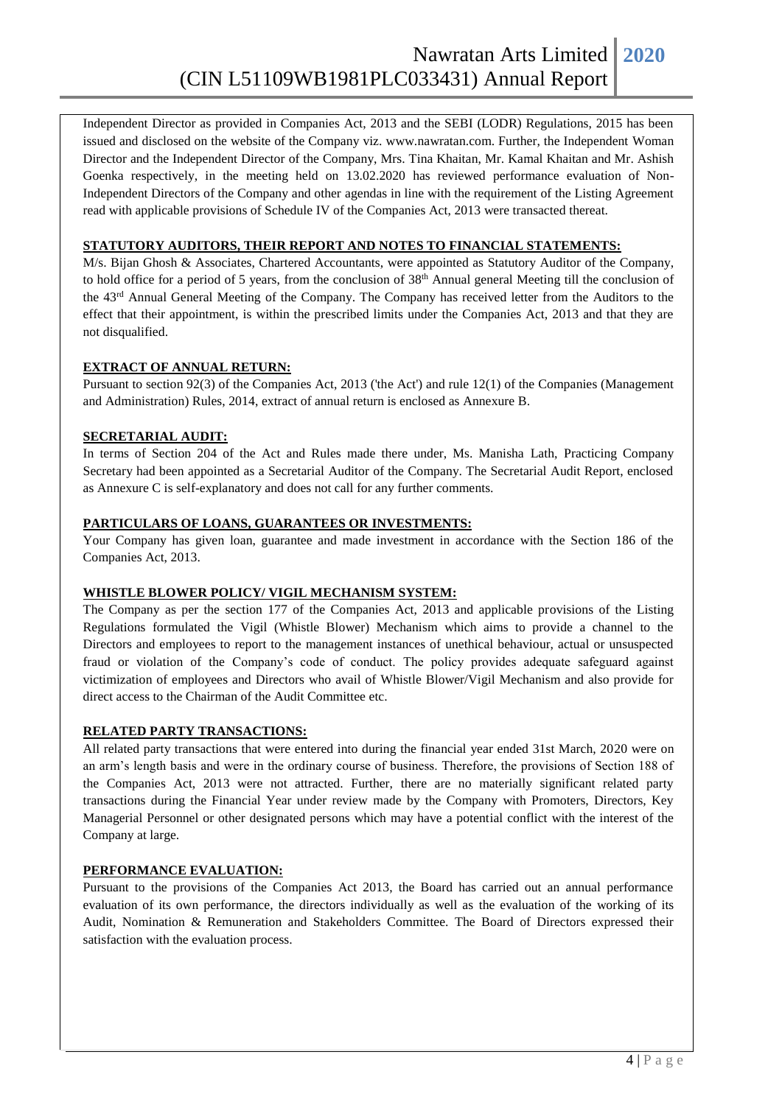Independent Director as provided in Companies Act, 2013 and the SEBI (LODR) Regulations, 2015 has been issued and disclosed on the website of the Company viz. www.nawratan.com. Further, the Independent Woman Director and the Independent Director of the Company, Mrs. Tina Khaitan, Mr. Kamal Khaitan and Mr. Ashish Goenka respectively, in the meeting held on 13.02.2020 has reviewed performance evaluation of Non-Independent Directors of the Company and other agendas in line with the requirement of the Listing Agreement read with applicable provisions of Schedule IV of the Companies Act, 2013 were transacted thereat.

# **STATUTORY AUDITORS, THEIR REPORT AND NOTES TO FINANCIAL STATEMENTS:**

M/s. Bijan Ghosh & Associates, Chartered Accountants, were appointed as Statutory Auditor of the Company, to hold office for a period of 5 years, from the conclusion of 38<sup>th</sup> Annual general Meeting till the conclusion of the 43<sup>rd</sup> Annual General Meeting of the Company. The Company has received letter from the Auditors to the effect that their appointment, is within the prescribed limits under the Companies Act, 2013 and that they are not disqualified.

# **EXTRACT OF ANNUAL RETURN:**

Pursuant to section 92(3) of the Companies Act, 2013 ('the Act') and rule 12(1) of the Companies (Management and Administration) Rules, 2014, extract of annual return is enclosed as Annexure B.

# **SECRETARIAL AUDIT:**

In terms of Section 204 of the Act and Rules made there under, Ms. Manisha Lath, Practicing Company Secretary had been appointed as a Secretarial Auditor of the Company. The Secretarial Audit Report, enclosed as Annexure C is self-explanatory and does not call for any further comments.

### **PARTICULARS OF LOANS, GUARANTEES OR INVESTMENTS:**

Your Company has given loan, guarantee and made investment in accordance with the Section 186 of the Companies Act, 2013.

### **WHISTLE BLOWER POLICY/ VIGIL MECHANISM SYSTEM:**

The Company as per the section 177 of the Companies Act, 2013 and applicable provisions of the Listing Regulations formulated the Vigil (Whistle Blower) Mechanism which aims to provide a channel to the Directors and employees to report to the management instances of unethical behaviour, actual or unsuspected fraud or violation of the Company's code of conduct. The policy provides adequate safeguard against victimization of employees and Directors who avail of Whistle Blower/Vigil Mechanism and also provide for direct access to the Chairman of the Audit Committee etc.

# **RELATED PARTY TRANSACTIONS:**

All related party transactions that were entered into during the financial year ended 31st March, 2020 were on an arm's length basis and were in the ordinary course of business. Therefore, the provisions of Section 188 of the Companies Act, 2013 were not attracted. Further, there are no materially significant related party transactions during the Financial Year under review made by the Company with Promoters, Directors, Key Managerial Personnel or other designated persons which may have a potential conflict with the interest of the Company at large.

### **PERFORMANCE EVALUATION:**

Pursuant to the provisions of the Companies Act 2013, the Board has carried out an annual performance evaluation of its own performance, the directors individually as well as the evaluation of the working of its Audit, Nomination & Remuneration and Stakeholders Committee. The Board of Directors expressed their satisfaction with the evaluation process.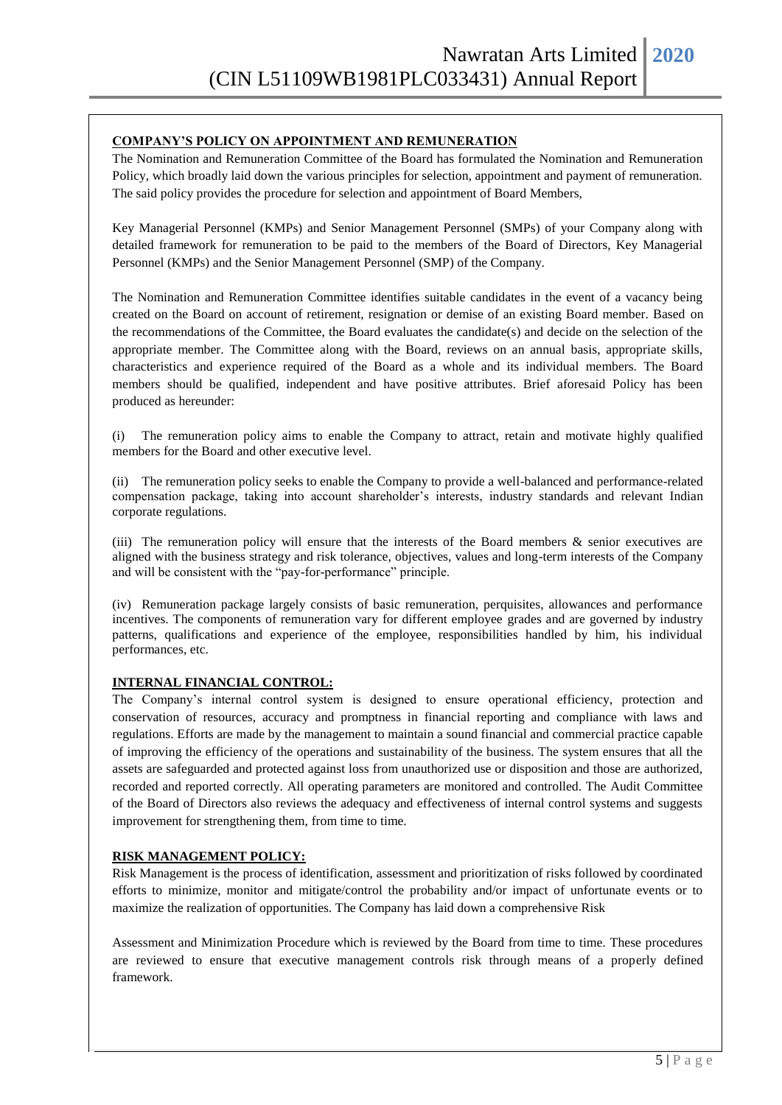# **COMPANY'S POLICY ON APPOINTMENT AND REMUNERATION**

The Nomination and Remuneration Committee of the Board has formulated the Nomination and Remuneration Policy, which broadly laid down the various principles for selection, appointment and payment of remuneration. The said policy provides the procedure for selection and appointment of Board Members,

Key Managerial Personnel (KMPs) and Senior Management Personnel (SMPs) of your Company along with detailed framework for remuneration to be paid to the members of the Board of Directors, Key Managerial Personnel (KMPs) and the Senior Management Personnel (SMP) of the Company.

The Nomination and Remuneration Committee identifies suitable candidates in the event of a vacancy being created on the Board on account of retirement, resignation or demise of an existing Board member. Based on the recommendations of the Committee, the Board evaluates the candidate(s) and decide on the selection of the appropriate member. The Committee along with the Board, reviews on an annual basis, appropriate skills, characteristics and experience required of the Board as a whole and its individual members. The Board members should be qualified, independent and have positive attributes. Brief aforesaid Policy has been produced as hereunder:

(i) The remuneration policy aims to enable the Company to attract, retain and motivate highly qualified members for the Board and other executive level.

(ii) The remuneration policy seeks to enable the Company to provide a well-balanced and performance-related compensation package, taking into account shareholder's interests, industry standards and relevant Indian corporate regulations.

(iii) The remuneration policy will ensure that the interests of the Board members & senior executives are aligned with the business strategy and risk tolerance, objectives, values and long-term interests of the Company and will be consistent with the "pay-for-performance" principle.

(iv) Remuneration package largely consists of basic remuneration, perquisites, allowances and performance incentives. The components of remuneration vary for different employee grades and are governed by industry patterns, qualifications and experience of the employee, responsibilities handled by him, his individual performances, etc.

### **INTERNAL FINANCIAL CONTROL:**

The Company's internal control system is designed to ensure operational efficiency, protection and conservation of resources, accuracy and promptness in financial reporting and compliance with laws and regulations. Efforts are made by the management to maintain a sound financial and commercial practice capable of improving the efficiency of the operations and sustainability of the business. The system ensures that all the assets are safeguarded and protected against loss from unauthorized use or disposition and those are authorized, recorded and reported correctly. All operating parameters are monitored and controlled. The Audit Committee of the Board of Directors also reviews the adequacy and effectiveness of internal control systems and suggests improvement for strengthening them, from time to time.

# **RISK MANAGEMENT POLICY:**

Risk Management is the process of identification, assessment and prioritization of risks followed by coordinated efforts to minimize, monitor and mitigate/control the probability and/or impact of unfortunate events or to maximize the realization of opportunities. The Company has laid down a comprehensive Risk

Assessment and Minimization Procedure which is reviewed by the Board from time to time. These procedures are reviewed to ensure that executive management controls risk through means of a properly defined framework.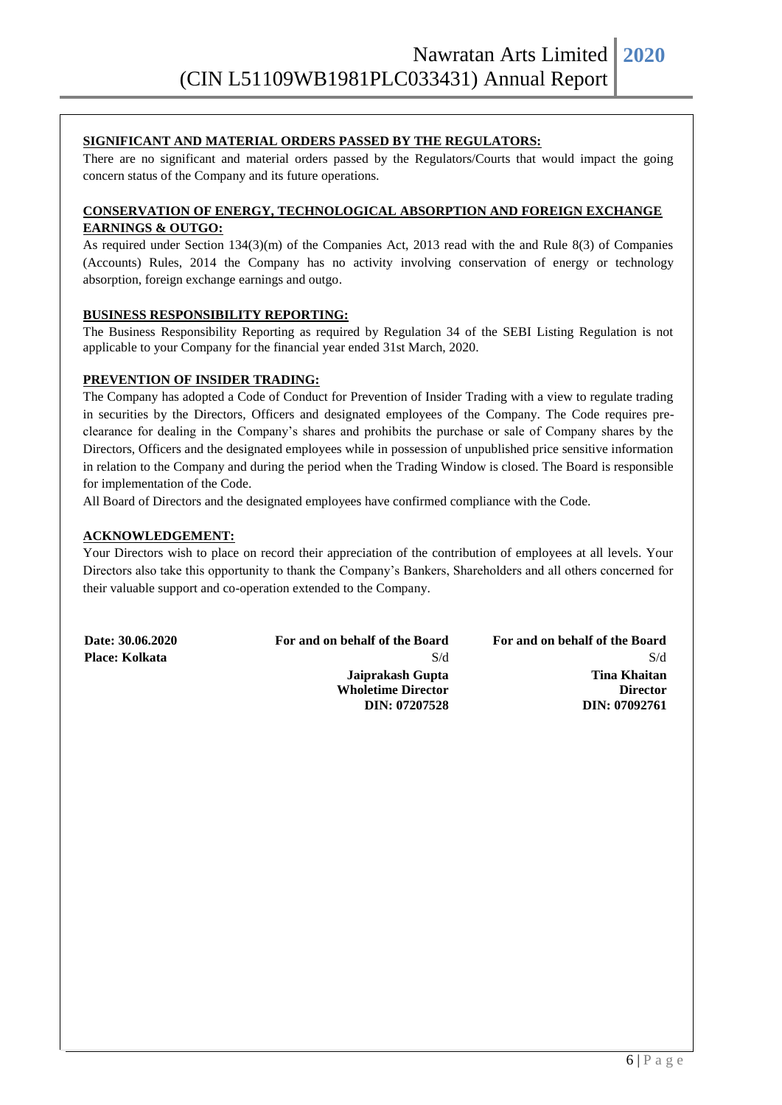# **SIGNIFICANT AND MATERIAL ORDERS PASSED BY THE REGULATORS:**

There are no significant and material orders passed by the Regulators/Courts that would impact the going concern status of the Company and its future operations.

# **CONSERVATION OF ENERGY, TECHNOLOGICAL ABSORPTION AND FOREIGN EXCHANGE EARNINGS & OUTGO:**

As required under Section 134(3)(m) of the Companies Act, 2013 read with the and Rule 8(3) of Companies (Accounts) Rules, 2014 the Company has no activity involving conservation of energy or technology absorption, foreign exchange earnings and outgo.

# **BUSINESS RESPONSIBILITY REPORTING:**

The Business Responsibility Reporting as required by Regulation 34 of the SEBI Listing Regulation is not applicable to your Company for the financial year ended 31st March, 2020.

# **PREVENTION OF INSIDER TRADING:**

The Company has adopted a Code of Conduct for Prevention of Insider Trading with a view to regulate trading in securities by the Directors, Officers and designated employees of the Company. The Code requires preclearance for dealing in the Company's shares and prohibits the purchase or sale of Company shares by the Directors, Officers and the designated employees while in possession of unpublished price sensitive information in relation to the Company and during the period when the Trading Window is closed. The Board is responsible for implementation of the Code.

All Board of Directors and the designated employees have confirmed compliance with the Code.

# **ACKNOWLEDGEMENT:**

Your Directors wish to place on record their appreciation of the contribution of employees at all levels. Your Directors also take this opportunity to thank the Company's Bankers, Shareholders and all others concerned for their valuable support and co-operation extended to the Company.

| Date: 30.06.2020 | For and on behalf of the Board | For and on behalf of the Board |
|------------------|--------------------------------|--------------------------------|
| Place: Kolkata   | S/d                            | S/d                            |
|                  | Jaiprakash Gupta               | Tina Khaitan                   |
|                  | <b>Wholetime Director</b>      | <b>Director</b>                |

**Director DIN: [07207528](http://www.mca.gov.in/mcafoportal/companyLLPMasterData.do) DIN: [07092761](http://www.mca.gov.in/mcafoportal/companyLLPMasterData.do)**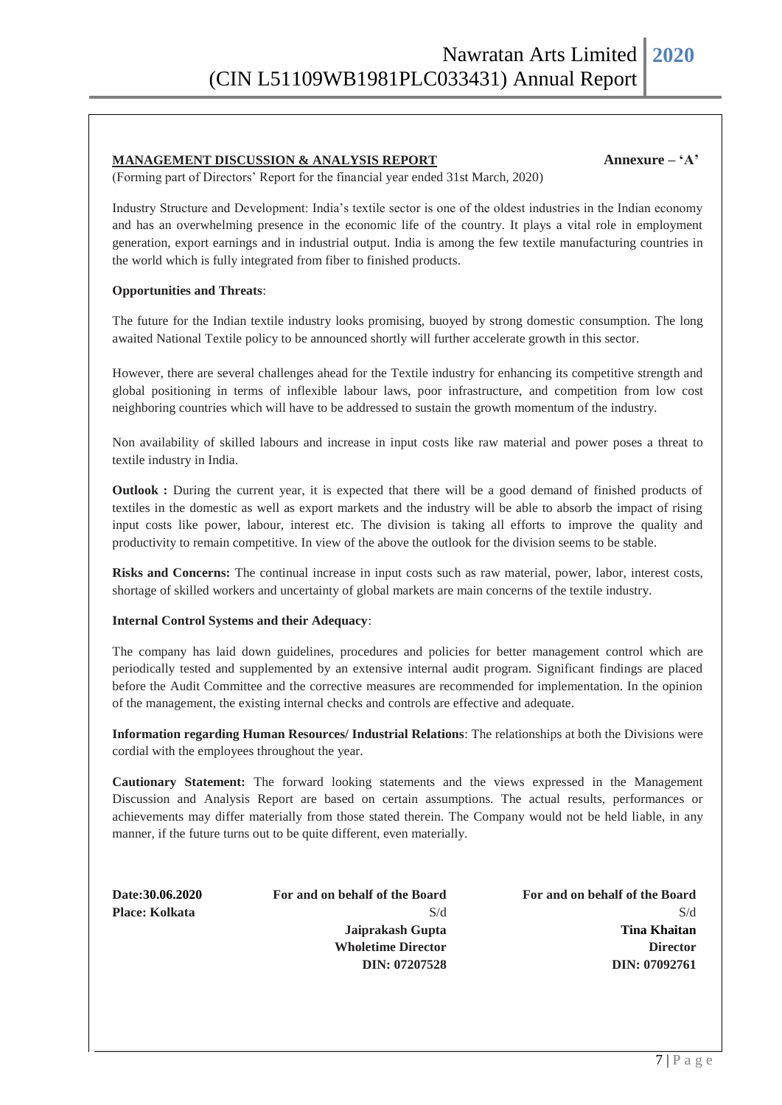# **MANAGEMENT DISCUSSION & ANALYSIS REPORT Annexure – 'A'**

(Forming part of Directors' Report for the financial year ended 31st March, 2020)

Industry Structure and Development: India's textile sector is one of the oldest industries in the Indian economy and has an overwhelming presence in the economic life of the country. It plays a vital role in employment generation, export earnings and in industrial output. India is among the few textile manufacturing countries in the world which is fully integrated from fiber to finished products.

### **Opportunities and Threats**:

The future for the Indian textile industry looks promising, buoyed by strong domestic consumption. The long awaited National Textile policy to be announced shortly will further accelerate growth in this sector.

However, there are several challenges ahead for the Textile industry for enhancing its competitive strength and global positioning in terms of inflexible labour laws, poor infrastructure, and competition from low cost neighboring countries which will have to be addressed to sustain the growth momentum of the industry.

Non availability of skilled labours and increase in input costs like raw material and power poses a threat to textile industry in India.

**Outlook :** During the current year, it is expected that there will be a good demand of finished products of textiles in the domestic as well as export markets and the industry will be able to absorb the impact of rising input costs like power, labour, interest etc. The division is taking all efforts to improve the quality and productivity to remain competitive. In view of the above the outlook for the division seems to be stable.

**Risks and Concerns:** The continual increase in input costs such as raw material, power, labor, interest costs, shortage of skilled workers and uncertainty of global markets are main concerns of the textile industry.

#### **Internal Control Systems and their Adequacy**:

The company has laid down guidelines, procedures and policies for better management control which are periodically tested and supplemented by an extensive internal audit program. Significant findings are placed before the Audit Committee and the corrective measures are recommended for implementation. In the opinion of the management, the existing internal checks and controls are effective and adequate.

**Information regarding Human Resources/ Industrial Relations**: The relationships at both the Divisions were cordial with the employees throughout the year.

**Cautionary Statement:** The forward looking statements and the views expressed in the Management Discussion and Analysis Report are based on certain assumptions. The actual results, performances or achievements may differ materially from those stated therein. The Company would not be held liable, in any manner, if the future turns out to be quite different, even materially.

**Date:30.06.2020 Place: Kolkata**

**For and on behalf of the Board** S/d **Jaiprakash Gupta Wholetime Director**

**For and on behalf of the Board**  $S/d$ **Tina Khaitan Director DIN: [07207528](http://www.mca.gov.in/mcafoportal/companyLLPMasterData.do) DIN: [07092761](http://www.mca.gov.in/mcafoportal/companyLLPMasterData.do)**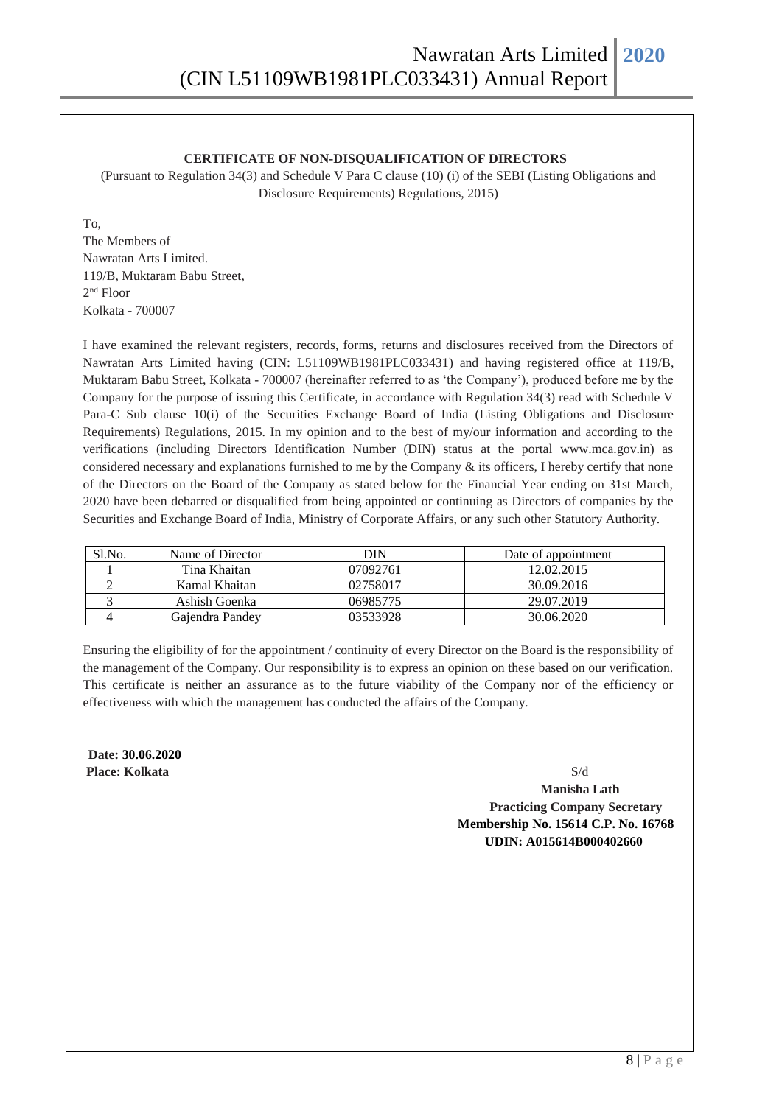### **CERTIFICATE OF NON-DISQUALIFICATION OF DIRECTORS**

(Pursuant to Regulation 34(3) and Schedule V Para C clause (10) (i) of the SEBI (Listing Obligations and Disclosure Requirements) Regulations, 2015)

To,

The Members of Nawratan Arts Limited. 119/B, Muktaram Babu Street, 2 nd Floor Kolkata - 700007

I have examined the relevant registers, records, forms, returns and disclosures received from the Directors of Nawratan Arts Limited having (CIN: L51109WB1981PLC033431) and having registered office at 119/B, Muktaram Babu Street, Kolkata - 700007 (hereinafter referred to as 'the Company'), produced before me by the Company for the purpose of issuing this Certificate, in accordance with Regulation 34(3) read with Schedule V Para-C Sub clause 10(i) of the Securities Exchange Board of India (Listing Obligations and Disclosure Requirements) Regulations, 2015. In my opinion and to the best of my/our information and according to the verifications (including Directors Identification Number (DIN) status at the portal www.mca.gov.in) as considered necessary and explanations furnished to me by the Company & its officers, I hereby certify that none of the Directors on the Board of the Company as stated below for the Financial Year ending on 31st March, 2020 have been debarred or disqualified from being appointed or continuing as Directors of companies by the Securities and Exchange Board of India, Ministry of Corporate Affairs, or any such other Statutory Authority.

| Sl.No. | Name of Director | DIN      | Date of appointment |
|--------|------------------|----------|---------------------|
|        | Tina Khaitan     | 07092761 | 12.02.2015          |
|        | Kamal Khaitan    | 02758017 | 30.09.2016          |
|        | Ashish Goenka    | 06985775 | 29.07.2019          |
|        | Gaiendra Pandev  | 03533928 | 30.06.2020          |

Ensuring the eligibility of for the appointment / continuity of every Director on the Board is the responsibility of the management of the Company. Our responsibility is to express an opinion on these based on our verification. This certificate is neither an assurance as to the future viability of the Company nor of the efficiency or effectiveness with which the management has conducted the affairs of the Company.

 **Date: 30.06.2020 Place: Kolkata** S/d

 **Manisha Lath Practicing Company Secretary Membership No. 15614 C.P. No. 16768 UDIN: A015614B000402660**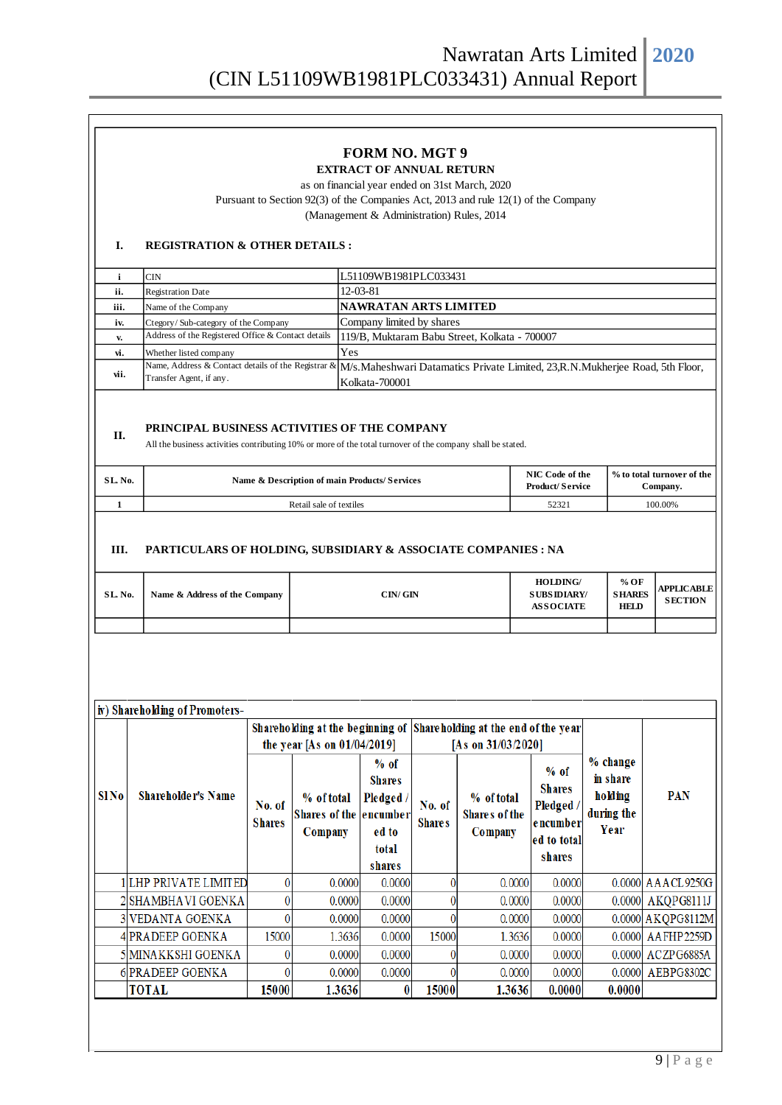### **FORM NO. MGT 9 EXTRACT OF ANNUAL RETURN**

as on financial year ended on 31st March, 2020

Pursuant to Section 92(3) of the Companies Act, 2013 and rule 12(1) of the Company (Management & Administration) Rules, 2014

#### **I. REGISTRATION & OTHER DETAILS :**

|      | CIN                                                | L51109WB1981PLC033431                                                                                                             |
|------|----------------------------------------------------|-----------------------------------------------------------------------------------------------------------------------------------|
| ii.  | <b>Registration Date</b>                           | 12-03-81                                                                                                                          |
| iii. | Name of the Company                                | <b>NAWRATAN ARTS LIMITED</b>                                                                                                      |
| iv.  | Ctegory/Sub-category of the Company                | Company limited by shares                                                                                                         |
| v.   | Address of the Registered Office & Contact details | 119/B, Muktaram Babu Street, Kolkata - 700007                                                                                     |
| vi.  | Whether listed company                             | Yes                                                                                                                               |
| vii. |                                                    | Name, Address & Contact details of the Registrar & M/s. Maheshwari Datamatics Private Limited, 23,R.N. Mukherjee Road, 5th Floor, |
|      | Transfer Agent, if any.                            | Kolkata-700001                                                                                                                    |

# **PRINCIPAL BUSINESS ACTIVITIES OF THE COMPANY II.**

All the business activities contributing 10% or more of the total turnover of the company shall be stated.

| SL No. | Name & Description of main Products/Services | NIC Code of the<br>Product/ Service | % to total turnover of the<br>Company. |  |
|--------|----------------------------------------------|-------------------------------------|----------------------------------------|--|
|        | Retail sale of textiles                      | 52321                               | 100.00%                                |  |

#### **III. PARTICULARS OF HOLDING, SUBSIDIARY & ASSOCIATE COMPANIES : NA**

| SL No. | Name & Address of the Company | $\text{CIN}/\text{GIN}$ | HOLDING/<br><b>SUBSIDIARY/</b><br><b>ASSOCIATE</b> | % OF<br><b>SHARES</b><br><b>HELD</b> | <b>APPLICABLE</b><br><b>SECTION</b> |
|--------|-------------------------------|-------------------------|----------------------------------------------------|--------------------------------------|-------------------------------------|
|        |                               |                         |                                                    |                                      |                                     |

| iv) Shareholding of Promoters- |                           |                         |                                                        |                                                                  |                         |                                                                                               |                                                                           |                                                        |                   |
|--------------------------------|---------------------------|-------------------------|--------------------------------------------------------|------------------------------------------------------------------|-------------------------|-----------------------------------------------------------------------------------------------|---------------------------------------------------------------------------|--------------------------------------------------------|-------------------|
|                                |                           |                         | the year [As on $01/04/2019$ ]                         |                                                                  |                         | Shareholding at the beginning of Shareholding at the end of the year<br>[As on $31/03/2020$ ] |                                                                           |                                                        |                   |
| <b>SINo</b>                    | <b>Shareholder's Name</b> | No. of<br><b>Shares</b> | % of total<br><b>Shares of the encumber</b><br>Company | $%$ of<br><b>Shares</b><br>Pledged /<br>ed to<br>total<br>shares | No. of<br><b>Shares</b> | % of total<br><b>Shares of the</b><br>Company                                                 | $%$ of<br><b>Shares</b><br>Pledged /<br>encumber<br>ed to total<br>shares | % change<br>in share<br>ho kling<br>during the<br>Year | <b>PAN</b>        |
|                                | 1 LHP PRIVATE LIMITED     |                         | 0.0000                                                 | 0.0000                                                           |                         | 0.0000                                                                                        | 0.0000                                                                    |                                                        | 0.0000 AAACL9250G |
|                                | 2 SHAMBHA VI GOENKA       |                         | 0.0000                                                 | 0.0000                                                           |                         | 0.0000                                                                                        | 0.0000                                                                    |                                                        | 0.0000 AKQPG8111J |
|                                | <b>3 VEDANTA GOENKA</b>   |                         | 0.0000                                                 | 0.0000                                                           |                         | 0.0000                                                                                        | 0.0000                                                                    |                                                        | 0.0000 AKQPG8112M |
|                                | 4 PRADEEP GOENKA          | 15000                   | 1.3636                                                 | 0.0000                                                           | 15000                   | 1.3636                                                                                        | 0.0000                                                                    | 0.0000                                                 | AAFHP2259D        |
|                                | 5 MINAKKSHI GOENKA        |                         | 0.0000                                                 | 0.0000                                                           |                         | 0.0000                                                                                        | 0.0000                                                                    |                                                        | 0.0000 ACZPG6885A |
|                                | 6 PRADEEP GOENKA          |                         | 0.0000                                                 | 0.0000                                                           |                         | 0.0000                                                                                        | 0.0000                                                                    |                                                        | 0.0000 AEBPG8302C |
|                                | <b>TOTAL</b>              | 15000                   | 1.3636                                                 |                                                                  | 15000                   | 1.3636                                                                                        | 0.0000                                                                    | 0.0000                                                 |                   |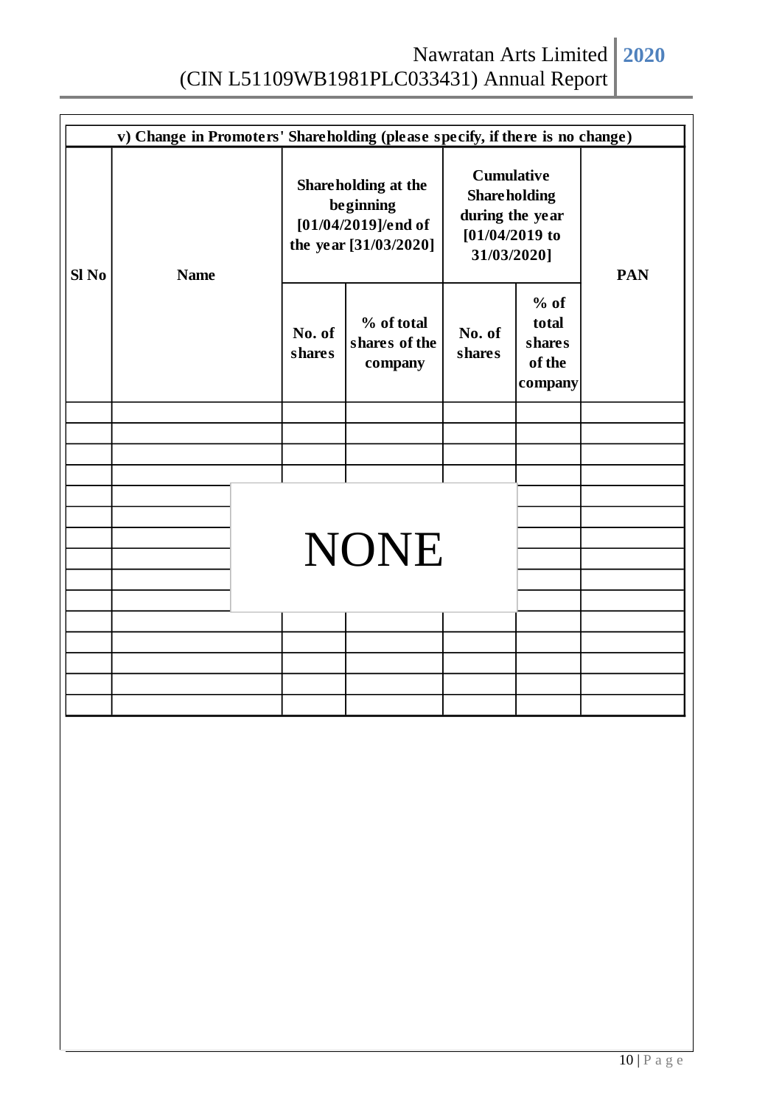Nawratan Arts Limited (CIN L51109WB1981PLC033431) Annual Report **2020**

|                  | v) Change in Promoters' Shareholding (please specify, if there is no change) |  |                  |                                                                                     |                                                                                                 |                                                |            |
|------------------|------------------------------------------------------------------------------|--|------------------|-------------------------------------------------------------------------------------|-------------------------------------------------------------------------------------------------|------------------------------------------------|------------|
| Sl <sub>No</sub> | <b>Name</b>                                                                  |  |                  | Shareholding at the<br>beginning<br>$[01/04/2019]$ /end of<br>the year [31/03/2020] | <b>Cumulative</b><br><b>Shareholding</b><br>during the year<br>$[01/04/2019]$ to<br>31/03/2020] |                                                | <b>PAN</b> |
|                  |                                                                              |  | No. of<br>shares | % of total<br>shares of the<br>company                                              | No. of<br><b>shares</b>                                                                         | $%$ of<br>total<br>shares<br>of the<br>company |            |
|                  |                                                                              |  |                  |                                                                                     |                                                                                                 |                                                |            |
|                  |                                                                              |  |                  |                                                                                     |                                                                                                 |                                                |            |
|                  |                                                                              |  |                  |                                                                                     |                                                                                                 |                                                |            |
|                  |                                                                              |  |                  |                                                                                     |                                                                                                 |                                                |            |
|                  |                                                                              |  |                  | <b>NONE</b>                                                                         |                                                                                                 |                                                |            |
|                  |                                                                              |  |                  |                                                                                     |                                                                                                 |                                                |            |
|                  |                                                                              |  |                  |                                                                                     |                                                                                                 |                                                |            |
|                  |                                                                              |  |                  |                                                                                     |                                                                                                 |                                                |            |
|                  |                                                                              |  |                  |                                                                                     |                                                                                                 |                                                |            |
|                  |                                                                              |  |                  |                                                                                     |                                                                                                 |                                                |            |
|                  |                                                                              |  |                  |                                                                                     |                                                                                                 |                                                |            |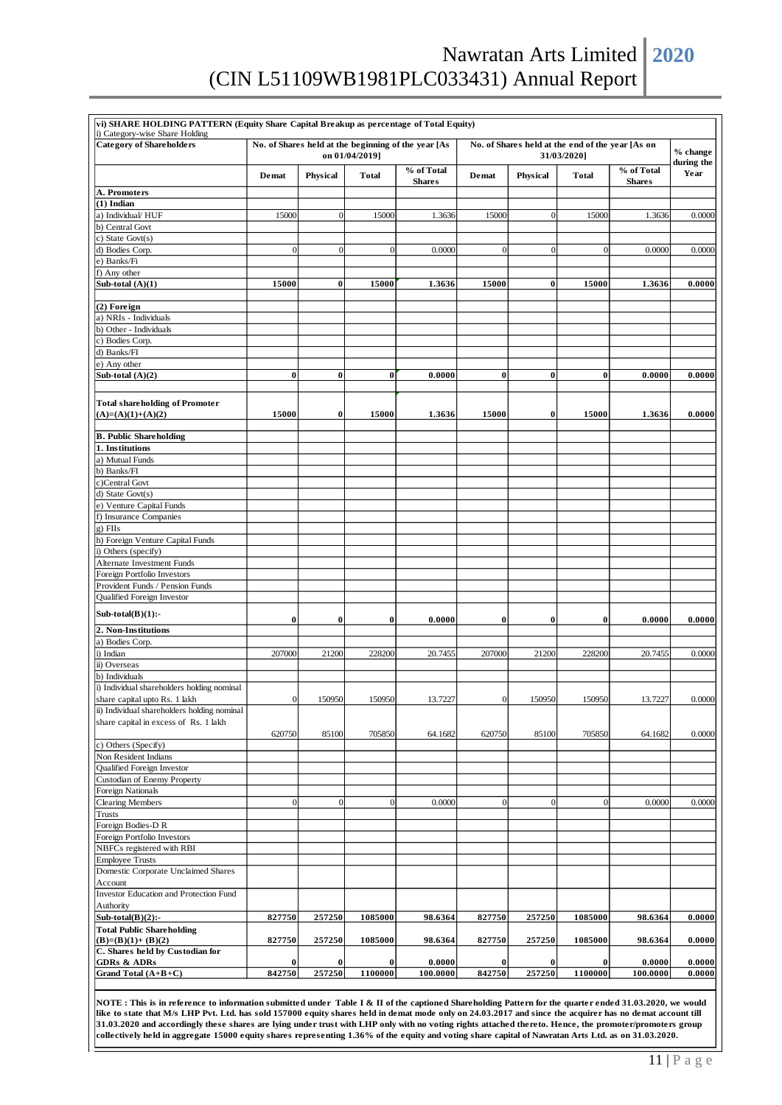# Nawratan Arts Limited **2020** (CIN L51109WB1981PLC033431) Annual Report

| vi) SHARE HOLDING PATTERN (Equity Share Capital Breakup as percentage of Total Equity)<br>i) Category-wise Share Holding |                    |                    |                     |                                                     |                                                                 |                    |                     |                             |                        |
|--------------------------------------------------------------------------------------------------------------------------|--------------------|--------------------|---------------------|-----------------------------------------------------|-----------------------------------------------------------------|--------------------|---------------------|-----------------------------|------------------------|
| <b>Category of Shareholders</b>                                                                                          |                    |                    | on 01/04/2019]      | No. of Shares held at the beginning of the year [As | No. of Shares held at the end of the year [As on<br>31/03/2020] |                    |                     |                             | % change<br>during the |
|                                                                                                                          | Demat              | <b>Physical</b>    | Total               | % of Total<br><b>Shares</b>                         | Demat                                                           | <b>Physical</b>    | Total               | % of Total<br><b>Shares</b> | Year                   |
| A. Promoters                                                                                                             |                    |                    |                     |                                                     |                                                                 |                    |                     |                             |                        |
| $(1)$ Indian                                                                                                             |                    |                    |                     |                                                     |                                                                 |                    |                     |                             |                        |
| a) Individual/HUF<br>b) Central Govt                                                                                     | 15000              | $\mathbf{0}$       | 15000               | 1.3636                                              | 15000                                                           | $\mathbf{0}$       | 15000               | 1.3636                      | 0.0000                 |
|                                                                                                                          |                    |                    |                     |                                                     |                                                                 |                    |                     |                             |                        |
| c) State $Govt(s)$<br>d) Bodies Corp.                                                                                    | $\mathbf{0}$       | $\mathbf{0}$       | $\mathbf{0}$        | 0.0000                                              | $\overline{0}$                                                  | $\overline{0}$     | $\overline{0}$      | 0.0000                      | 0.0000                 |
| e) Banks/Fi                                                                                                              |                    |                    |                     |                                                     |                                                                 |                    |                     |                             |                        |
| f) Any other                                                                                                             |                    |                    |                     |                                                     |                                                                 |                    |                     |                             |                        |
| Sub-total $(A)(1)$                                                                                                       | 15000              | $\bf{0}$           | 15000               | 1.3636                                              | 15000                                                           | $\bf{0}$           | 15000               | 1.3636                      | 0.0000                 |
| (2) Foreign                                                                                                              |                    |                    |                     |                                                     |                                                                 |                    |                     |                             |                        |
| a) NRIs - Individuals                                                                                                    |                    |                    |                     |                                                     |                                                                 |                    |                     |                             |                        |
| b) Other - Individuals                                                                                                   |                    |                    |                     |                                                     |                                                                 |                    |                     |                             |                        |
| c) Bodies Corp.                                                                                                          |                    |                    |                     |                                                     |                                                                 |                    |                     |                             |                        |
| d) Banks/FI                                                                                                              |                    |                    |                     |                                                     |                                                                 |                    |                     |                             |                        |
| e) Any other                                                                                                             |                    |                    |                     |                                                     |                                                                 |                    |                     |                             |                        |
| Sub-total $(A)(2)$                                                                                                       | $\bf{0}$           | $\bf{0}$           | $\bf{0}$            | 0.0000                                              | $\bf{0}$                                                        | $\bf{0}$           | $\bf{0}$            | 0.0000                      | 0.0000                 |
| <b>Total shareholding of Promoter</b><br>$(A)=(A)(1)+(A)(2)$                                                             | 15000              | $\bf{0}$           | 15000               | 1.3636                                              | 15000                                                           | 0                  | 15000               | 1.3636                      | 0.0000                 |
|                                                                                                                          |                    |                    |                     |                                                     |                                                                 |                    |                     |                             |                        |
| <b>B.</b> Public Shareholding                                                                                            |                    |                    |                     |                                                     |                                                                 |                    |                     |                             |                        |
| 1. Institutions                                                                                                          |                    |                    |                     |                                                     |                                                                 |                    |                     |                             |                        |
| a) Mutual Funds                                                                                                          |                    |                    |                     |                                                     |                                                                 |                    |                     |                             |                        |
| b) Banks/FI                                                                                                              |                    |                    |                     |                                                     |                                                                 |                    |                     |                             |                        |
| c)Central Govt                                                                                                           |                    |                    |                     |                                                     |                                                                 |                    |                     |                             |                        |
| d) State Govt(s)                                                                                                         |                    |                    |                     |                                                     |                                                                 |                    |                     |                             |                        |
| e) Venture Capital Funds                                                                                                 |                    |                    |                     |                                                     |                                                                 |                    |                     |                             |                        |
| f) Insurance Companies                                                                                                   |                    |                    |                     |                                                     |                                                                 |                    |                     |                             |                        |
| g) FIIs                                                                                                                  |                    |                    |                     |                                                     |                                                                 |                    |                     |                             |                        |
| h) Foreign Venture Capital Funds                                                                                         |                    |                    |                     |                                                     |                                                                 |                    |                     |                             |                        |
| i) Others (specify)                                                                                                      |                    |                    |                     |                                                     |                                                                 |                    |                     |                             |                        |
| Alternate Investment Funds                                                                                               |                    |                    |                     |                                                     |                                                                 |                    |                     |                             |                        |
| Foreign Portfolio Investors                                                                                              |                    |                    |                     |                                                     |                                                                 |                    |                     |                             |                        |
| Provident Funds / Pension Funds                                                                                          |                    |                    |                     |                                                     |                                                                 |                    |                     |                             |                        |
| Qualified Foreign Investor                                                                                               |                    |                    |                     |                                                     |                                                                 |                    |                     |                             |                        |
| Sub-total $(B)(1)$ :                                                                                                     | $\bf{0}$           | $\bf{0}$           | $\bf{0}$            | 0.0000                                              | $\bf{0}$                                                        | $\bf{0}$           | $\bf{0}$            | 0.0000                      | 0.0000                 |
| 2. Non-Institutions                                                                                                      |                    |                    |                     |                                                     |                                                                 |                    |                     |                             |                        |
| a) Bodies Corp.                                                                                                          |                    |                    |                     |                                                     |                                                                 |                    |                     |                             |                        |
| i) Indian                                                                                                                | 207000             | 21200              | 228200              | 20.7455                                             | 207000                                                          | 21200              | 228200              | 20.7455                     | 0.0000                 |
| ii) Overseas                                                                                                             |                    |                    |                     |                                                     |                                                                 |                    |                     |                             |                        |
| b) Individuals                                                                                                           |                    |                    |                     |                                                     |                                                                 |                    |                     |                             |                        |
| i) Individual shareholders holding nominal                                                                               | $\Omega$           | 150950             | 150950              |                                                     | $\mathbf{0}$                                                    | 150950             | 150950              |                             | 0.0000                 |
| share capital upto Rs. 1 lakh<br>ii) Individual shareholders holding nominal                                             |                    |                    |                     | 13.7227                                             |                                                                 |                    |                     | 13.7227                     |                        |
| share capital in excess of Rs. 1 lakh                                                                                    |                    |                    |                     |                                                     |                                                                 |                    |                     |                             |                        |
|                                                                                                                          | 620750             | 85100              | 705850              | 64.1682                                             | 620750                                                          | 85100              | 705850              | 64.1682                     | 0.0000                 |
| c) Others (Specify)                                                                                                      |                    |                    |                     |                                                     |                                                                 |                    |                     |                             |                        |
| Non Resident Indians                                                                                                     |                    |                    |                     |                                                     |                                                                 |                    |                     |                             |                        |
| Qualified Foreign Investor                                                                                               |                    |                    |                     |                                                     |                                                                 |                    |                     |                             |                        |
| Custodian of Enemy Property                                                                                              |                    |                    |                     |                                                     |                                                                 |                    |                     |                             |                        |
| <b>Foreign Nationals</b>                                                                                                 |                    |                    |                     |                                                     |                                                                 |                    |                     |                             |                        |
| <b>Clearing Members</b>                                                                                                  | $\mathbf{0}$       | $\boldsymbol{0}$   | $\vert$ 0           | 0.0000                                              | $\boldsymbol{0}$                                                | $\mathbf{0}$       | $\mathbf{0}$        | 0.0000                      | 0.0000                 |
| Trusts                                                                                                                   |                    |                    |                     |                                                     |                                                                 |                    |                     |                             |                        |
| Foreign Bodies-D R                                                                                                       |                    |                    |                     |                                                     |                                                                 |                    |                     |                             |                        |
| Foreign Portfolio Investors<br>NBFCs registered with RBI                                                                 |                    |                    |                     |                                                     |                                                                 |                    |                     |                             |                        |
|                                                                                                                          |                    |                    |                     |                                                     |                                                                 |                    |                     |                             |                        |
| <b>Employee Trusts</b><br>Domestic Corporate Unclaimed Shares                                                            |                    |                    |                     |                                                     |                                                                 |                    |                     |                             |                        |
| Account                                                                                                                  |                    |                    |                     |                                                     |                                                                 |                    |                     |                             |                        |
| Investor Education and Protection Fund                                                                                   |                    |                    |                     |                                                     |                                                                 |                    |                     |                             |                        |
| Authority                                                                                                                |                    |                    |                     |                                                     |                                                                 |                    |                     |                             |                        |
| Sub-total $(B)(2)$ :-                                                                                                    | 827750             | 257250             | 1085000             | 98.6364                                             | 827750                                                          | 257250             | 1085000             | 98.6364                     | 0.0000                 |
| <b>Total Public Shareholding</b>                                                                                         |                    |                    |                     |                                                     |                                                                 |                    |                     |                             |                        |
| $(B)=(B)(1)+(B)(2)$                                                                                                      | 827750             | 257250             | 1085000             | 98.6364                                             | 827750                                                          | 257250             | 1085000             | 98.6364                     | 0.0000                 |
| C. Shares held by Custodian for                                                                                          |                    |                    |                     |                                                     |                                                                 |                    |                     |                             |                        |
| <b>GDRs &amp; ADRs</b><br>Grand Total $(A+B+C)$                                                                          | $\bf{0}$<br>842750 | $\bf{0}$<br>257250 | $\bf{0}$<br>1100000 | 0.0000<br>100.0000                                  | $\bf{0}$<br>842750                                              | $\bf{0}$<br>257250 | $\bf{0}$<br>1100000 | 0.0000<br>100.0000          | 0.0000<br>0.0000       |
|                                                                                                                          |                    |                    |                     |                                                     |                                                                 |                    |                     |                             |                        |
|                                                                                                                          |                    |                    |                     |                                                     |                                                                 |                    |                     |                             |                        |

**NOTE : This is in reference to information submitted under Table I & II of the captioned Shareholding Pattern for the quarter ended 31.03.2020, we would like to state that M/s LHP Pvt. Ltd. has sold 157000 equity shares held in demat mode only on 24.03.2017 and since the acquirer has no demat account till 31.03.2020 and accordingly these shares are lying under trust with LHP only with no voting rights attached thereto. Hence, the promoter/promoters group collectively held in aggregate 15000 equity shares representing 1.36% of the equity and voting share capital of Nawratan Arts Ltd. as on 31.03.2020.**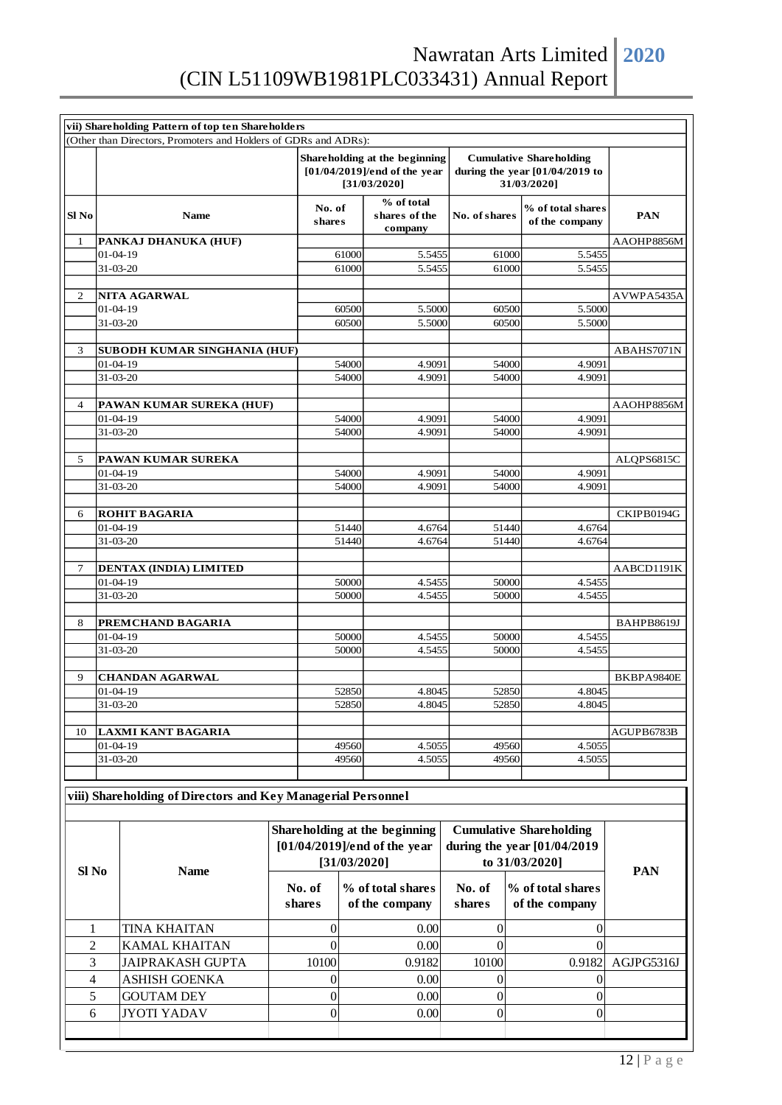#### Nawratan Arts Limited (CIN L51109WB1981PLC033431) Annual Report **2020**

|                | vii) Shareholding Pattern of top ten Shareholders<br>(Other than Directors, Promoters and Holders of GDRs and ADRs): |                                                              |               |                                 |                |                                 |                  |                                   |                                |            |
|----------------|----------------------------------------------------------------------------------------------------------------------|--------------------------------------------------------------|---------------|---------------------------------|----------------|---------------------------------|------------------|-----------------------------------|--------------------------------|------------|
|                |                                                                                                                      |                                                              |               |                                 |                | Shareholding at the beginning   |                  |                                   | <b>Cumulative Shareholding</b> |            |
|                |                                                                                                                      |                                                              |               | $[01/04/2019]$ /end of the year |                |                                 |                  | during the year $[01/04/2019]$ to |                                |            |
|                |                                                                                                                      |                                                              |               |                                 |                | [31/03/2020]                    |                  |                                   | 31/03/2020]                    |            |
| Sl No          |                                                                                                                      | <b>Name</b>                                                  |               | No. of                          |                | % of total<br>shares of the     | No. of shares    |                                   | % of total shares              |            |
|                |                                                                                                                      |                                                              |               | shares                          |                | company                         |                  |                                   | of the company                 | PAN        |
| 1              |                                                                                                                      | PANKAJ DHANUKA (HUF)                                         |               |                                 |                |                                 |                  |                                   |                                | AAOHP8856M |
|                | $01-04-19$                                                                                                           |                                                              |               |                                 | 61000          | 5.5455                          |                  | 61000                             | 5.5455                         |            |
|                | $31 - 03 - 20$                                                                                                       |                                                              |               |                                 | 61000          | 5.5455                          |                  | 61000                             | 5.5455                         |            |
| 2              |                                                                                                                      | <b>NITA AGARWAL</b>                                          |               |                                 |                |                                 |                  |                                   |                                | AVWPA5435A |
|                | $01-04-19$                                                                                                           |                                                              |               |                                 | 60500          | 5.5000                          |                  | 60500                             | 5.5000                         |            |
|                | $31 - 03 - 20$                                                                                                       |                                                              |               |                                 | 60500          | 5.5000                          |                  | 60500                             | 5.5000                         |            |
| 3              |                                                                                                                      | <b>SUBODH KUMAR SINGHANIA (HUF)</b>                          |               |                                 |                |                                 |                  |                                   |                                | ABAHS7071N |
|                | $01-04-19$                                                                                                           |                                                              |               |                                 | 54000          | 4.9091                          |                  | 54000                             | 4.9091                         |            |
|                | $31 - 03 - 20$                                                                                                       |                                                              |               |                                 | 54000          | 4.9091                          |                  | 54000                             | 4.9091                         |            |
| $\overline{4}$ |                                                                                                                      | PAWAN KUMAR SUREKA (HUF)                                     |               |                                 |                |                                 |                  |                                   |                                | AAOHP8856M |
|                | $01-04-19$                                                                                                           |                                                              |               |                                 | 54000          | 4.9091                          |                  | 54000                             | 4.9091                         |            |
|                | $31 - 03 - 20$                                                                                                       |                                                              |               |                                 | 54000          | 4.9091                          |                  | 54000                             | 4.9091                         |            |
| 5              |                                                                                                                      | PAWAN KUMAR SUREKA                                           |               |                                 |                |                                 |                  |                                   |                                | ALQPS6815C |
|                | $01-04-19$                                                                                                           |                                                              |               |                                 | 54000          | 4.9091                          |                  | 54000                             | 4.9091                         |            |
|                | $31 - 03 - 20$                                                                                                       |                                                              |               |                                 | 54000          | 4.9091                          |                  | 54000                             | 4.9091                         |            |
|                |                                                                                                                      |                                                              |               |                                 |                |                                 |                  |                                   |                                |            |
| 6              | $01-04-19$                                                                                                           | <b>ROHIT BAGARIA</b>                                         |               |                                 | 51440          | 4.6764                          |                  | 51440                             | 4.6764                         | CKIPB0194G |
|                | $31 - 03 - 20$                                                                                                       |                                                              |               |                                 | 51440          | 4.6764                          |                  | 51440                             | 4.6764                         |            |
|                |                                                                                                                      |                                                              |               |                                 |                |                                 |                  |                                   |                                |            |
| 7              | $01-04-19$                                                                                                           | DENTAX (INDIA) LIMITED                                       |               |                                 | 50000          | 4.5455                          |                  | 50000                             | 4.5455                         | AABCD1191K |
|                | 31-03-20                                                                                                             |                                                              |               |                                 | 50000          | 4.5455                          |                  | 50000                             | 4.5455                         |            |
|                |                                                                                                                      |                                                              |               |                                 |                |                                 |                  |                                   |                                |            |
| 8              |                                                                                                                      | PREMCHAND BAGARIA                                            |               |                                 |                |                                 |                  |                                   |                                | BAHPB8619J |
|                | $01 - 04 - 19$<br>$31 - 03 - 20$                                                                                     |                                                              |               |                                 | 50000<br>50000 | 4.5455<br>4.5455                |                  | 50000<br>50000                    | 4.5455<br>4.5455               |            |
|                |                                                                                                                      |                                                              |               |                                 |                |                                 |                  |                                   |                                |            |
| 9              |                                                                                                                      | <b>CHANDAN AGARWAL</b>                                       |               |                                 |                |                                 |                  |                                   |                                | BKBPA9840E |
|                | $01-04-19$<br>$31 - 03 - 20$                                                                                         |                                                              |               |                                 | 52850<br>52850 | 4.8045<br>4.8045                |                  | 52850<br>52850                    | 4.8045<br>4.8045               |            |
|                |                                                                                                                      |                                                              |               |                                 |                |                                 |                  |                                   |                                |            |
| 10             |                                                                                                                      | <b>LAXMI KANT BAGARIA</b>                                    |               |                                 |                |                                 |                  |                                   |                                | AGUPB6783B |
|                | $01-04-19$                                                                                                           |                                                              |               |                                 | 49560          | 4.5055                          |                  | 49560                             | 4.5055                         |            |
|                | $31 - 03 - 20$                                                                                                       |                                                              |               |                                 | 49560          | 4.5055                          |                  | 49560                             | 4.5055                         |            |
|                |                                                                                                                      |                                                              |               |                                 |                |                                 |                  |                                   |                                |            |
|                |                                                                                                                      | viii) Shareholding of Directors and Key Managerial Personnel |               |                                 |                |                                 |                  |                                   |                                |            |
|                |                                                                                                                      |                                                              |               |                                 |                | Shareholding at the beginning   |                  |                                   | <b>Cumulative Shareholding</b> |            |
|                |                                                                                                                      |                                                              |               |                                 |                | $[01/04/2019]$ /end of the year |                  |                                   | during the year $[01/04/2019]$ |            |
|                |                                                                                                                      |                                                              |               | [31/03/2020]                    |                |                                 |                  |                                   | to 31/03/2020]                 |            |
| $SI$ No        |                                                                                                                      | <b>Name</b>                                                  |               |                                 |                |                                 |                  |                                   |                                | <b>PAN</b> |
|                |                                                                                                                      |                                                              | No. of        |                                 |                | % of total shares               | No. of           |                                   | % of total shares              |            |
|                |                                                                                                                      |                                                              | <b>shares</b> |                                 |                | of the company                  | shares           |                                   | of the company                 |            |
| 1              |                                                                                                                      | TINA KHAITAN                                                 |               | $\boldsymbol{0}$                |                | 0.00                            | $\bf{0}$         |                                   | $\boldsymbol{0}$               |            |
| $\overline{c}$ |                                                                                                                      | <b>KAMAL KHAITAN</b>                                         |               | $\theta$                        |                | 0.00                            | $\theta$         |                                   | $\theta$                       |            |
| 3              |                                                                                                                      | <b>JAIPRAKASH GUPTA</b>                                      |               | 10100                           |                | 0.9182                          | 10100            |                                   | 0.9182                         | AGJPG5316J |
| $\overline{4}$ |                                                                                                                      | <b>ASHISH GOENKA</b>                                         |               | $\boldsymbol{0}$                |                | 0.00                            | $\mathbf{0}$     |                                   | $\overline{0}$                 |            |
| 5              |                                                                                                                      | <b>GOUTAM DEY</b>                                            |               | $\boldsymbol{0}$                |                | 0.00                            | $\boldsymbol{0}$ |                                   | $\boldsymbol{0}$               |            |
| 6              |                                                                                                                      | JYOTI YADAV                                                  |               | $\boldsymbol{0}$                |                | 0.00                            | $\overline{0}$   |                                   | $\boldsymbol{0}$               |            |
|                |                                                                                                                      |                                                              |               |                                 |                |                                 |                  |                                   |                                |            |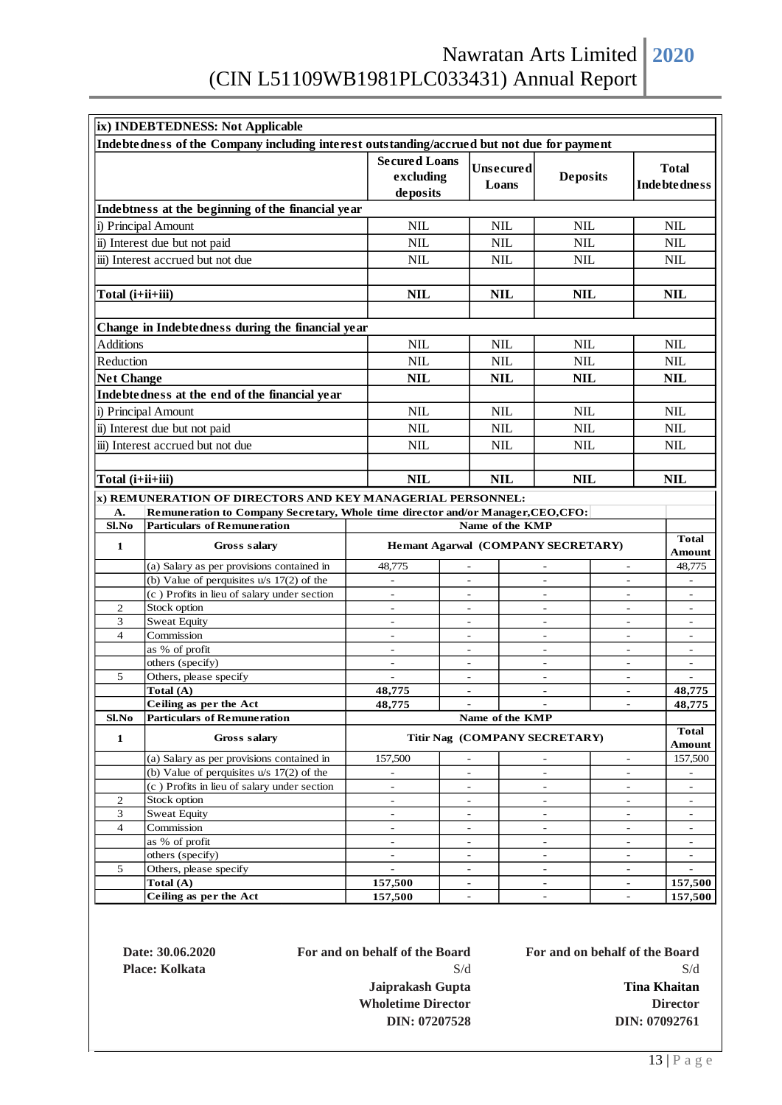# Nawratan Arts Limited **2020** (CIN L51109WB1981PLC033431) Annual Report

|                   | ix) INDEBTEDNESS: Not Applicable                                                           |                                           |                                                      |                                           |                                                      |                                            |
|-------------------|--------------------------------------------------------------------------------------------|-------------------------------------------|------------------------------------------------------|-------------------------------------------|------------------------------------------------------|--------------------------------------------|
|                   | Indebtedness of the Company including interest outstanding/accrued but not due for payment |                                           |                                                      |                                           |                                                      |                                            |
|                   |                                                                                            | <b>Secured Loans</b>                      | <b>Unsecured</b>                                     |                                           |                                                      | <b>Total</b>                               |
|                   |                                                                                            | excluding                                 | Loans                                                | <b>Deposits</b>                           |                                                      | <b>Indebtedness</b>                        |
|                   |                                                                                            | deposits                                  |                                                      |                                           |                                                      |                                            |
|                   | Indebtness at the beginning of the financial year                                          |                                           |                                                      |                                           |                                                      |                                            |
|                   | i) Principal Amount                                                                        | <b>NIL</b>                                | <b>NIL</b>                                           | <b>NIL</b>                                |                                                      | <b>NIL</b>                                 |
|                   | ii) Interest due but not paid                                                              | <b>NIL</b>                                | <b>NIL</b>                                           | <b>NIL</b>                                |                                                      | <b>NIL</b>                                 |
|                   | iii) Interest accrued but not due                                                          | <b>NIL</b>                                | <b>NIL</b>                                           | <b>NIL</b>                                |                                                      | <b>NIL</b>                                 |
|                   |                                                                                            |                                           |                                                      |                                           |                                                      |                                            |
| Total (i+ii+iii)  |                                                                                            | <b>NIL</b>                                | <b>NIL</b>                                           | <b>NIL</b>                                |                                                      | <b>NIL</b>                                 |
|                   |                                                                                            |                                           |                                                      |                                           |                                                      |                                            |
|                   | Change in Indebtedness during the financial year                                           |                                           |                                                      |                                           |                                                      |                                            |
| <b>Additions</b>  |                                                                                            | <b>NIL</b>                                | <b>NIL</b>                                           | <b>NIL</b>                                |                                                      | <b>NIL</b>                                 |
| Reduction         |                                                                                            | <b>NIL</b>                                | <b>NIL</b>                                           | <b>NIL</b>                                |                                                      | <b>NIL</b>                                 |
| <b>Net Change</b> |                                                                                            | <b>NIL</b>                                | <b>NIL</b>                                           | <b>NIL</b>                                |                                                      | <b>NIL</b>                                 |
|                   | Indebtedness at the end of the financial year                                              |                                           |                                                      |                                           |                                                      |                                            |
|                   |                                                                                            |                                           |                                                      |                                           |                                                      |                                            |
|                   | i) Principal Amount                                                                        | <b>NIL</b>                                | NIL                                                  | <b>NIL</b>                                |                                                      | <b>NIL</b>                                 |
|                   | ii) Interest due but not paid                                                              | <b>NIL</b>                                | <b>NIL</b>                                           | <b>NIL</b>                                |                                                      | <b>NIL</b>                                 |
|                   | iii) Interest accrued but not due                                                          | <b>NIL</b>                                | <b>NIL</b>                                           | <b>NIL</b>                                |                                                      | <b>NIL</b>                                 |
|                   |                                                                                            |                                           |                                                      |                                           |                                                      |                                            |
| Total (i+ii+iii)  |                                                                                            | <b>NIL</b>                                | <b>NIL</b>                                           | <b>NIL</b>                                |                                                      | <b>NIL</b>                                 |
|                   | x) REMUNERATION OF DIRECTORS AND KEY MANAGERIAL PERSONNEL:                                 |                                           |                                                      |                                           |                                                      |                                            |
| А.                | Remuneration to Company Secretary, Whole time director and/or Manager, CEO, CFO:           |                                           |                                                      |                                           |                                                      |                                            |
| Sl.No             | <b>Particulars of Remuneration</b>                                                         |                                           | Name of the KMP                                      |                                           |                                                      |                                            |
| 1                 | <b>Gross salary</b>                                                                        |                                           |                                                      | Hemant Agarwal (COMPANY SECRETARY)        |                                                      | <b>Total</b><br>Amount                     |
|                   | (a) Salary as per provisions contained in                                                  | 48,775                                    | $\sim$                                               | $\overline{a}$                            |                                                      | 48,775                                     |
|                   | (b) Value of perquisites $u/s$ 17(2) of the                                                |                                           |                                                      |                                           |                                                      |                                            |
|                   | (c) Profits in lieu of salary under section                                                | $\overline{\phantom{a}}$                  | $\overline{\phantom{a}}$                             | $\overline{\phantom{a}}$                  | $\overline{\phantom{a}}$                             | $\overline{\phantom{a}}$                   |
| 2                 | Stock option                                                                               |                                           | $\sim$                                               |                                           |                                                      |                                            |
| 3                 | <b>Sweat Equity</b>                                                                        | $\overline{a}$                            | $\sim$                                               | $\sim$                                    | $\overline{\phantom{a}}$                             | $\overline{a}$                             |
| $\overline{4}$    | Commission                                                                                 |                                           |                                                      |                                           |                                                      |                                            |
|                   | as % of profit<br>others (specify)                                                         | $\sim$<br>$\overline{\phantom{a}}$        | $\overline{\phantom{a}}$<br>$\overline{\phantom{a}}$ | $\sim$<br>$\overline{a}$                  | $\sim$                                               | $\overline{\phantom{a}}$<br>$\overline{a}$ |
| 5                 | Others, please specify                                                                     | $\overline{\phantom{a}}$                  | $\overline{\phantom{a}}$                             | $\overline{\phantom{a}}$                  | $\overline{\phantom{a}}$                             |                                            |
|                   | Total (A)                                                                                  | 48,775                                    |                                                      |                                           |                                                      | 48,775                                     |
|                   | Ceiling as per the Act                                                                     | 48,775                                    | $\overline{\phantom{a}}$                             |                                           | $\overline{\phantom{a}}$                             | 48,775                                     |
| Sl.No             | <b>Particulars of Remuneration</b>                                                         |                                           | Name of the KMP                                      |                                           |                                                      |                                            |
| $\mathbf 1$       | <b>Gross salary</b>                                                                        |                                           |                                                      | Titir Nag (COMPANY SECRETARY)             |                                                      | <b>Total</b><br>Amount                     |
|                   | (a) Salary as per provisions contained in                                                  | 157,500                                   | $\overline{\phantom{a}}$                             | $\overline{\phantom{a}}$                  | $\blacksquare$                                       | 157,500                                    |
|                   | (b) Value of perquisites $u/s$ 17(2) of the                                                | $\overline{\phantom{a}}$                  | $\overline{\phantom{a}}$                             | $\overline{\phantom{a}}$                  | $\overline{\phantom{a}}$                             | $\qquad \qquad -$                          |
|                   | (c) Profits in lieu of salary under section                                                | $\overline{a}$                            | $\overline{\phantom{a}}$                             | $\overline{\phantom{a}}$                  | $\overline{\phantom{a}}$                             |                                            |
| $\mathbf{2}$      | Stock option                                                                               | $\frac{1}{2}$                             | $\equiv$                                             | $\bar{\phantom{a}}$                       | $\overline{\phantom{a}}$                             | $\overline{\phantom{a}}$                   |
| 3                 | <b>Sweat Equity</b>                                                                        | $\overline{\phantom{a}}$                  | $\overline{\phantom{a}}$                             | $\equiv$                                  | $\overline{\phantom{a}}$                             | $\overline{\phantom{a}}$                   |
| 4                 | Commission                                                                                 | $\overline{\phantom{a}}$                  | $\overline{\phantom{a}}$                             | $\overline{\phantom{a}}$                  | $\overline{\phantom{a}}$                             | $\overline{a}$                             |
|                   | as % of profit<br>others (specify)                                                         | $\overline{\phantom{a}}$<br>$\mathcal{L}$ | $\overline{\phantom{a}}$<br>$\bar{z}$                | $\overline{\phantom{a}}$<br>$\frac{1}{2}$ | $\overline{\phantom{a}}$<br>$\overline{\phantom{a}}$ | $\overline{\phantom{a}}$                   |
| 5                 | Others, please specify                                                                     | $\overline{\phantom{a}}$                  | $\overline{\phantom{a}}$                             | $\overline{\phantom{a}}$                  | $\overline{\phantom{a}}$                             | $\overline{\phantom{a}}$                   |
|                   | Total (A)                                                                                  | 157,500                                   | $\blacksquare$                                       | $\qquad \qquad \blacksquare$              | $\blacksquare$                                       | 157,500                                    |
|                   | Ceiling as per the Act                                                                     | 157,500                                   | $\overline{\phantom{a}}$                             | $\overline{\phantom{a}}$                  | $\overline{\phantom{a}}$                             | 157,500                                    |

**Date: 30.06.2020 Place: Kolkata**

**For and on behalf of the Board** S/d **Jaiprakash Gupta Wholetime Director**

**For and on behalf of the Board** S/d **Tina Khaitan Director DIN: [07207528](http://www.mca.gov.in/mcafoportal/companyLLPMasterData.do) DIN[: 07092761](http://www.mca.gov.in/mcafoportal/companyLLPMasterData.do)**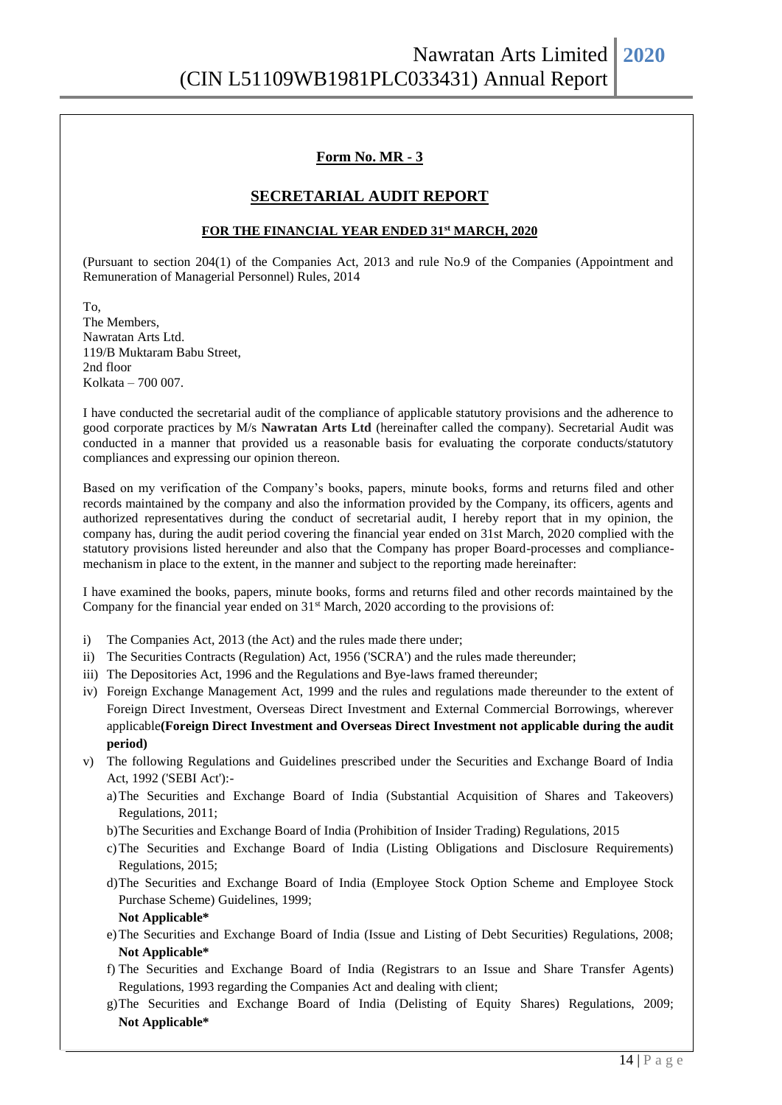# **Form No. MR - 3**

# **SECRETARIAL AUDIT REPORT**

# **FOR THE FINANCIAL YEAR ENDED 31st MARCH, 2020**

(Pursuant to section 204(1) of the Companies Act, 2013 and rule No.9 of the Companies (Appointment and Remuneration of Managerial Personnel) Rules, 2014

To, The Members, Nawratan Arts Ltd. 119/B Muktaram Babu Street, 2nd floor Kolkata – 700 007.

I have conducted the secretarial audit of the compliance of applicable statutory provisions and the adherence to good corporate practices by M/s **Nawratan Arts Ltd** (hereinafter called the company). Secretarial Audit was conducted in a manner that provided us a reasonable basis for evaluating the corporate conducts/statutory compliances and expressing our opinion thereon.

Based on my verification of the Company's books, papers, minute books, forms and returns filed and other records maintained by the company and also the information provided by the Company, its officers, agents and authorized representatives during the conduct of secretarial audit, I hereby report that in my opinion, the company has, during the audit period covering the financial year ended on 31st March, 2020 complied with the statutory provisions listed hereunder and also that the Company has proper Board-processes and compliancemechanism in place to the extent, in the manner and subject to the reporting made hereinafter:

I have examined the books, papers, minute books, forms and returns filed and other records maintained by the Company for the financial year ended on  $31<sup>st</sup>$  March, 2020 according to the provisions of:

- i) The Companies Act, 2013 (the Act) and the rules made there under;
- ii) The Securities Contracts (Regulation) Act, 1956 ('SCRA') and the rules made thereunder;
- iii) The Depositories Act, 1996 and the Regulations and Bye-laws framed thereunder;
- iv) Foreign Exchange Management Act, 1999 and the rules and regulations made thereunder to the extent of Foreign Direct Investment, Overseas Direct Investment and External Commercial Borrowings, wherever applicable**(Foreign Direct Investment and Overseas Direct Investment not applicable during the audit period)**
- v) The following Regulations and Guidelines prescribed under the Securities and Exchange Board of India Act, 1992 ('SEBI Act'):
	- a)The Securities and Exchange Board of India (Substantial Acquisition of Shares and Takeovers) Regulations, 2011;
	- b)The Securities and Exchange Board of India (Prohibition of Insider Trading) Regulations, 2015
	- c)The Securities and Exchange Board of India (Listing Obligations and Disclosure Requirements) Regulations, 2015;
	- d)The Securities and Exchange Board of India (Employee Stock Option Scheme and Employee Stock Purchase Scheme) Guidelines, 1999;

**Not Applicable\***

- e)The Securities and Exchange Board of India (Issue and Listing of Debt Securities) Regulations, 2008; **Not Applicable\***
- f) The Securities and Exchange Board of India (Registrars to an Issue and Share Transfer Agents) Regulations, 1993 regarding the Companies Act and dealing with client;
- g)The Securities and Exchange Board of India (Delisting of Equity Shares) Regulations, 2009; **Not Applicable\***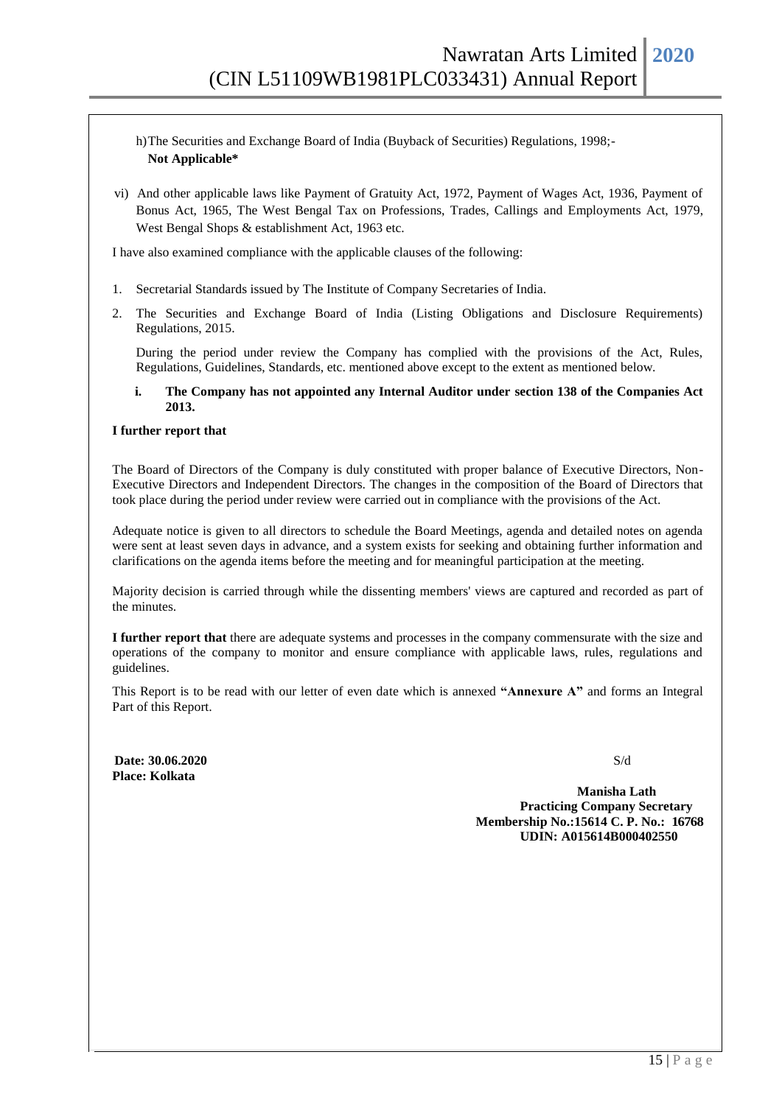- h)The Securities and Exchange Board of India (Buyback of Securities) Regulations, 1998;- **Not Applicable\***
- vi) And other applicable laws like Payment of Gratuity Act, 1972, Payment of Wages Act, 1936, Payment of Bonus Act, 1965, The West Bengal Tax on Professions, Trades, Callings and Employments Act, 1979, West Bengal Shops & establishment Act, 1963 etc.

I have also examined compliance with the applicable clauses of the following:

- 1. Secretarial Standards issued by The Institute of Company Secretaries of India.
- 2. The Securities and Exchange Board of India (Listing Obligations and Disclosure Requirements) Regulations, 2015.

During the period under review the Company has complied with the provisions of the Act, Rules, Regulations, Guidelines, Standards, etc. mentioned above except to the extent as mentioned below.

### **i. The Company has not appointed any Internal Auditor under section 138 of the Companies Act 2013.**

### **I further report that**

The Board of Directors of the Company is duly constituted with proper balance of Executive Directors, Non-Executive Directors and Independent Directors. The changes in the composition of the Board of Directors that took place during the period under review were carried out in compliance with the provisions of the Act.

Adequate notice is given to all directors to schedule the Board Meetings, agenda and detailed notes on agenda were sent at least seven days in advance, and a system exists for seeking and obtaining further information and clarifications on the agenda items before the meeting and for meaningful participation at the meeting.

Majority decision is carried through while the dissenting members' views are captured and recorded as part of the minutes.

**I further report that** there are adequate systems and processes in the company commensurate with the size and operations of the company to monitor and ensure compliance with applicable laws, rules, regulations and guidelines.

This Report is to be read with our letter of even date which is annexed **"Annexure A"** and forms an Integral Part of this Report.

 **Date: 30.06.2020** S/d **Place: Kolkata**

 **Manisha Lath Practicing Company Secretary Membership No.:15614 C. P. No.: 16768 UDIN: A015614B000402550**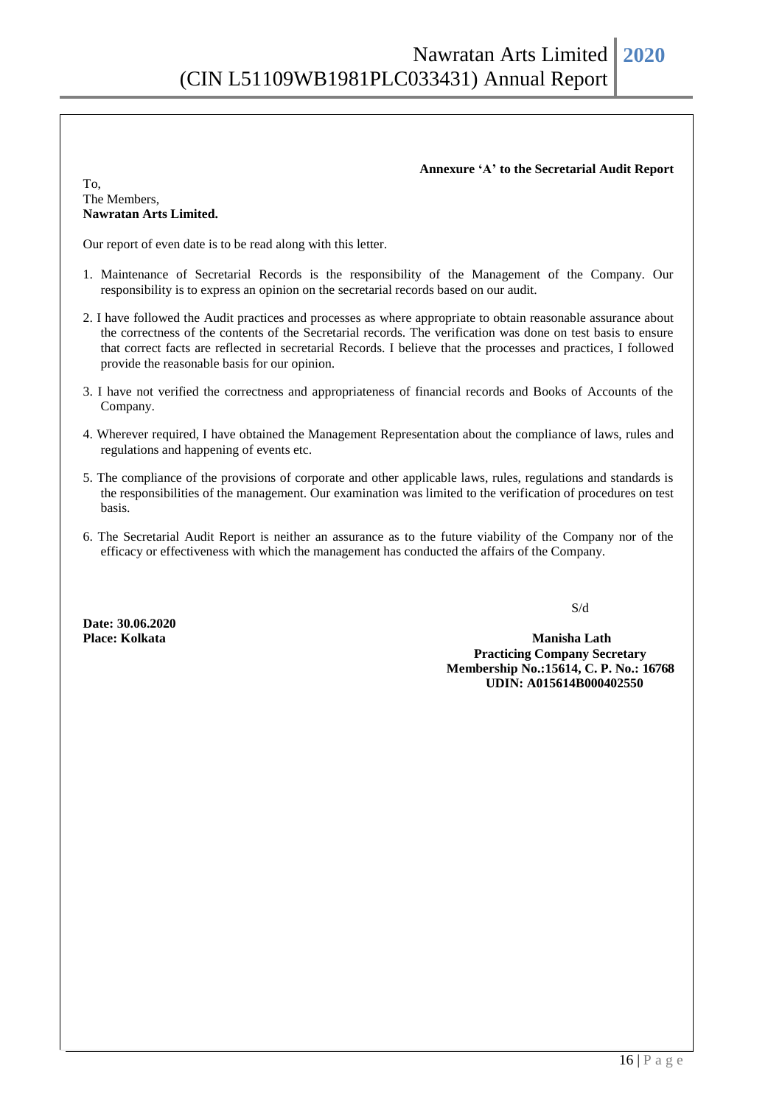#### **Annexure 'A' to the Secretarial Audit Report**

To, The Members, **Nawratan Arts Limited.**

Our report of even date is to be read along with this letter.

- 1. Maintenance of Secretarial Records is the responsibility of the Management of the Company. Our responsibility is to express an opinion on the secretarial records based on our audit.
- 2. I have followed the Audit practices and processes as where appropriate to obtain reasonable assurance about the correctness of the contents of the Secretarial records. The verification was done on test basis to ensure that correct facts are reflected in secretarial Records. I believe that the processes and practices, I followed provide the reasonable basis for our opinion.
- 3. I have not verified the correctness and appropriateness of financial records and Books of Accounts of the Company.
- 4. Wherever required, I have obtained the Management Representation about the compliance of laws, rules and regulations and happening of events etc.
- 5. The compliance of the provisions of corporate and other applicable laws, rules, regulations and standards is the responsibilities of the management. Our examination was limited to the verification of procedures on test basis.
- 6. The Secretarial Audit Report is neither an assurance as to the future viability of the Company nor of the efficacy or effectiveness with which the management has conducted the affairs of the Company.

**Date: 30.06.2020** 

S/d

**Place: Kolkata Manisha Lath Practicing Company Secretary Membership No.:15614, C. P. No.: 16768 UDIN: A015614B000402550**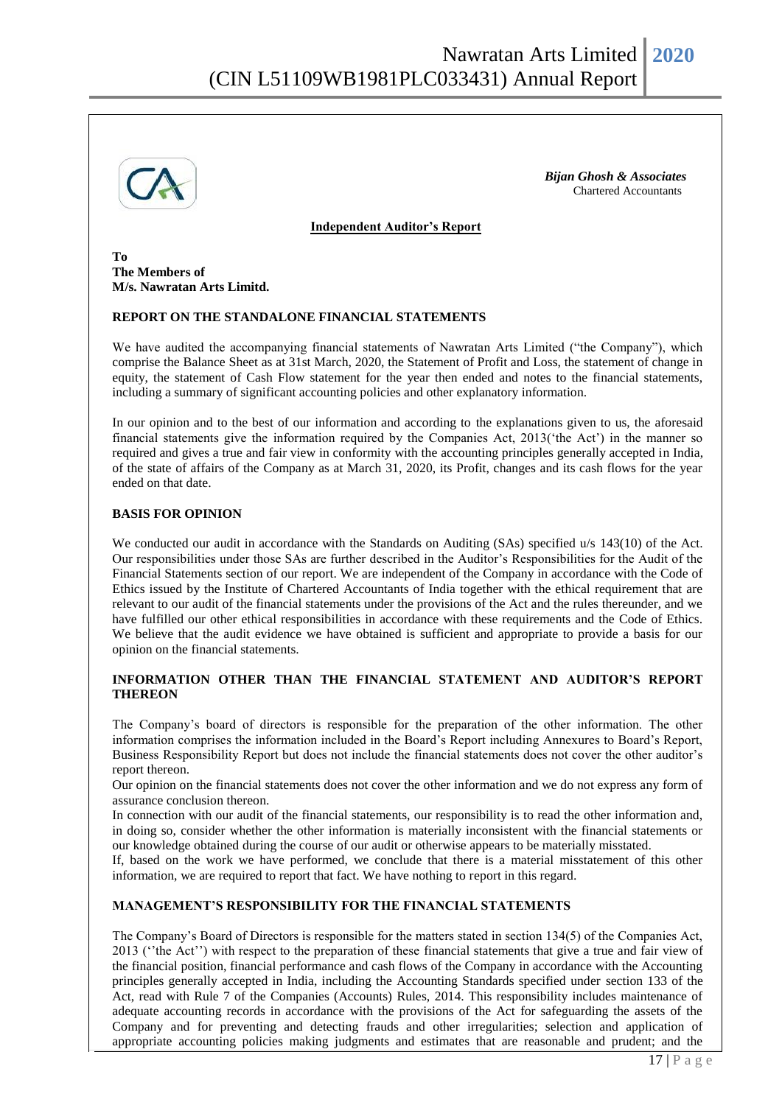

*Bijan Ghosh & Associates* Chartered Accountants

**Independent Auditor's Report**

**To The Members of M/s. Nawratan Arts Limitd.**

# **REPORT ON THE STANDALONE FINANCIAL STATEMENTS**

We have audited the accompanying financial statements of Nawratan Arts Limited ("the Company"), which comprise the Balance Sheet as at 31st March, 2020, the Statement of Profit and Loss, the statement of change in equity, the statement of Cash Flow statement for the year then ended and notes to the financial statements, including a summary of significant accounting policies and other explanatory information.

In our opinion and to the best of our information and according to the explanations given to us, the aforesaid financial statements give the information required by the Companies Act, 2013('the Act') in the manner so required and gives a true and fair view in conformity with the accounting principles generally accepted in India, of the state of affairs of the Company as at March 31, 2020, its Profit, changes and its cash flows for the year ended on that date.

# **BASIS FOR OPINION**

We conducted our audit in accordance with the Standards on Auditing (SAs) specified u/s 143(10) of the Act. Our responsibilities under those SAs are further described in the Auditor's Responsibilities for the Audit of the Financial Statements section of our report. We are independent of the Company in accordance with the Code of Ethics issued by the Institute of Chartered Accountants of India together with the ethical requirement that are relevant to our audit of the financial statements under the provisions of the Act and the rules thereunder, and we have fulfilled our other ethical responsibilities in accordance with these requirements and the Code of Ethics. We believe that the audit evidence we have obtained is sufficient and appropriate to provide a basis for our opinion on the financial statements.

# **INFORMATION OTHER THAN THE FINANCIAL STATEMENT AND AUDITOR'S REPORT THEREON**

The Company's board of directors is responsible for the preparation of the other information. The other information comprises the information included in the Board's Report including Annexures to Board's Report, Business Responsibility Report but does not include the financial statements does not cover the other auditor's report thereon.

Our opinion on the financial statements does not cover the other information and we do not express any form of assurance conclusion thereon.

In connection with our audit of the financial statements, our responsibility is to read the other information and, in doing so, consider whether the other information is materially inconsistent with the financial statements or our knowledge obtained during the course of our audit or otherwise appears to be materially misstated.

If, based on the work we have performed, we conclude that there is a material misstatement of this other information, we are required to report that fact. We have nothing to report in this regard.

# **MANAGEMENT'S RESPONSIBILITY FOR THE FINANCIAL STATEMENTS**

The Company's Board of Directors is responsible for the matters stated in section 134(5) of the Companies Act, 2013 (''the Act'') with respect to the preparation of these financial statements that give a true and fair view of the financial position, financial performance and cash flows of the Company in accordance with the Accounting principles generally accepted in India, including the Accounting Standards specified under section 133 of the Act, read with Rule 7 of the Companies (Accounts) Rules, 2014. This responsibility includes maintenance of adequate accounting records in accordance with the provisions of the Act for safeguarding the assets of the Company and for preventing and detecting frauds and other irregularities; selection and application of appropriate accounting policies making judgments and estimates that are reasonable and prudent; and the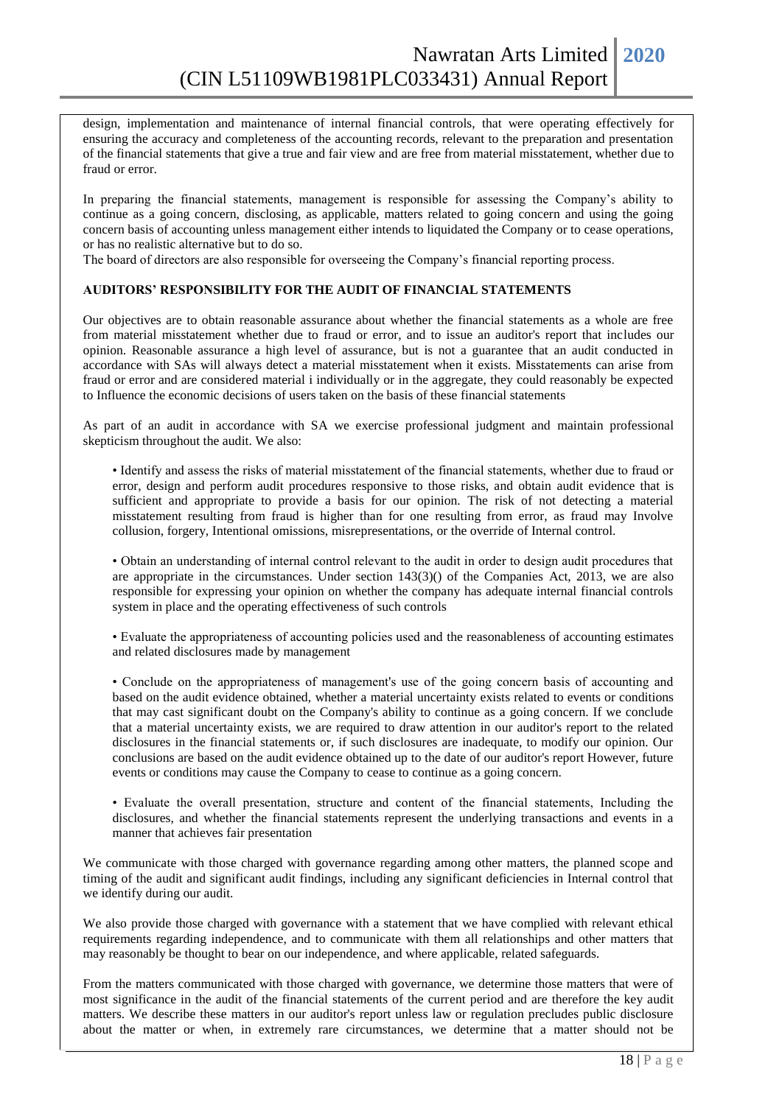design, implementation and maintenance of internal financial controls, that were operating effectively for ensuring the accuracy and completeness of the accounting records, relevant to the preparation and presentation of the financial statements that give a true and fair view and are free from material misstatement, whether due to fraud or error.

In preparing the financial statements, management is responsible for assessing the Company's ability to continue as a going concern, disclosing, as applicable, matters related to going concern and using the going concern basis of accounting unless management either intends to liquidated the Company or to cease operations, or has no realistic alternative but to do so.

The board of directors are also responsible for overseeing the Company's financial reporting process.

# **AUDITORS' RESPONSIBILITY FOR THE AUDIT OF FINANCIAL STATEMENTS**

Our objectives are to obtain reasonable assurance about whether the financial statements as a whole are free from material misstatement whether due to fraud or error, and to issue an auditor's report that includes our opinion. Reasonable assurance a high level of assurance, but is not a guarantee that an audit conducted in accordance with SAs will always detect a material misstatement when it exists. Misstatements can arise from fraud or error and are considered material i individually or in the aggregate, they could reasonably be expected to Influence the economic decisions of users taken on the basis of these financial statements

As part of an audit in accordance with SA we exercise professional judgment and maintain professional skepticism throughout the audit. We also:

• Identify and assess the risks of material misstatement of the financial statements, whether due to fraud or error, design and perform audit procedures responsive to those risks, and obtain audit evidence that is sufficient and appropriate to provide a basis for our opinion. The risk of not detecting a material misstatement resulting from fraud is higher than for one resulting from error, as fraud may Involve collusion, forgery, Intentional omissions, misrepresentations, or the override of Internal control.

• Obtain an understanding of internal control relevant to the audit in order to design audit procedures that are appropriate in the circumstances. Under section 143(3)() of the Companies Act, 2013, we are also responsible for expressing your opinion on whether the company has adequate internal financial controls system in place and the operating effectiveness of such controls

• Evaluate the appropriateness of accounting policies used and the reasonableness of accounting estimates and related disclosures made by management

• Conclude on the appropriateness of management's use of the going concern basis of accounting and based on the audit evidence obtained, whether a material uncertainty exists related to events or conditions that may cast significant doubt on the Company's ability to continue as a going concern. If we conclude that a material uncertainty exists, we are required to draw attention in our auditor's report to the related disclosures in the financial statements or, if such disclosures are inadequate, to modify our opinion. Our conclusions are based on the audit evidence obtained up to the date of our auditor's report However, future events or conditions may cause the Company to cease to continue as a going concern.

• Evaluate the overall presentation, structure and content of the financial statements, Including the disclosures, and whether the financial statements represent the underlying transactions and events in a manner that achieves fair presentation

We communicate with those charged with governance regarding among other matters, the planned scope and timing of the audit and significant audit findings, including any significant deficiencies in Internal control that we identify during our audit.

We also provide those charged with governance with a statement that we have complied with relevant ethical requirements regarding independence, and to communicate with them all relationships and other matters that may reasonably be thought to bear on our independence, and where applicable, related safeguards.

From the matters communicated with those charged with governance, we determine those matters that were of most significance in the audit of the financial statements of the current period and are therefore the key audit matters. We describe these matters in our auditor's report unless law or regulation precludes public disclosure about the matter or when, in extremely rare circumstances, we determine that a matter should not be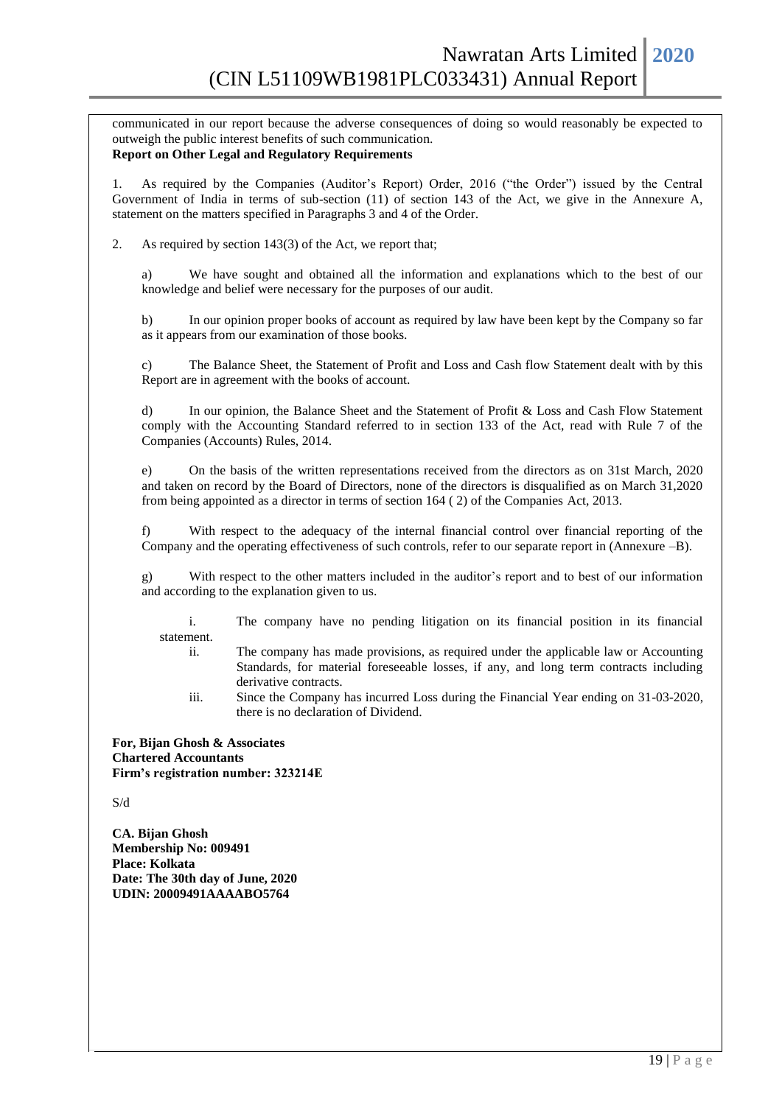communicated in our report because the adverse consequences of doing so would reasonably be expected to outweigh the public interest benefits of such communication.

# **Report on Other Legal and Regulatory Requirements**

1. As required by the Companies (Auditor's Report) Order, 2016 ("the Order") issued by the Central Government of India in terms of sub-section (11) of section 143 of the Act, we give in the Annexure A, statement on the matters specified in Paragraphs 3 and 4 of the Order.

2. As required by section 143(3) of the Act, we report that;

a) We have sought and obtained all the information and explanations which to the best of our knowledge and belief were necessary for the purposes of our audit.

b) In our opinion proper books of account as required by law have been kept by the Company so far as it appears from our examination of those books.

c) The Balance Sheet, the Statement of Profit and Loss and Cash flow Statement dealt with by this Report are in agreement with the books of account.

d) In our opinion, the Balance Sheet and the Statement of Profit & Loss and Cash Flow Statement comply with the Accounting Standard referred to in section 133 of the Act, read with Rule 7 of the Companies (Accounts) Rules, 2014.

e) On the basis of the written representations received from the directors as on 31st March, 2020 and taken on record by the Board of Directors, none of the directors is disqualified as on March 31,2020 from being appointed as a director in terms of section 164 ( 2) of the Companies Act, 2013.

f) With respect to the adequacy of the internal financial control over financial reporting of the Company and the operating effectiveness of such controls, refer to our separate report in (Annexure –B).

g) With respect to the other matters included in the auditor's report and to best of our information and according to the explanation given to us.

i. The company have no pending litigation on its financial position in its financial statement.

- ii. The company has made provisions, as required under the applicable law or Accounting Standards, for material foreseeable losses, if any, and long term contracts including derivative contracts.
- iii. Since the Company has incurred Loss during the Financial Year ending on 31-03-2020, there is no declaration of Dividend.

**For, Bijan Ghosh & Associates Chartered Accountants Firm's registration number: 323214E**

S/d

**CA. Bijan Ghosh Membership No: 009491 Place: Kolkata Date: The 30th day of June, 2020 UDIN: 20009491AAAABO5764**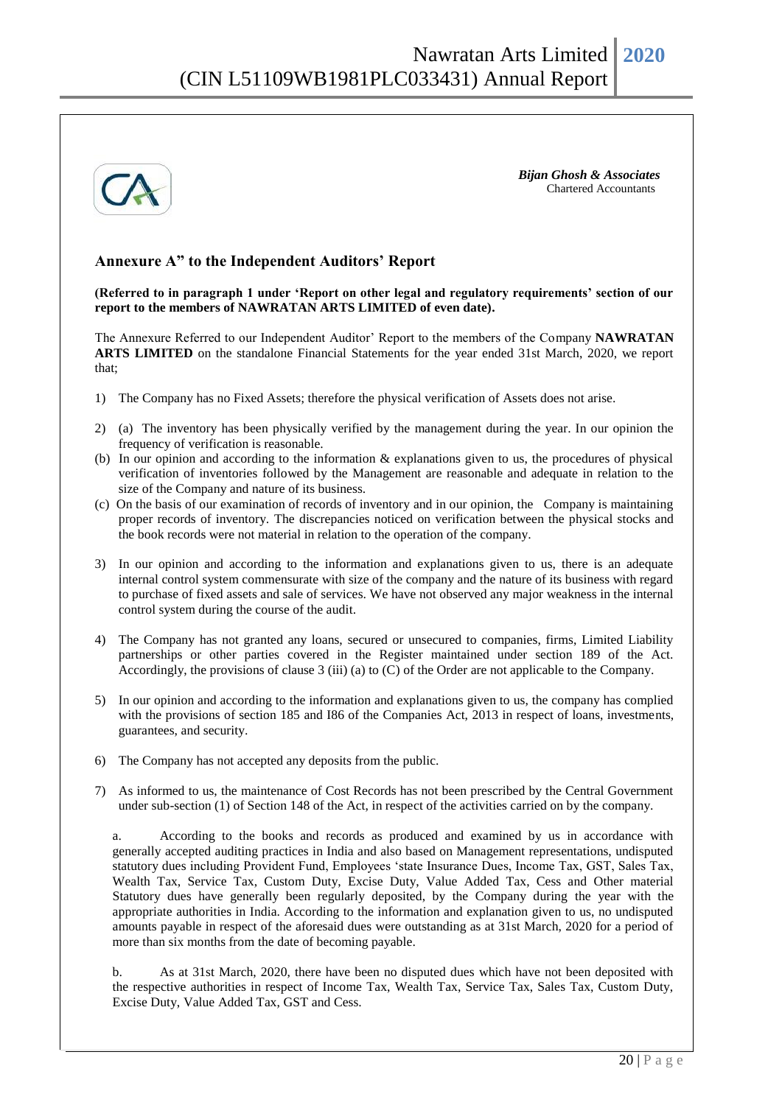

*Bijan Ghosh & Associates* Chartered Accountants

# **Annexure A" to the Independent Auditors' Report**

**(Referred to in paragraph 1 under 'Report on other legal and regulatory requirements' section of our report to the members of NAWRATAN ARTS LIMITED of even date).**

The Annexure Referred to our Independent Auditor' Report to the members of the Company **NAWRATAN ARTS LIMITED** on the standalone Financial Statements for the year ended 31st March, 2020, we report that;

- 1) The Company has no Fixed Assets; therefore the physical verification of Assets does not arise.
- 2) (a) The inventory has been physically verified by the management during the year. In our opinion the frequency of verification is reasonable.
- (b) In our opinion and according to the information & explanations given to us, the procedures of physical verification of inventories followed by the Management are reasonable and adequate in relation to the size of the Company and nature of its business.
- (c) On the basis of our examination of records of inventory and in our opinion, the Company is maintaining proper records of inventory. The discrepancies noticed on verification between the physical stocks and the book records were not material in relation to the operation of the company.
- 3) In our opinion and according to the information and explanations given to us, there is an adequate internal control system commensurate with size of the company and the nature of its business with regard to purchase of fixed assets and sale of services. We have not observed any major weakness in the internal control system during the course of the audit.
- 4) The Company has not granted any loans, secured or unsecured to companies, firms, Limited Liability partnerships or other parties covered in the Register maintained under section 189 of the Act. Accordingly, the provisions of clause 3 (iii) (a) to (C) of the Order are not applicable to the Company.
- 5) In our opinion and according to the information and explanations given to us, the company has complied with the provisions of section 185 and 186 of the Companies Act, 2013 in respect of loans, investments, guarantees, and security.
- 6) The Company has not accepted any deposits from the public.
- 7) As informed to us, the maintenance of Cost Records has not been prescribed by the Central Government under sub-section (1) of Section 148 of the Act, in respect of the activities carried on by the company.

a. According to the books and records as produced and examined by us in accordance with generally accepted auditing practices in India and also based on Management representations, undisputed statutory dues including Provident Fund, Employees 'state Insurance Dues, Income Tax, GST, Sales Tax, Wealth Tax, Service Tax, Custom Duty, Excise Duty, Value Added Tax, Cess and Other material Statutory dues have generally been regularly deposited, by the Company during the year with the appropriate authorities in India. According to the information and explanation given to us, no undisputed amounts payable in respect of the aforesaid dues were outstanding as at 31st March, 2020 for a period of more than six months from the date of becoming payable.

b. As at 31st March, 2020, there have been no disputed dues which have not been deposited with the respective authorities in respect of Income Tax, Wealth Tax, Service Tax, Sales Tax, Custom Duty, Excise Duty, Value Added Tax, GST and Cess.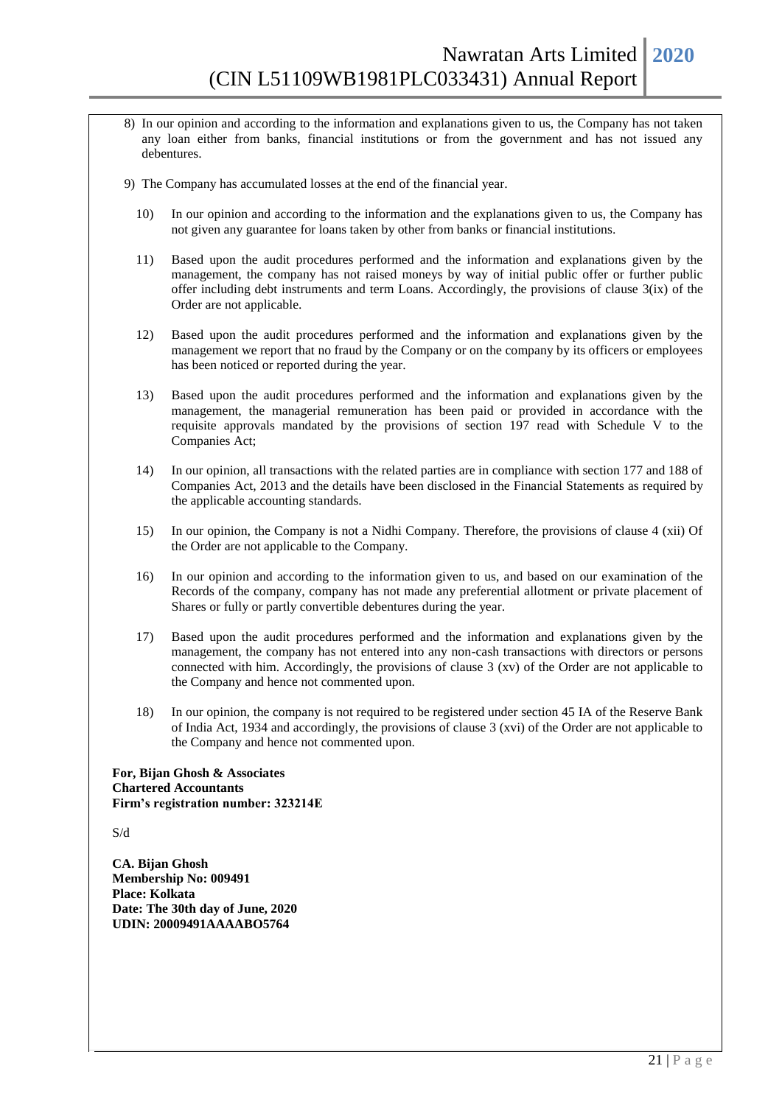- 8) In our opinion and according to the information and explanations given to us, the Company has not taken any loan either from banks, financial institutions or from the government and has not issued any debentures.
- 9) The Company has accumulated losses at the end of the financial year.
	- 10) In our opinion and according to the information and the explanations given to us, the Company has not given any guarantee for loans taken by other from banks or financial institutions.
	- 11) Based upon the audit procedures performed and the information and explanations given by the management, the company has not raised moneys by way of initial public offer or further public offer including debt instruments and term Loans. Accordingly, the provisions of clause 3(ix) of the Order are not applicable.
	- 12) Based upon the audit procedures performed and the information and explanations given by the management we report that no fraud by the Company or on the company by its officers or employees has been noticed or reported during the year.
	- 13) Based upon the audit procedures performed and the information and explanations given by the management, the managerial remuneration has been paid or provided in accordance with the requisite approvals mandated by the provisions of section 197 read with Schedule V to the Companies Act;
	- 14) In our opinion, all transactions with the related parties are in compliance with section 177 and 188 of Companies Act, 2013 and the details have been disclosed in the Financial Statements as required by the applicable accounting standards.
	- 15) In our opinion, the Company is not a Nidhi Company. Therefore, the provisions of clause 4 (xii) Of the Order are not applicable to the Company.
	- 16) In our opinion and according to the information given to us, and based on our examination of the Records of the company, company has not made any preferential allotment or private placement of Shares or fully or partly convertible debentures during the year.
	- 17) Based upon the audit procedures performed and the information and explanations given by the management, the company has not entered into any non-cash transactions with directors or persons connected with him. Accordingly, the provisions of clause 3 (xv) of the Order are not applicable to the Company and hence not commented upon.
	- 18) In our opinion, the company is not required to be registered under section 45 IA of the Reserve Bank of India Act, 1934 and accordingly, the provisions of clause 3 (xvi) of the Order are not applicable to the Company and hence not commented upon.

**For, Bijan Ghosh & Associates Chartered Accountants Firm's registration number: 323214E**

S/d

**CA. Bijan Ghosh Membership No: 009491 Place: Kolkata Date: The 30th day of June, 2020 UDIN: 20009491AAAABO5764**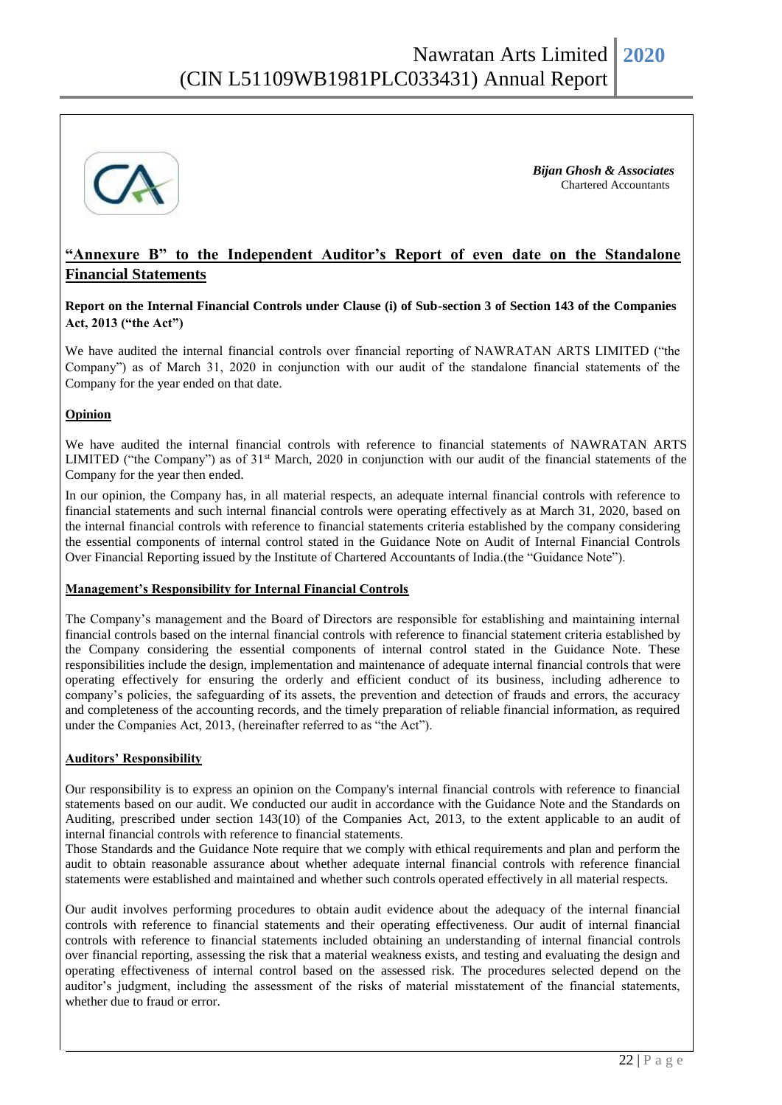

*Bijan Ghosh & Associates* Chartered Accountants

# **"Annexure B" to the Independent Auditor's Report of even date on the Standalone Financial Statements**

**Report on the Internal Financial Controls under Clause (i) of Sub-section 3 of Section 143 of the Companies Act, 2013 ("the Act")**

We have audited the internal financial controls over financial reporting of NAWRATAN ARTS LIMITED ("the Company") as of March 31, 2020 in conjunction with our audit of the standalone financial statements of the Company for the year ended on that date.

# **Opinion**

We have audited the internal financial controls with reference to financial statements of NAWRATAN ARTS LIMITED ("the Company") as of  $31<sup>st</sup>$  March, 2020 in conjunction with our audit of the financial statements of the Company for the year then ended.

In our opinion, the Company has, in all material respects, an adequate internal financial controls with reference to financial statements and such internal financial controls were operating effectively as at March 31, 2020, based on the internal financial controls with reference to financial statements criteria established by the company considering the essential components of internal control stated in the Guidance Note on Audit of Internal Financial Controls Over Financial Reporting issued by the Institute of Chartered Accountants of India.(the "Guidance Note").

### **Management's Responsibility for Internal Financial Controls**

The Company's management and the Board of Directors are responsible for establishing and maintaining internal financial controls based on the internal financial controls with reference to financial statement criteria established by the Company considering the essential components of internal control stated in the Guidance Note. These responsibilities include the design, implementation and maintenance of adequate internal financial controls that were operating effectively for ensuring the orderly and efficient conduct of its business, including adherence to company's policies, the safeguarding of its assets, the prevention and detection of frauds and errors, the accuracy and completeness of the accounting records, and the timely preparation of reliable financial information, as required under the Companies Act, 2013, (hereinafter referred to as "the Act").

# **Auditors' Responsibility**

Our responsibility is to express an opinion on the Company's internal financial controls with reference to financial statements based on our audit. We conducted our audit in accordance with the Guidance Note and the Standards on Auditing, prescribed under section 143(10) of the Companies Act, 2013, to the extent applicable to an audit of internal financial controls with reference to financial statements.

Those Standards and the Guidance Note require that we comply with ethical requirements and plan and perform the audit to obtain reasonable assurance about whether adequate internal financial controls with reference financial statements were established and maintained and whether such controls operated effectively in all material respects.

Our audit involves performing procedures to obtain audit evidence about the adequacy of the internal financial controls with reference to financial statements and their operating effectiveness. Our audit of internal financial controls with reference to financial statements included obtaining an understanding of internal financial controls over financial reporting, assessing the risk that a material weakness exists, and testing and evaluating the design and operating effectiveness of internal control based on the assessed risk. The procedures selected depend on the auditor's judgment, including the assessment of the risks of material misstatement of the financial statements, whether due to fraud or error.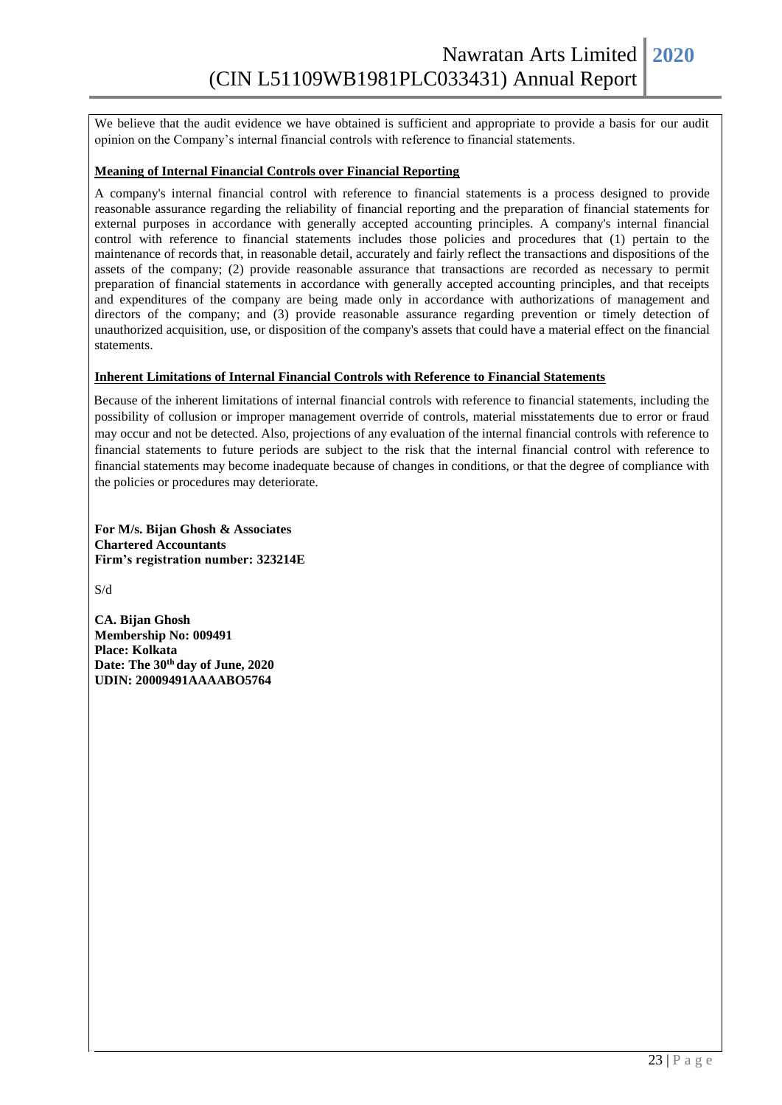We believe that the audit evidence we have obtained is sufficient and appropriate to provide a basis for our audit opinion on the Company's internal financial controls with reference to financial statements.

# **Meaning of Internal Financial Controls over Financial Reporting**

A company's internal financial control with reference to financial statements is a process designed to provide reasonable assurance regarding the reliability of financial reporting and the preparation of financial statements for external purposes in accordance with generally accepted accounting principles. A company's internal financial control with reference to financial statements includes those policies and procedures that (1) pertain to the maintenance of records that, in reasonable detail, accurately and fairly reflect the transactions and dispositions of the assets of the company; (2) provide reasonable assurance that transactions are recorded as necessary to permit preparation of financial statements in accordance with generally accepted accounting principles, and that receipts and expenditures of the company are being made only in accordance with authorizations of management and directors of the company; and (3) provide reasonable assurance regarding prevention or timely detection of unauthorized acquisition, use, or disposition of the company's assets that could have a material effect on the financial statements.

# **Inherent Limitations of Internal Financial Controls with Reference to Financial Statements**

Because of the inherent limitations of internal financial controls with reference to financial statements, including the possibility of collusion or improper management override of controls, material misstatements due to error or fraud may occur and not be detected. Also, projections of any evaluation of the internal financial controls with reference to financial statements to future periods are subject to the risk that the internal financial control with reference to financial statements may become inadequate because of changes in conditions, or that the degree of compliance with the policies or procedures may deteriorate.

**For M/s. Bijan Ghosh & Associates Chartered Accountants Firm's registration number: 323214E**

S/d

**CA. Bijan Ghosh Membership No: 009491 Place: Kolkata Date: The 30th day of June, 2020 UDIN: 20009491AAAABO5764**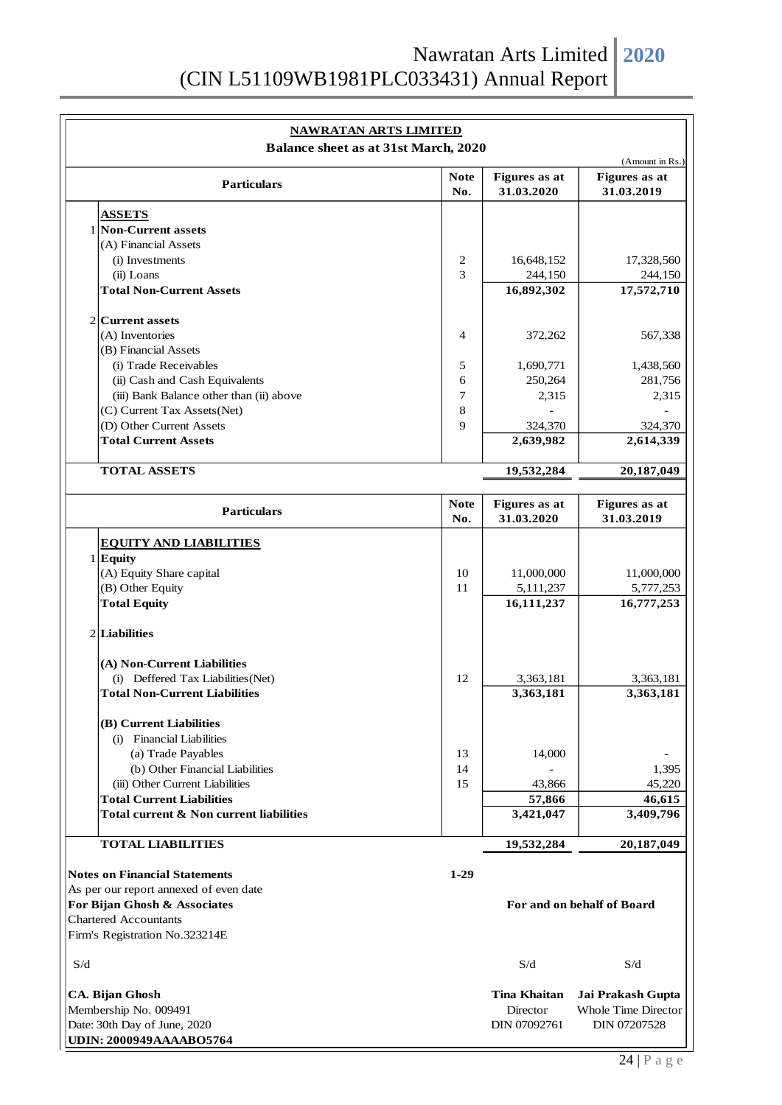Nawratan Arts Limited (CIN L51109WB1981PLC033431) Annual Report **2020**

|     | <b>NAWRATAN ARTS LIMITED</b>             |                    |                                    |                                      |
|-----|------------------------------------------|--------------------|------------------------------------|--------------------------------------|
|     | Balance sheet as at 31st March, 2020     |                    |                                    |                                      |
|     | <b>Particulars</b>                       | <b>Note</b>        | <b>Figures</b> as at               | (Amount in Rs.)<br>Figures as at     |
|     |                                          | No.                | 31.03.2020                         | 31.03.2019                           |
|     | <b>ASSETS</b>                            |                    |                                    |                                      |
|     | 1 Non-Current assets                     |                    |                                    |                                      |
|     | (A) Financial Assets                     |                    |                                    |                                      |
|     | (i) Investments                          | $\overline{c}$     | 16,648,152                         | 17,328,560                           |
|     | (ii) Loans                               | 3                  | 244,150                            | 244,150                              |
|     | <b>Total Non-Current Assets</b>          |                    | 16,892,302                         | 17,572,710                           |
|     | 2 Current assets                         |                    |                                    |                                      |
|     | (A) Inventories                          | $\overline{4}$     | 372,262                            | 567,338                              |
|     | (B) Financial Assets                     |                    |                                    |                                      |
|     | (i) Trade Receivables                    | 5                  | 1,690,771                          | 1,438,560                            |
|     | (ii) Cash and Cash Equivalents           | 6                  | 250,264                            | 281,756                              |
|     | (iii) Bank Balance other than (ii) above | 7                  | 2,315                              | 2,315                                |
|     | (C) Current Tax Assets (Net)             | 8                  |                                    |                                      |
|     | (D) Other Current Assets                 | 9                  | 324,370                            | 324,370                              |
|     | <b>Total Current Assets</b>              |                    | 2,639,982                          | 2,614,339                            |
|     | <b>TOTAL ASSETS</b>                      |                    | 19,532,284                         | 20,187,049                           |
|     |                                          |                    |                                    |                                      |
|     | <b>Particulars</b>                       | <b>Note</b><br>No. | <b>Figures</b> as at<br>31.03.2020 | Figures as at<br>31.03.2019          |
|     |                                          |                    |                                    |                                      |
|     | <b>EQUITY AND LIABILITIES</b>            |                    |                                    |                                      |
|     | $1$ Equity                               |                    |                                    |                                      |
|     | (A) Equity Share capital                 | 10                 | 11,000,000                         | 11,000,000                           |
|     | (B) Other Equity<br><b>Total Equity</b>  | 11                 | 5,111,237<br>16,111,237            | 5,777,253<br>$\overline{16,777,253}$ |
|     |                                          |                    |                                    |                                      |
|     | $2$ Liabilities                          |                    |                                    |                                      |
|     | (A) Non-Current Liabilities              |                    |                                    |                                      |
|     | (i) Deffered Tax Liabilities (Net)       | 12                 | 3,363,181                          | 3,363,181                            |
|     | <b>Total Non-Current Liabilities</b>     |                    | 3,363,181                          | 3,363,181                            |
|     |                                          |                    |                                    |                                      |
|     | (B) Current Liabilities                  |                    |                                    |                                      |
|     | (i) Financial Liabilities                |                    |                                    |                                      |
|     | (a) Trade Payables                       | 13                 | 14,000                             |                                      |
|     | (b) Other Financial Liabilities          | 14                 |                                    | 1,395                                |
|     | (iii) Other Current Liabilities          | 15                 | 43,866                             | 45,220                               |
|     | <b>Total Current Liabilities</b>         |                    | 57,866                             | 46,615                               |
|     | Total current & Non current liabilities  |                    | 3,421,047                          | 3,409,796                            |
|     | <b>TOTAL LIABILITIES</b>                 |                    | 19,532,284                         | 20,187,049                           |
|     | <b>Notes on Financial Statements</b>     | $1-29$             |                                    |                                      |
|     | As per our report annexed of even date   |                    |                                    |                                      |
|     | For Bijan Ghosh & Associates             |                    |                                    | For and on behalf of Board           |
|     | <b>Chartered Accountants</b>             |                    |                                    |                                      |
|     | Firm's Registration No.323214E           |                    |                                    |                                      |
|     |                                          |                    |                                    |                                      |
| S/d |                                          |                    | S/d                                | S/d                                  |
|     | <b>CA. Bijan Ghosh</b>                   |                    | <b>Tina Khaitan</b>                | Jai Prakash Gupta                    |
|     | Membership No. 009491                    |                    | Director                           | Whole Time Director                  |
|     | Date: 30th Day of June, 2020             |                    | DIN 07092761                       | DIN 07207528                         |
|     | <b>UDIN: 2000949AAAABO5764</b>           |                    |                                    |                                      |

24 | P a g e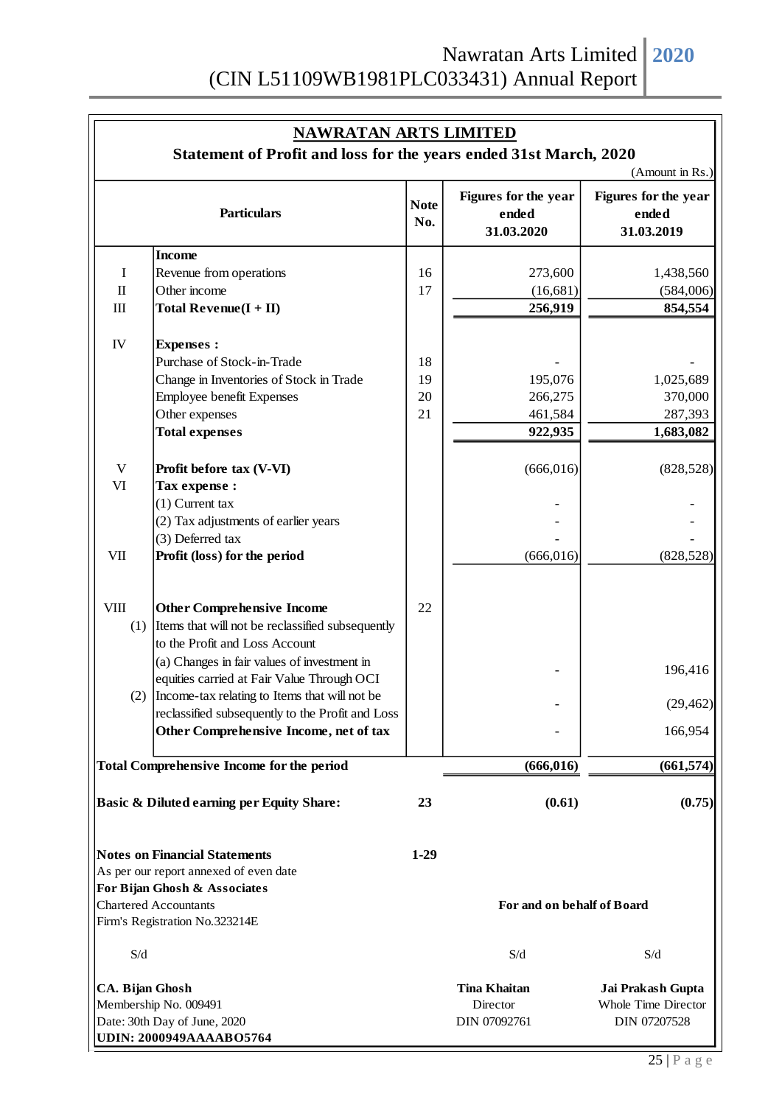|                         | Statement of Profit and loss for the years ended 31st March, 2020                                                                                                      |                    |                                             | (Amount in Rs.)                             |
|-------------------------|------------------------------------------------------------------------------------------------------------------------------------------------------------------------|--------------------|---------------------------------------------|---------------------------------------------|
|                         | <b>Particulars</b>                                                                                                                                                     | <b>Note</b><br>No. | Figures for the year<br>ended<br>31.03.2020 | Figures for the year<br>ended<br>31.03.2019 |
|                         | <b>Income</b>                                                                                                                                                          |                    |                                             |                                             |
| I                       | Revenue from operations                                                                                                                                                | 16                 | 273,600                                     | 1,438,560                                   |
| $\mathbf{I}$            | Other income                                                                                                                                                           | 17                 | (16, 681)                                   | (584,006)                                   |
| III                     | Total Revenue $(I + II)$                                                                                                                                               |                    | 256,919                                     | 854,554                                     |
| IV                      | <b>Expenses:</b>                                                                                                                                                       |                    |                                             |                                             |
|                         | Purchase of Stock-in-Trade                                                                                                                                             | 18                 |                                             |                                             |
|                         | Change in Inventories of Stock in Trade                                                                                                                                | 19                 | 195,076                                     | 1,025,689                                   |
|                         | Employee benefit Expenses                                                                                                                                              | 20                 | 266,275                                     | 370,000                                     |
|                         | Other expenses                                                                                                                                                         | 21                 | 461,584                                     | 287,393                                     |
|                         | <b>Total expenses</b>                                                                                                                                                  |                    | 922,935                                     | 1,683,082                                   |
| $\mathbf V$<br>VI       | Profit before tax (V-VI)<br>Tax expense :                                                                                                                              |                    | (666, 016)                                  | (828, 528)                                  |
|                         | $(1)$ Current tax                                                                                                                                                      |                    |                                             |                                             |
|                         | (2) Tax adjustments of earlier years                                                                                                                                   |                    |                                             |                                             |
|                         | (3) Deferred tax                                                                                                                                                       |                    |                                             |                                             |
| VII                     | Profit (loss) for the period                                                                                                                                           |                    | (666, 016)                                  | (828, 528)                                  |
| VIII<br>(1)             | <b>Other Comprehensive Income</b><br>Items that will not be reclassified subsequently<br>to the Profit and Loss Account<br>(a) Changes in fair values of investment in | 22                 |                                             |                                             |
|                         | equities carried at Fair Value Through OCI                                                                                                                             |                    |                                             | 196,416                                     |
|                         | (2) Income-tax relating to Items that will not be<br>reclassified subsequently to the Profit and Loss                                                                  |                    |                                             | (29, 462)                                   |
|                         | Other Comprehensive Income, net of tax                                                                                                                                 |                    |                                             | 166,954                                     |
|                         | <b>Total Comprehensive Income for the period</b>                                                                                                                       |                    | (666, 016)                                  | (661, 574)                                  |
|                         | <b>Basic &amp; Diluted earning per Equity Share:</b>                                                                                                                   | 23                 | (0.61)                                      | (0.75)                                      |
|                         | <b>Notes on Financial Statements</b>                                                                                                                                   | $1-29$             |                                             |                                             |
|                         | As per our report annexed of even date                                                                                                                                 |                    |                                             |                                             |
|                         | For Bijan Ghosh & Associates                                                                                                                                           |                    |                                             |                                             |
|                         | <b>Chartered Accountants</b>                                                                                                                                           |                    | For and on behalf of Board                  |                                             |
|                         | Firm's Registration No.323214E                                                                                                                                         |                    |                                             |                                             |
| $\mathrm{S}/\mathrm{d}$ |                                                                                                                                                                        |                    | $\mathbf{S}/\mathbf{d}$                     | S/d                                         |
| CA. Bijan Ghosh         |                                                                                                                                                                        |                    | <b>Tina Khaitan</b>                         | Jai Prakash Gupta                           |
|                         | Membership No. 009491                                                                                                                                                  |                    | Director                                    | Whole Time Director                         |
|                         | Date: 30th Day of June, 2020                                                                                                                                           |                    | DIN 07092761                                | DIN 07207528                                |
|                         | <b>UDIN: 2000949AAAABO5764</b>                                                                                                                                         |                    |                                             |                                             |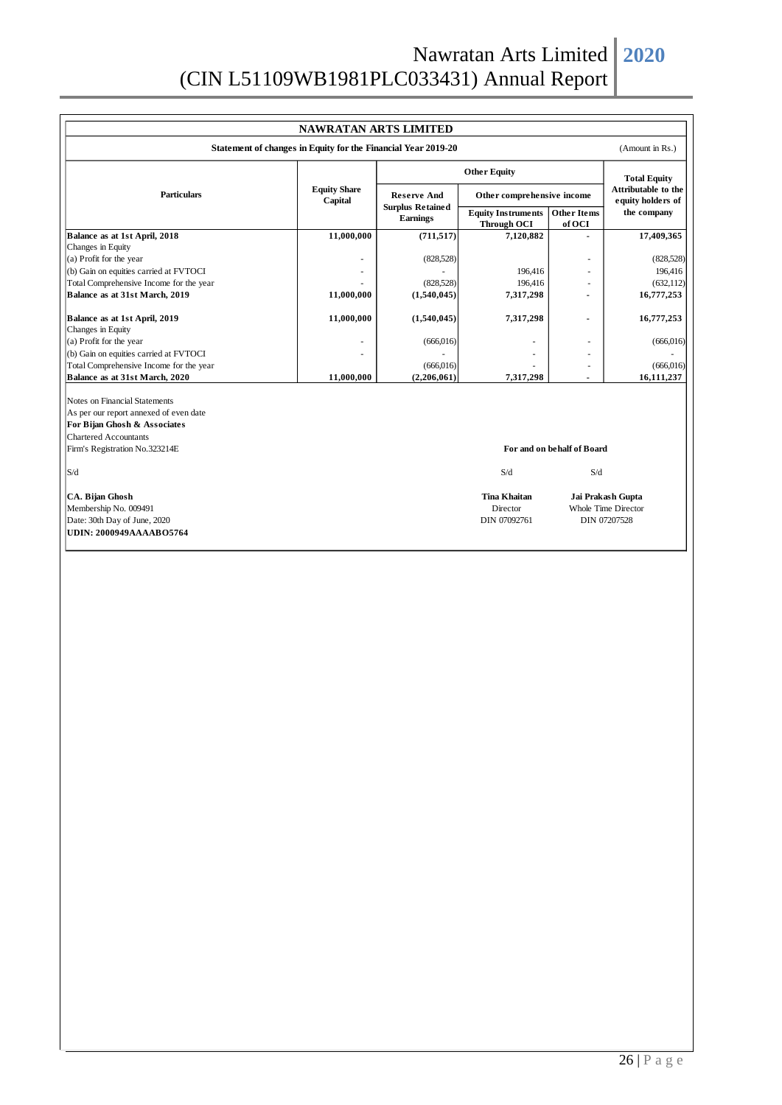# Nawratan Arts Limited (CIN L51109WB1981PLC033431) Annual Report **2020**

|                                         | <b>NAWRATAN ARTS LIMITED</b>                                  |                                     |                                                 |                              |                                          |
|-----------------------------------------|---------------------------------------------------------------|-------------------------------------|-------------------------------------------------|------------------------------|------------------------------------------|
|                                         | Statement of changes in Equity for the Financial Year 2019-20 |                                     |                                                 |                              | (Amount in Rs.)                          |
|                                         |                                                               |                                     |                                                 | <b>Total Equity</b>          |                                          |
| <b>Particulars</b>                      | <b>Equity Share</b><br>Capital                                | <b>Reserve And</b>                  | Other comprehensive income                      |                              | Attributable to the<br>equity holders of |
|                                         |                                                               | <b>Surplus Retained</b><br>Earnings | <b>Equity Instruments</b><br><b>Through OCI</b> | <b>Other Items</b><br>of OCI | the company                              |
| Balance as at 1st April, 2018           | 11,000,000                                                    | (711, 517)                          | 7,120,882                                       |                              | 17,409,365                               |
| Changes in Equity                       |                                                               |                                     |                                                 |                              |                                          |
| (a) Profit for the year                 |                                                               | (828, 528)                          |                                                 | ä,                           | (828,528)                                |
| (b) Gain on equities carried at FVTOCI  |                                                               |                                     | 196,416                                         |                              | 196,416                                  |
| Total Comprehensive Income for the year |                                                               | (828, 528)                          | 196,416                                         |                              | (632, 112)                               |
| Balance as at 31st March, 2019          | 11,000,000                                                    | (1,540,045)                         | 7,317,298                                       |                              | 16,777,253                               |
| Balance as at 1st April, 2019           | 11,000,000                                                    | (1,540,045)                         | 7,317,298                                       |                              | 16,777,253                               |
| Changes in Equity                       |                                                               |                                     |                                                 |                              |                                          |
| (a) Profit for the year                 |                                                               | (666, 016)                          |                                                 |                              | (666, 016)                               |
| (b) Gain on equities carried at FVTOCI  |                                                               |                                     |                                                 |                              |                                          |
| Total Comprehensive Income for the year |                                                               | (666, 016)                          |                                                 |                              | (666, 016)                               |
| Balance as at 31st March, 2020          | 11,000,000                                                    | (2,206,061)                         | 7,317,298                                       |                              | 16, 111, 237                             |
| Notes on Financial Statements           |                                                               |                                     |                                                 |                              |                                          |
| As per our report annexed of even date  |                                                               |                                     |                                                 |                              |                                          |
| For Bijan Ghosh & Associates            |                                                               |                                     |                                                 |                              |                                          |
| Chartered Accountants                   |                                                               |                                     |                                                 |                              |                                          |
| Firm's Registration No.323214E          |                                                               |                                     |                                                 | For and on behalf of Board   |                                          |
| S/d                                     |                                                               |                                     | S/d                                             | S/d                          |                                          |
| CA. Bijan Ghosh                         |                                                               |                                     | <b>Tina Khaitan</b>                             |                              | Jai Prakash Gupta                        |
| Membership No. 009491                   |                                                               |                                     | Director                                        |                              | Whole Time Director                      |
| Date: 30th Day of June, 2020            |                                                               |                                     | DIN 07092761                                    |                              | DIN 07207528                             |
| <b>UDIN: 2000949AAAABO5764</b>          |                                                               |                                     |                                                 |                              |                                          |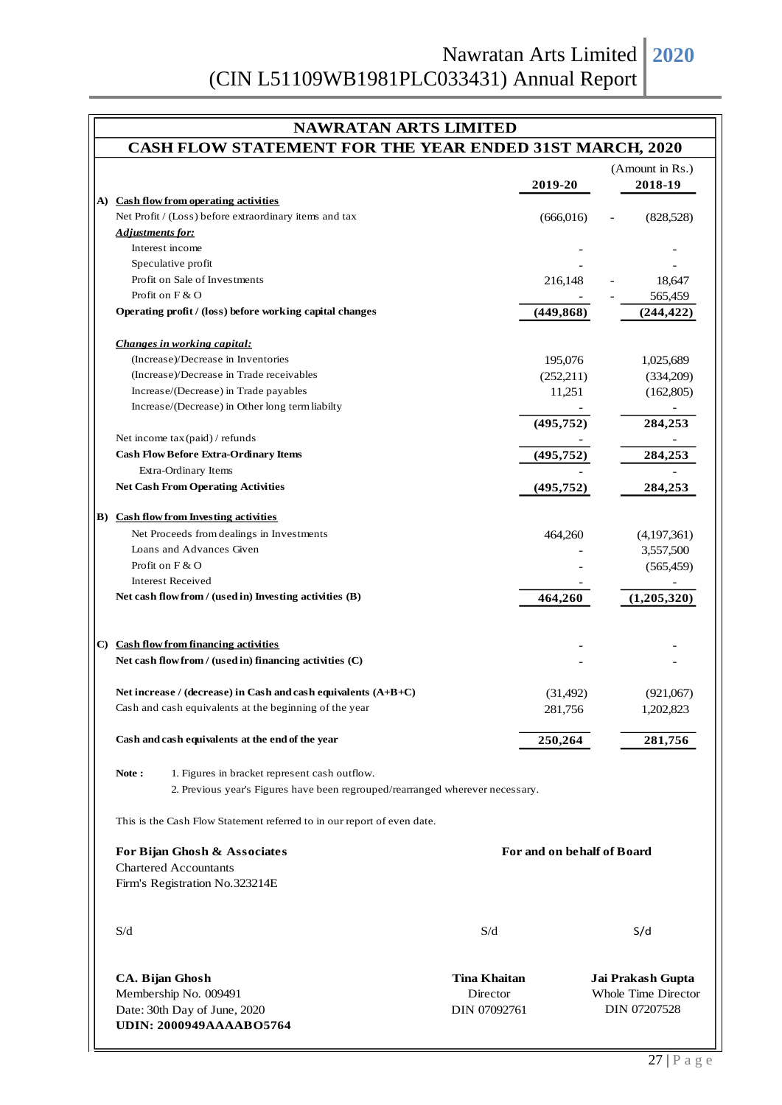| <b>NAWRATAN ARTS LIMITED</b>                                                  |                     |                            |                            |
|-------------------------------------------------------------------------------|---------------------|----------------------------|----------------------------|
| CASH FLOW STATEMENT FOR THE YEAR ENDED 31ST MARCH, 2020                       |                     |                            |                            |
|                                                                               |                     | 2019-20                    | (Amount in Rs.)<br>2018-19 |
| A) Cash flow from operating activities                                        |                     |                            |                            |
| Net Profit / (Loss) before extraordinary items and tax                        |                     | (666, 016)                 | (828,528)                  |
| <b>Adjustments for:</b><br>Interest income                                    |                     |                            |                            |
| Speculative profit                                                            |                     |                            |                            |
| Profit on Sale of Investments                                                 |                     | 216,148                    | 18,647                     |
| Profit on $F & O$                                                             |                     |                            | 565,459                    |
| Operating profit / (loss) before working capital changes                      |                     | (449, 868)                 | (244, 422)                 |
|                                                                               |                     |                            |                            |
| Changes in working capital:                                                   |                     |                            |                            |
| (Increase)/Decrease in Inventories                                            |                     | 195,076                    | 1,025,689                  |
| (Increase)/Decrease in Trade receivables                                      |                     | (252,211)                  | (334,209)                  |
| Increase/(Decrease) in Trade payables                                         |                     | 11,251                     | (162, 805)                 |
| Increase/(Decrease) in Other long term liabilty                               |                     | (495, 752)                 | 284,253                    |
| Net income $\text{tax}(paid) / \text{refunds}$                                |                     |                            |                            |
| <b>Cash Flow Before Extra-Ordinary Items</b>                                  |                     | (495, 752)                 | 284,253                    |
| Extra-Ordinary Items                                                          |                     |                            |                            |
| <b>Net Cash From Operating Activities</b>                                     |                     | (495, 752)                 | 284,253                    |
| <b>B</b> ) Cash flow from Investing activities                                |                     |                            |                            |
| Net Proceeds from dealings in Investments                                     |                     | 464,260                    | (4,197,361)                |
| Loans and Advances Given                                                      |                     |                            | 3,557,500                  |
| Profit on F & O                                                               |                     |                            | (565, 459)                 |
| <b>Interest Received</b>                                                      |                     |                            |                            |
| Net cash flow from / (used in) Investing activities (B)                       |                     | 464,260                    | (1,205,320)                |
| C) Cash flow from financing activities                                        |                     |                            |                            |
| Net cash flow from / (used in) financing activities (C)                       |                     |                            |                            |
| Net increase / (decrease) in Cash and cash equivalents $(A+B+C)$              |                     | (31, 492)                  | (921,067)                  |
| Cash and cash equivalents at the beginning of the year                        |                     | 281,756                    | 1,202,823                  |
|                                                                               |                     |                            |                            |
| Cash and cash equivalents at the end of the year                              |                     | 250,264                    | 281,756                    |
| Note:<br>1. Figures in bracket represent cash outflow.                        |                     |                            |                            |
| 2. Previous year's Figures have been regrouped/rearranged wherever necessary. |                     |                            |                            |
| This is the Cash Flow Statement referred to in our report of even date.       |                     |                            |                            |
| For Bijan Ghosh & Associates                                                  |                     | For and on behalf of Board |                            |
| <b>Chartered Accountants</b>                                                  |                     |                            |                            |
| Firm's Registration No.323214E                                                |                     |                            |                            |
|                                                                               |                     |                            |                            |
| S/d                                                                           | S/d                 |                            | S/d                        |
|                                                                               |                     |                            |                            |
| CA. Bijan Ghosh                                                               | <b>Tina Khaitan</b> |                            | Jai Prakash Gupta          |
| Membership No. 009491                                                         | Director            |                            | Whole Time Director        |
| Date: 30th Day of June, 2020                                                  | DIN 07092761        |                            | DIN 07207528               |
| <b>UDIN: 2000949AAAABO5764</b>                                                |                     |                            |                            |
|                                                                               |                     |                            |                            |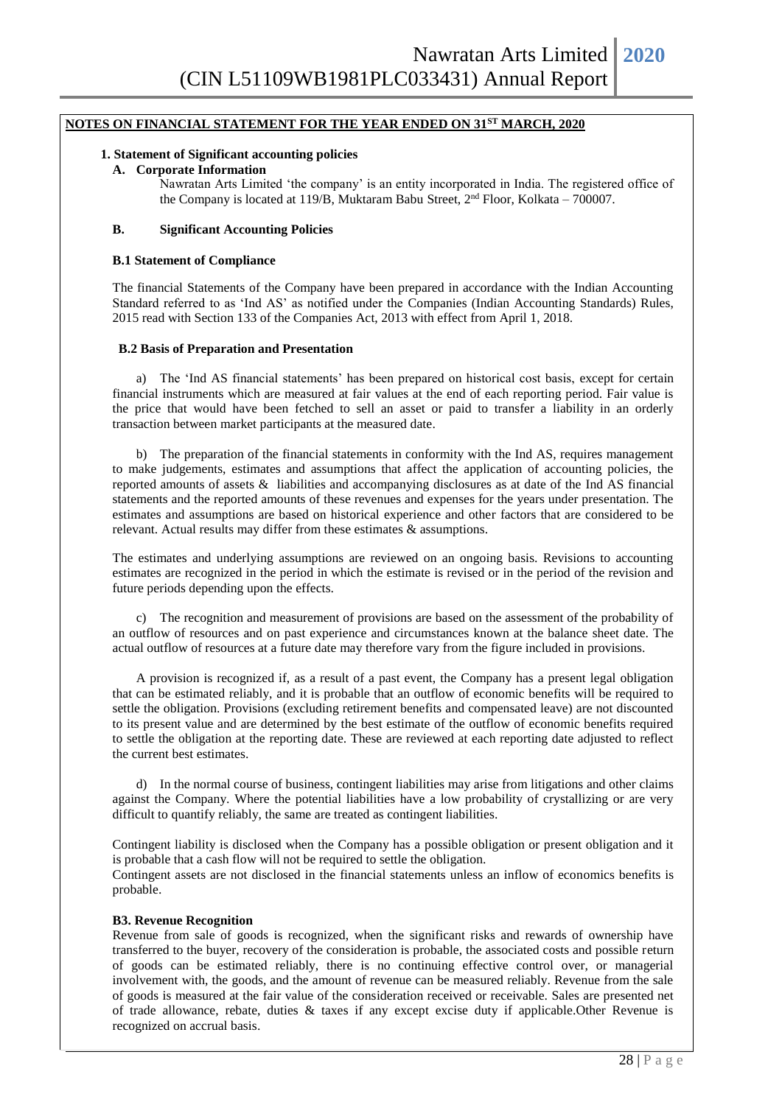# **NOTES ON FINANCIAL STATEMENT FOR THE YEAR ENDED ON 31ST MARCH, 2020**

#### **1. Statement of Significant accounting policies**

**A. Corporate Information**

Nawratan Arts Limited 'the company' is an entity incorporated in India. The registered office of the Company is located at 119/B, Muktaram Babu Street, 2nd Floor, Kolkata – 700007.

# **B. Significant Accounting Policies**

#### **B.1 Statement of Compliance**

The financial Statements of the Company have been prepared in accordance with the Indian Accounting Standard referred to as 'Ind AS' as notified under the Companies (Indian Accounting Standards) Rules, 2015 read with Section 133 of the Companies Act, 2013 with effect from April 1, 2018.

#### **B.2 Basis of Preparation and Presentation**

a) The 'Ind AS financial statements' has been prepared on historical cost basis, except for certain financial instruments which are measured at fair values at the end of each reporting period. Fair value is the price that would have been fetched to sell an asset or paid to transfer a liability in an orderly transaction between market participants at the measured date.

b) The preparation of the financial statements in conformity with the Ind AS, requires management to make judgements, estimates and assumptions that affect the application of accounting policies, the reported amounts of assets & liabilities and accompanying disclosures as at date of the Ind AS financial statements and the reported amounts of these revenues and expenses for the years under presentation. The estimates and assumptions are based on historical experience and other factors that are considered to be relevant. Actual results may differ from these estimates & assumptions.

The estimates and underlying assumptions are reviewed on an ongoing basis. Revisions to accounting estimates are recognized in the period in which the estimate is revised or in the period of the revision and future periods depending upon the effects.

c) The recognition and measurement of provisions are based on the assessment of the probability of an outflow of resources and on past experience and circumstances known at the balance sheet date. The actual outflow of resources at a future date may therefore vary from the figure included in provisions.

A provision is recognized if, as a result of a past event, the Company has a present legal obligation that can be estimated reliably, and it is probable that an outflow of economic benefits will be required to settle the obligation. Provisions (excluding retirement benefits and compensated leave) are not discounted to its present value and are determined by the best estimate of the outflow of economic benefits required to settle the obligation at the reporting date. These are reviewed at each reporting date adjusted to reflect the current best estimates.

d) In the normal course of business, contingent liabilities may arise from litigations and other claims against the Company. Where the potential liabilities have a low probability of crystallizing or are very difficult to quantify reliably, the same are treated as contingent liabilities.

Contingent liability is disclosed when the Company has a possible obligation or present obligation and it is probable that a cash flow will not be required to settle the obligation. Contingent assets are not disclosed in the financial statements unless an inflow of economics benefits is probable.

#### **B3. Revenue Recognition**

Revenue from sale of goods is recognized, when the significant risks and rewards of ownership have transferred to the buyer, recovery of the consideration is probable, the associated costs and possible return of goods can be estimated reliably, there is no continuing effective control over, or managerial involvement with, the goods, and the amount of revenue can be measured reliably. Revenue from the sale of goods is measured at the fair value of the consideration received or receivable. Sales are presented net of trade allowance, rebate, duties & taxes if any except excise duty if applicable.Other Revenue is recognized on accrual basis.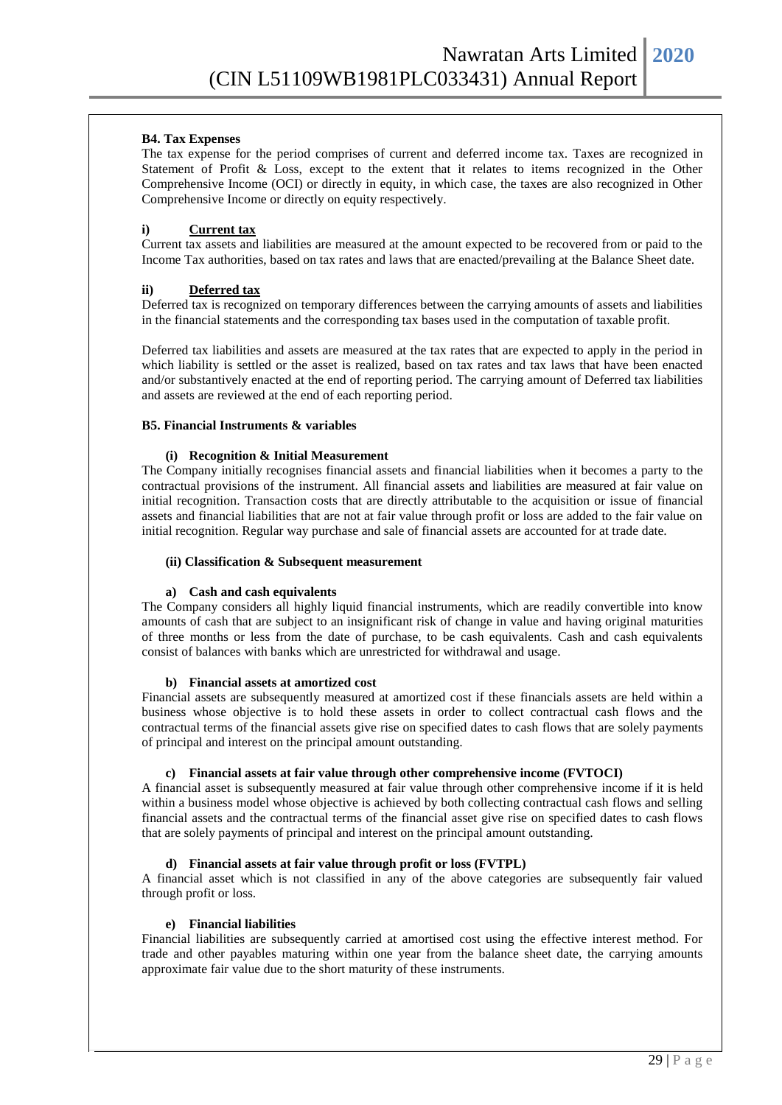#### **B4. Tax Expenses**

The tax expense for the period comprises of current and deferred income tax. Taxes are recognized in Statement of Profit & Loss, except to the extent that it relates to items recognized in the Other Comprehensive Income (OCI) or directly in equity, in which case, the taxes are also recognized in Other Comprehensive Income or directly on equity respectively.

#### **i) Current tax**

Current tax assets and liabilities are measured at the amount expected to be recovered from or paid to the Income Tax authorities, based on tax rates and laws that are enacted/prevailing at the Balance Sheet date.

#### **ii) Deferred tax**

Deferred tax is recognized on temporary differences between the carrying amounts of assets and liabilities in the financial statements and the corresponding tax bases used in the computation of taxable profit.

Deferred tax liabilities and assets are measured at the tax rates that are expected to apply in the period in which liability is settled or the asset is realized, based on tax rates and tax laws that have been enacted and/or substantively enacted at the end of reporting period. The carrying amount of Deferred tax liabilities and assets are reviewed at the end of each reporting period.

#### **B5. Financial Instruments & variables**

#### **(i) Recognition & Initial Measurement**

The Company initially recognises financial assets and financial liabilities when it becomes a party to the contractual provisions of the instrument. All financial assets and liabilities are measured at fair value on initial recognition. Transaction costs that are directly attributable to the acquisition or issue of financial assets and financial liabilities that are not at fair value through profit or loss are added to the fair value on initial recognition. Regular way purchase and sale of financial assets are accounted for at trade date.

#### **(ii) Classification & Subsequent measurement**

#### **a) Cash and cash equivalents**

The Company considers all highly liquid financial instruments, which are readily convertible into know amounts of cash that are subject to an insignificant risk of change in value and having original maturities of three months or less from the date of purchase, to be cash equivalents. Cash and cash equivalents consist of balances with banks which are unrestricted for withdrawal and usage.

#### **b) Financial assets at amortized cost**

Financial assets are subsequently measured at amortized cost if these financials assets are held within a business whose objective is to hold these assets in order to collect contractual cash flows and the contractual terms of the financial assets give rise on specified dates to cash flows that are solely payments of principal and interest on the principal amount outstanding.

#### **c) Financial assets at fair value through other comprehensive income (FVTOCI)**

A financial asset is subsequently measured at fair value through other comprehensive income if it is held within a business model whose objective is achieved by both collecting contractual cash flows and selling financial assets and the contractual terms of the financial asset give rise on specified dates to cash flows that are solely payments of principal and interest on the principal amount outstanding.

#### **d) Financial assets at fair value through profit or loss (FVTPL)**

A financial asset which is not classified in any of the above categories are subsequently fair valued through profit or loss.

#### **e) Financial liabilities**

Financial liabilities are subsequently carried at amortised cost using the effective interest method. For trade and other payables maturing within one year from the balance sheet date, the carrying amounts approximate fair value due to the short maturity of these instruments.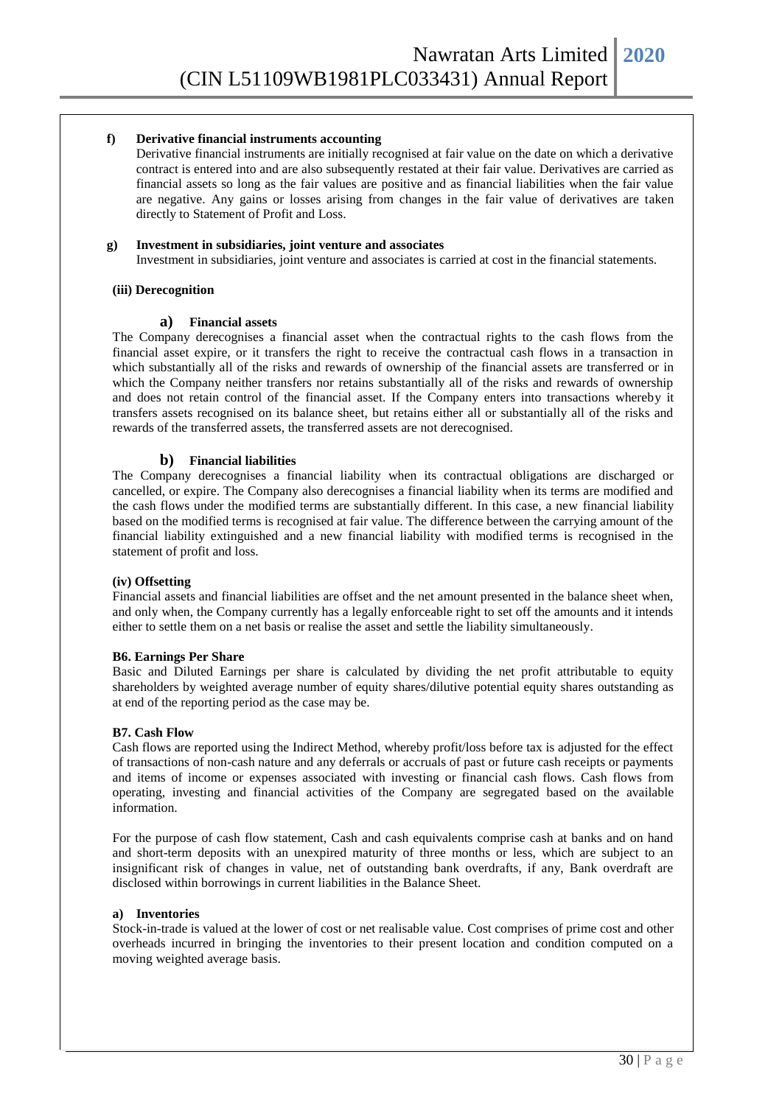#### **f) Derivative financial instruments accounting**

Derivative financial instruments are initially recognised at fair value on the date on which a derivative contract is entered into and are also subsequently restated at their fair value. Derivatives are carried as financial assets so long as the fair values are positive and as financial liabilities when the fair value are negative. Any gains or losses arising from changes in the fair value of derivatives are taken directly to Statement of Profit and Loss.

### **g) Investment in subsidiaries, joint venture and associates**

Investment in subsidiaries, joint venture and associates is carried at cost in the financial statements.

#### **(iii) Derecognition**

#### **a) Financial assets**

The Company derecognises a financial asset when the contractual rights to the cash flows from the financial asset expire, or it transfers the right to receive the contractual cash flows in a transaction in which substantially all of the risks and rewards of ownership of the financial assets are transferred or in which the Company neither transfers nor retains substantially all of the risks and rewards of ownership and does not retain control of the financial asset. If the Company enters into transactions whereby it transfers assets recognised on its balance sheet, but retains either all or substantially all of the risks and rewards of the transferred assets, the transferred assets are not derecognised.

#### **b) Financial liabilities**

The Company derecognises a financial liability when its contractual obligations are discharged or cancelled, or expire. The Company also derecognises a financial liability when its terms are modified and the cash flows under the modified terms are substantially different. In this case, a new financial liability based on the modified terms is recognised at fair value. The difference between the carrying amount of the financial liability extinguished and a new financial liability with modified terms is recognised in the statement of profit and loss.

### **(iv) Offsetting**

Financial assets and financial liabilities are offset and the net amount presented in the balance sheet when, and only when, the Company currently has a legally enforceable right to set off the amounts and it intends either to settle them on a net basis or realise the asset and settle the liability simultaneously.

### **B6. Earnings Per Share**

Basic and Diluted Earnings per share is calculated by dividing the net profit attributable to equity shareholders by weighted average number of equity shares/dilutive potential equity shares outstanding as at end of the reporting period as the case may be.

### **B7. Cash Flow**

Cash flows are reported using the Indirect Method, whereby profit/loss before tax is adjusted for the effect of transactions of non-cash nature and any deferrals or accruals of past or future cash receipts or payments and items of income or expenses associated with investing or financial cash flows. Cash flows from operating, investing and financial activities of the Company are segregated based on the available information.

For the purpose of cash flow statement, Cash and cash equivalents comprise cash at banks and on hand and short-term deposits with an unexpired maturity of three months or less, which are subject to an insignificant risk of changes in value, net of outstanding bank overdrafts, if any, Bank overdraft are disclosed within borrowings in current liabilities in the Balance Sheet.

#### **a) Inventories**

Stock-in-trade is valued at the lower of cost or net realisable value. Cost comprises of prime cost and other overheads incurred in bringing the inventories to their present location and condition computed on a moving weighted average basis.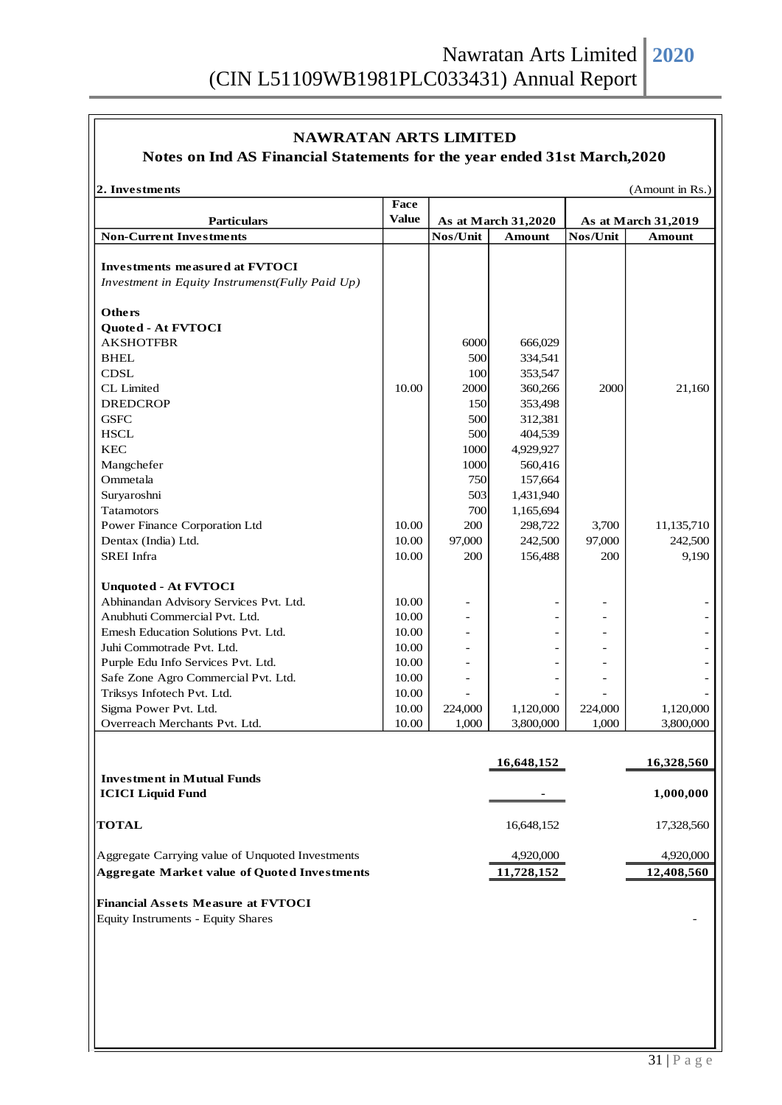# **NAWRATAN ARTS LIMITED**

# **Notes on Ind AS Financial Statements for the year ended 31st March,2020**

| 2. Investments                                      |              |                          |                     |          | $(A$ mount in $Rs.$ ) |
|-----------------------------------------------------|--------------|--------------------------|---------------------|----------|-----------------------|
|                                                     | Face         |                          |                     |          |                       |
| <b>Particulars</b>                                  | <b>Value</b> |                          | As at March 31,2020 |          | As at March 31,2019   |
| <b>Non-Current Investments</b>                      |              | Nos/Unit                 | Amount              | Nos/Unit | Amount                |
|                                                     |              |                          |                     |          |                       |
| Investments measured at FVTOCI                      |              |                          |                     |          |                       |
| Investment in Equity Instrumenst(Fully Paid Up)     |              |                          |                     |          |                       |
|                                                     |              |                          |                     |          |                       |
| <b>Others</b>                                       |              |                          |                     |          |                       |
| Quoted - At FVTOCI                                  |              |                          |                     |          |                       |
| <b>AKSHOTFBR</b>                                    |              | 6000                     | 666,029             |          |                       |
| <b>BHEL</b>                                         |              | 500                      | 334,541             |          |                       |
| <b>CDSL</b>                                         |              | 100                      | 353,547             |          |                       |
| CL Limited                                          | 10.00        | 2000                     | 360,266             | 2000     | 21,160                |
| <b>DREDCROP</b>                                     |              | 150                      | 353,498             |          |                       |
| <b>GSFC</b>                                         |              | 500                      | 312,381             |          |                       |
| <b>HSCL</b>                                         |              | 500                      | 404,539             |          |                       |
| <b>KEC</b>                                          |              | 1000                     | 4,929,927           |          |                       |
| Mangchefer                                          |              | 1000                     | 560,416             |          |                       |
| Ommetala                                            |              | 750                      | 157,664             |          |                       |
| Suryaroshni                                         |              | 503                      | 1,431,940           |          |                       |
| Tatamotors                                          |              | 700                      | 1,165,694           |          |                       |
| Power Finance Corporation Ltd                       | 10.00        | 200                      | 298,722             | 3,700    | 11,135,710            |
| Dentax (India) Ltd.                                 | 10.00        | 97,000                   | 242,500             | 97,000   | 242,500               |
| SREI Infra                                          | 10.00        | 200                      | 156,488             | 200      | 9,190                 |
|                                                     |              |                          |                     |          |                       |
| <b>Unquoted - At FVTOCI</b>                         |              |                          |                     |          |                       |
| Abhinandan Advisory Services Pvt. Ltd.              | 10.00        |                          |                     |          |                       |
| Anubhuti Commercial Pvt. Ltd.                       | 10.00        |                          |                     |          |                       |
| Emesh Education Solutions Pvt. Ltd.                 | 10.00        |                          |                     |          |                       |
| Juhi Commotrade Pvt. Ltd.                           | 10.00        |                          |                     |          |                       |
| Purple Edu Info Services Pvt. Ltd.                  | 10.00        |                          |                     |          |                       |
| Safe Zone Agro Commercial Pvt. Ltd.                 | 10.00        | $\overline{\phantom{0}}$ |                     |          |                       |
| Triksys Infotech Pvt. Ltd.                          | 10.00        |                          |                     |          |                       |
| Sigma Power Pvt. Ltd.                               | 10.00        | 224,000                  | 1,120,000           | 224,000  | 1,120,000             |
| Overreach Merchants Pvt. Ltd.                       | 10.00        | 1,000                    | 3,800,000           | 1,000    | 3,800,000             |
|                                                     |              |                          |                     |          |                       |
|                                                     |              |                          |                     |          |                       |
|                                                     |              |                          | 16,648,152          |          | 16,328,560            |
| <b>Investment in Mutual Funds</b>                   |              |                          |                     |          |                       |
| <b>ICICI Liquid Fund</b>                            |              |                          |                     |          | 1,000,000             |
|                                                     |              |                          |                     |          |                       |
| <b>TOTAL</b>                                        |              |                          | 16,648,152          |          | 17,328,560            |
|                                                     |              |                          |                     |          |                       |
| Aggregate Carrying value of Unquoted Investments    |              |                          | 4,920,000           |          | 4,920,000             |
| <b>Aggregate Market value of Quoted Investments</b> |              |                          | 11,728,152          |          | 12,408,560            |
|                                                     |              |                          |                     |          |                       |
| <b>Financial Assets Measure at FVTOCI</b>           |              |                          |                     |          |                       |
| <b>Equity Instruments - Equity Shares</b>           |              |                          |                     |          |                       |
|                                                     |              |                          |                     |          |                       |
|                                                     |              |                          |                     |          |                       |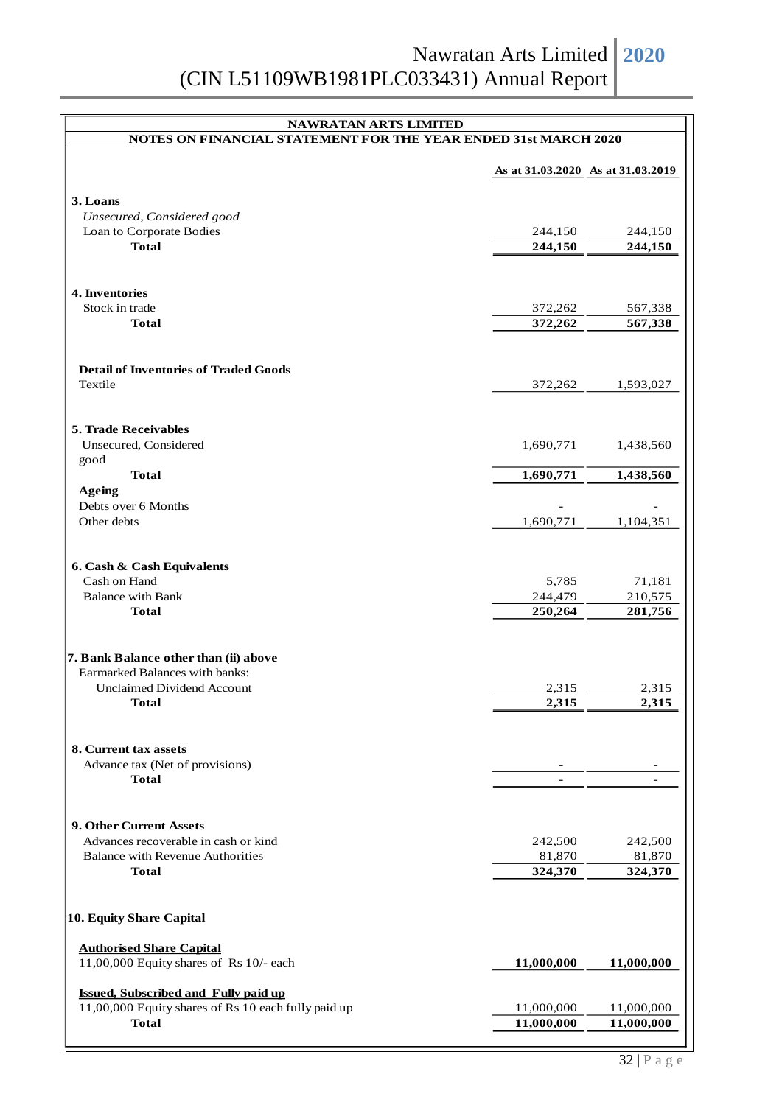| <b>NAWRATAN ARTS LIMITED</b>                                               |                                   |            |  |  |
|----------------------------------------------------------------------------|-----------------------------------|------------|--|--|
| NOTES ON FINANCIAL STATEMENT FOR THE YEAR ENDED 31st MARCH 2020            |                                   |            |  |  |
|                                                                            |                                   |            |  |  |
|                                                                            | As at 31.03.2020 As at 31.03.2019 |            |  |  |
| 3. Loans                                                                   |                                   |            |  |  |
| Unsecured, Considered good                                                 |                                   |            |  |  |
| Loan to Corporate Bodies                                                   | 244,150                           | 244,150    |  |  |
| <b>Total</b>                                                               | 244,150                           | 244,150    |  |  |
|                                                                            |                                   |            |  |  |
|                                                                            |                                   |            |  |  |
| 4. Inventories                                                             |                                   |            |  |  |
| Stock in trade                                                             | 372,262                           | 567,338    |  |  |
| <b>Total</b>                                                               | 372,262                           | 567,338    |  |  |
|                                                                            |                                   |            |  |  |
| <b>Detail of Inventories of Traded Goods</b>                               |                                   |            |  |  |
| Textile                                                                    | 372,262                           | 1,593,027  |  |  |
|                                                                            |                                   |            |  |  |
|                                                                            |                                   |            |  |  |
| <b>5. Trade Receivables</b>                                                |                                   |            |  |  |
| Unsecured, Considered                                                      | 1,690,771                         | 1,438,560  |  |  |
| good                                                                       |                                   |            |  |  |
| <b>Total</b>                                                               | 1,690,771                         | 1,438,560  |  |  |
| <b>Ageing</b><br>Debts over 6 Months                                       |                                   |            |  |  |
| Other debts                                                                | 1,690,771                         |            |  |  |
|                                                                            |                                   | 1,104,351  |  |  |
|                                                                            |                                   |            |  |  |
| 6. Cash & Cash Equivalents                                                 |                                   |            |  |  |
| Cash on Hand                                                               | 5,785                             | 71,181     |  |  |
| <b>Balance with Bank</b>                                                   | 244,479                           | 210,575    |  |  |
| <b>Total</b>                                                               | 250,264                           | 281,756    |  |  |
|                                                                            |                                   |            |  |  |
| 7. Bank Balance other than (ii) above                                      |                                   |            |  |  |
| Earmarked Balances with banks:                                             |                                   |            |  |  |
| <b>Unclaimed Dividend Account</b>                                          | 2,315                             | 2,315      |  |  |
| <b>Total</b>                                                               | 2,315                             | 2,315      |  |  |
|                                                                            |                                   |            |  |  |
|                                                                            |                                   |            |  |  |
| 8. Current tax assets                                                      |                                   |            |  |  |
| Advance tax (Net of provisions)                                            |                                   |            |  |  |
| <b>Total</b>                                                               |                                   |            |  |  |
|                                                                            |                                   |            |  |  |
| 9. Other Current Assets                                                    |                                   |            |  |  |
| Advances recoverable in cash or kind                                       | 242,500                           | 242,500    |  |  |
| <b>Balance with Revenue Authorities</b>                                    | 81,870                            | 81,870     |  |  |
| <b>Total</b>                                                               | 324,370                           | 324,370    |  |  |
|                                                                            |                                   |            |  |  |
|                                                                            |                                   |            |  |  |
| 10. Equity Share Capital                                                   |                                   |            |  |  |
|                                                                            |                                   |            |  |  |
| <b>Authorised Share Capital</b><br>11,00,000 Equity shares of Rs 10/- each | 11,000,000                        | 11,000,000 |  |  |
|                                                                            |                                   |            |  |  |
| <b>Issued, Subscribed and Fully paid up</b>                                |                                   |            |  |  |
| 11,00,000 Equity shares of Rs 10 each fully paid up                        | 11,000,000                        | 11,000,000 |  |  |
| <b>Total</b>                                                               | 11,000,000                        | 11,000,000 |  |  |
|                                                                            |                                   |            |  |  |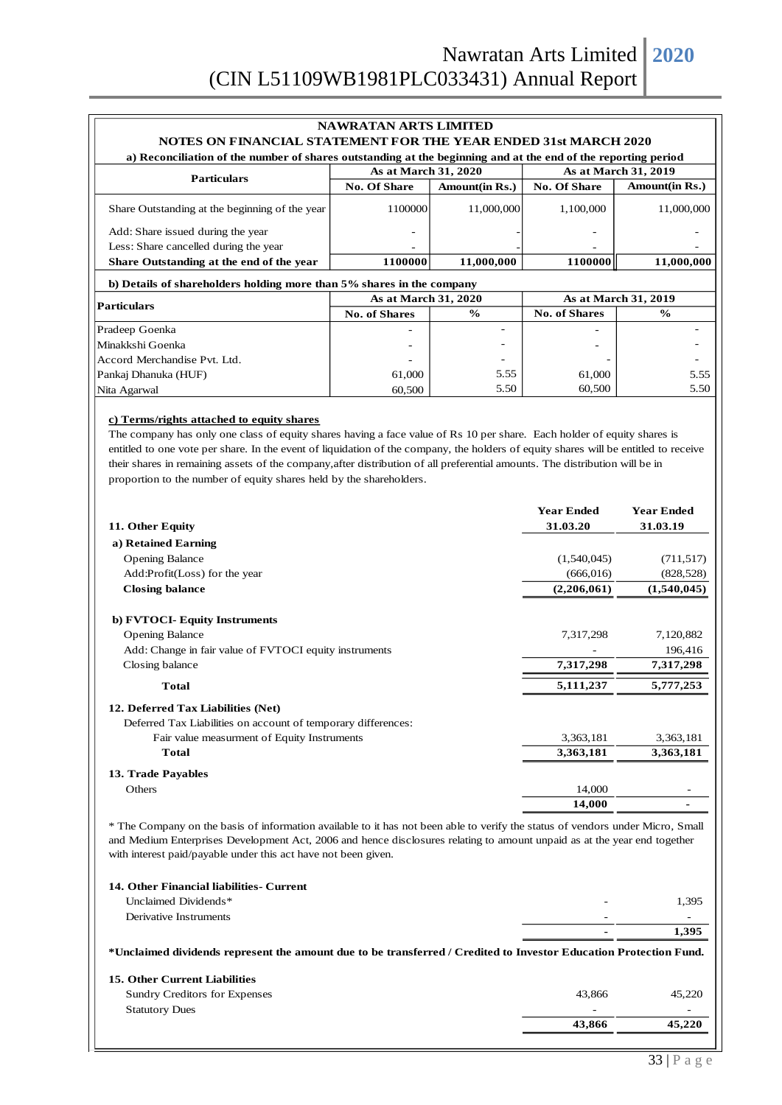# Nawratan Arts Limited (CIN L51109WB1981PLC033431) Annual Report **2020**

|                                                                                                                                                                                                                                                                                                                                                                                                                                                                        | <b>NAWRATAN ARTS LIMITED</b> |                |                   |                      |
|------------------------------------------------------------------------------------------------------------------------------------------------------------------------------------------------------------------------------------------------------------------------------------------------------------------------------------------------------------------------------------------------------------------------------------------------------------------------|------------------------------|----------------|-------------------|----------------------|
| NOTES ON FINANCIAL STATEMENT FOR THE YEAR ENDED 31st MARCH 2020<br>a) Reconciliation of the number of shares outstanding at the beginning and at the end of the reporting period                                                                                                                                                                                                                                                                                       |                              |                |                   |                      |
|                                                                                                                                                                                                                                                                                                                                                                                                                                                                        | As at March 31, 2020         |                |                   | As at March 31, 2019 |
| <b>Particulars</b>                                                                                                                                                                                                                                                                                                                                                                                                                                                     | No. Of Share                 | Amount(in Rs.) | No. Of Share      | Amount(in Rs.)       |
| Share Outstanding at the beginning of the year                                                                                                                                                                                                                                                                                                                                                                                                                         | 1100000                      | 11,000,000     | 1,100,000         | 11,000,000           |
| Add: Share issued during the year<br>Less: Share cancelled during the year                                                                                                                                                                                                                                                                                                                                                                                             |                              |                |                   |                      |
| Share Outstanding at the end of the year                                                                                                                                                                                                                                                                                                                                                                                                                               | 1100000                      | 11,000,000     | 1100000           | 11,000,000           |
| b) Details of shareholders holding more than 5% shares in the company                                                                                                                                                                                                                                                                                                                                                                                                  |                              |                |                   |                      |
|                                                                                                                                                                                                                                                                                                                                                                                                                                                                        | As at March 31, 2020         |                |                   | As at March 31, 2019 |
| Particulars                                                                                                                                                                                                                                                                                                                                                                                                                                                            | No. of Shares                | $\frac{6}{6}$  | No. of Shares     | $\frac{6}{6}$        |
| Pradeep Goenka                                                                                                                                                                                                                                                                                                                                                                                                                                                         |                              |                |                   |                      |
| Minakkshi Goenka                                                                                                                                                                                                                                                                                                                                                                                                                                                       |                              |                |                   |                      |
| Accord Merchandise Pvt. Ltd.                                                                                                                                                                                                                                                                                                                                                                                                                                           |                              |                |                   |                      |
| Pankaj Dhanuka (HUF)                                                                                                                                                                                                                                                                                                                                                                                                                                                   | 61,000                       | 5.55           | 61,000            | 5.55                 |
| Nita Agarwal                                                                                                                                                                                                                                                                                                                                                                                                                                                           | 60,500                       | 5.50           | 60,500            | 5.50                 |
| The company has only one class of equity shares having a face value of Rs 10 per share. Each holder of equity shares is<br>entitled to one vote per share. In the event of liquidation of the company, the holders of equity shares will be entitled to receive<br>their shares in remaining assets of the company, after distribution of all preferential amounts. The distribution will be in<br>proportion to the number of equity shares held by the shareholders. |                              |                |                   |                      |
|                                                                                                                                                                                                                                                                                                                                                                                                                                                                        |                              |                | <b>Year Ended</b> | <b>Year Ended</b>    |
| 11. Other Equity                                                                                                                                                                                                                                                                                                                                                                                                                                                       |                              |                | 31.03.20          | 31.03.19             |
| a) Retained Earning                                                                                                                                                                                                                                                                                                                                                                                                                                                    |                              |                |                   |                      |
| Opening Balance                                                                                                                                                                                                                                                                                                                                                                                                                                                        |                              |                | (1,540,045)       | (711, 517)           |
| Add:Profit(Loss) for the year                                                                                                                                                                                                                                                                                                                                                                                                                                          |                              |                | (666, 016)        | (828, 528)           |
| <b>Closing balance</b>                                                                                                                                                                                                                                                                                                                                                                                                                                                 |                              |                | (2,206,061)       | (1,540,045)          |
|                                                                                                                                                                                                                                                                                                                                                                                                                                                                        |                              |                |                   |                      |
| b) FVTOCI- Equity Instruments                                                                                                                                                                                                                                                                                                                                                                                                                                          |                              |                |                   |                      |
| <b>Opening Balance</b>                                                                                                                                                                                                                                                                                                                                                                                                                                                 |                              |                | 7,317,298         | 7,120,882            |
| Add: Change in fair value of FVTOCI equity instruments                                                                                                                                                                                                                                                                                                                                                                                                                 |                              |                |                   | 196,416              |
| Closing balance                                                                                                                                                                                                                                                                                                                                                                                                                                                        |                              |                | 7,317,298         | 7,317,298            |
| <b>Total</b>                                                                                                                                                                                                                                                                                                                                                                                                                                                           |                              |                | 5,111,237         | 5,777,253            |
| 12. Deferred Tax Liabilities (Net)                                                                                                                                                                                                                                                                                                                                                                                                                                     |                              |                |                   |                      |
| Deferred Tax Liabilities on account of temporary differences:                                                                                                                                                                                                                                                                                                                                                                                                          |                              |                |                   |                      |
| Fair value measurment of Equity Instruments                                                                                                                                                                                                                                                                                                                                                                                                                            |                              |                | 3,363,181         | 3,363,181            |
| <b>Total</b>                                                                                                                                                                                                                                                                                                                                                                                                                                                           |                              |                | 3,363,181         | 3,363,181            |
| 13. Trade Payables                                                                                                                                                                                                                                                                                                                                                                                                                                                     |                              |                |                   |                      |
| Others                                                                                                                                                                                                                                                                                                                                                                                                                                                                 |                              |                | 14,000            |                      |
|                                                                                                                                                                                                                                                                                                                                                                                                                                                                        |                              |                | 14,000            |                      |
| * The Company on the basis of information available to it has not been able to verify the status of vendors under Micro, Small<br>and Medium Enterprises Development Act, 2006 and hence disclosures relating to amount unpaid as at the year end together<br>with interest paid/payable under this act have not been given.                                                                                                                                           |                              |                |                   |                      |
| 14. Other Financial liabilities - Current                                                                                                                                                                                                                                                                                                                                                                                                                              |                              |                |                   |                      |
| Unclaimed Dividends*                                                                                                                                                                                                                                                                                                                                                                                                                                                   |                              |                |                   | 1,395                |
| Derivative Instruments                                                                                                                                                                                                                                                                                                                                                                                                                                                 |                              |                |                   |                      |
|                                                                                                                                                                                                                                                                                                                                                                                                                                                                        |                              |                |                   | 1,395                |

**15. Other Current Liabilities \*Unclaimed dividends represent the amount due to be transferred / Credited to Investor Education Protection Fund.**

| 15. Other Current Liabilities        |        |        |
|--------------------------------------|--------|--------|
| <b>Sundry Creditors for Expenses</b> | 43,866 | 45,220 |
| <b>Statutory Dues</b>                | ۰      |        |
|                                      | 43,866 | 45,220 |
|                                      |        |        |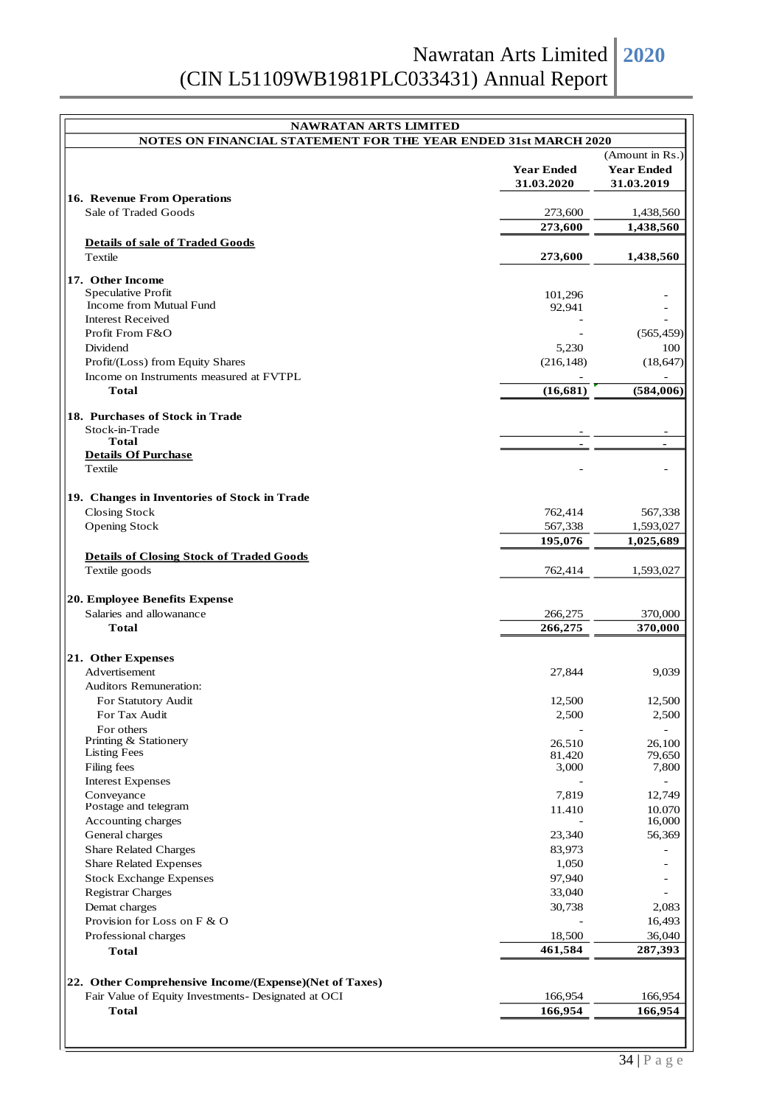**2020**

Nawratan Arts Limited (CIN L51109WB1981PLC033431) Annual Report

| NAWRATAN ARTS LIMITED<br>NOTES ON FINANCIAL STATEMENT FOR THE YEAR ENDED 31st MARCH 2020 |                    |                   |
|------------------------------------------------------------------------------------------|--------------------|-------------------|
|                                                                                          |                    | (Amount in Rs.)   |
|                                                                                          | <b>Year Ended</b>  | <b>Year Ended</b> |
|                                                                                          | 31.03.2020         | 31.03.2019        |
| <b>16. Revenue From Operations</b>                                                       |                    |                   |
| Sale of Traded Goods                                                                     | 273,600            | 1,438,560         |
|                                                                                          | 273,600            | 1,438,560         |
| <b>Details of sale of Traded Goods</b>                                                   |                    |                   |
| Textile                                                                                  | 273,600            | 1,438,560         |
|                                                                                          |                    |                   |
| 17. Other Income                                                                         |                    |                   |
| Speculative Profit<br>Income from Mutual Fund                                            | 101.296            |                   |
| <b>Interest Received</b>                                                                 | 92,941             |                   |
| Profit From F&O                                                                          |                    | (565, 459)        |
| Dividend                                                                                 | 5,230              | 100               |
| Profit/(Loss) from Equity Shares                                                         | (216, 148)         | (18, 647)         |
| Income on Instruments measured at FVTPL                                                  |                    |                   |
| <b>Total</b>                                                                             | (16, 681)          | (584, 006)        |
|                                                                                          |                    |                   |
| 18. Purchases of Stock in Trade                                                          |                    |                   |
| Stock-in-Trade                                                                           |                    |                   |
| <b>Total</b>                                                                             |                    |                   |
| <b>Details Of Purchase</b>                                                               |                    |                   |
| Textile                                                                                  |                    |                   |
|                                                                                          |                    |                   |
| 19. Changes in Inventories of Stock in Trade<br><b>Closing Stock</b>                     | 762,414            |                   |
|                                                                                          |                    | 567,338           |
| Opening Stock                                                                            | 567,338<br>195,076 | 1,593,027         |
|                                                                                          |                    | 1,025,689         |
| <b>Details of Closing Stock of Traded Goods</b>                                          |                    |                   |
| Textile goods                                                                            | 762,414            | 1,593,027         |
|                                                                                          |                    |                   |
| 20. Employee Benefits Expense<br>Salaries and allowanance                                | 266,275            | 370,000           |
| <b>Total</b>                                                                             | 266,275            | 370,000           |
|                                                                                          |                    |                   |
| 21. Other Expenses                                                                       |                    |                   |
| Advertisement                                                                            | 27,844             | 9,039             |
| Auditors Remuneration:                                                                   |                    |                   |
| For Statutory Audit                                                                      | 12,500             | 12,500            |
| For Tax Audit                                                                            | 2,500              | 2,500             |
| For others                                                                               |                    |                   |
| Printing & Stationery                                                                    | 26.510             | 26.100            |
| <b>Listing Fees</b>                                                                      | 81.420             | 79.650            |
| Filing fees                                                                              | 3,000              | 7,800             |
| <b>Interest Expenses</b>                                                                 |                    |                   |
| Conveyance                                                                               | 7,819              | 12,749            |
| Postage and telegram                                                                     | 11.410             | 10.070            |
| Accounting charges                                                                       |                    | 16,000            |
| General charges                                                                          | 23,340             | 56,369            |
| <b>Share Related Charges</b>                                                             | 83,973             |                   |
| <b>Share Related Expenses</b>                                                            | 1,050              |                   |
| <b>Stock Exchange Expenses</b>                                                           | 97,940             |                   |
| <b>Registrar Charges</b>                                                                 | 33,040             |                   |
| Demat charges                                                                            | 30,738             | 2,083             |
| Provision for Loss on F & O                                                              |                    | 16,493            |
| Professional charges                                                                     | 18,500             | 36,040            |
| <b>Total</b>                                                                             | 461,584            | 287,393           |
|                                                                                          |                    |                   |
| 22. Other Comprehensive Income/(Expense)(Net of Taxes)                                   |                    |                   |
| Fair Value of Equity Investments- Designated at OCI                                      | 166,954            | 166,954           |
| <b>Total</b>                                                                             | 166,954            | 166,954           |